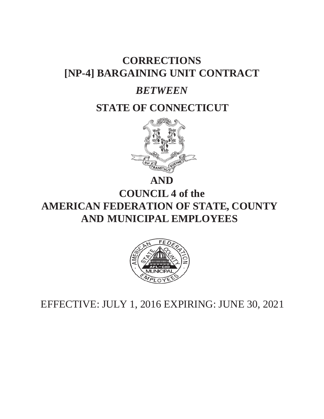# **CORRECTIONS [NP-4] BARGAINING UNIT CONTRACT**

# *BETWEEN*

# **STATE OF CONNECTICUT**



**AND**

**COUNCIL 4 of the AMERICAN FEDERATION OF STATE, COUNTY AND MUNICIPAL EMPLOYEES**



EFFECTIVE: JULY 1, 2016 EXPIRING: JUNE 30, 2021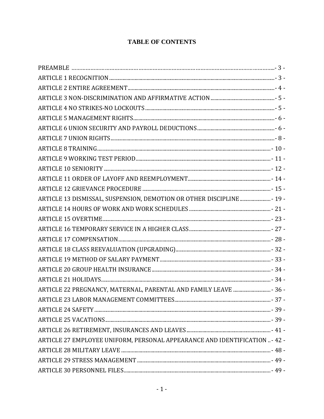# **TABLE OF CONTENTS**

| ARTICLE 13 DISMISSAL, SUSPENSION, DEMOTION OR OTHER DISCIPLINE - 19 -      |  |
|----------------------------------------------------------------------------|--|
|                                                                            |  |
|                                                                            |  |
|                                                                            |  |
|                                                                            |  |
|                                                                            |  |
|                                                                            |  |
|                                                                            |  |
|                                                                            |  |
| ARTICLE 22 PREGNANCY, MATERNAL, PARENTAL AND FAMILY LEAVE  - 36 -          |  |
| ARTICLE 23 LABOR MANAGEMENT COMMITTEES.                                    |  |
|                                                                            |  |
|                                                                            |  |
|                                                                            |  |
| ARTICLE 27 EMPLOYEE UNIFORM, PERSONAL APPEARANCE AND IDENTIFICATION - 42 - |  |
|                                                                            |  |
|                                                                            |  |
|                                                                            |  |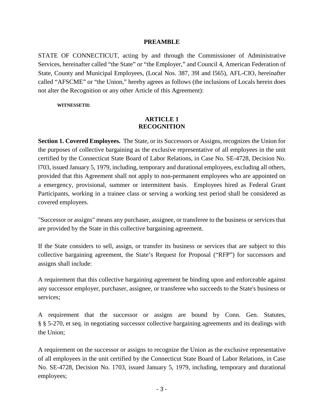#### **PREAMBLE**

<span id="page-3-0"></span>STATE OF CONNECTICUT, acting by and through the Commissioner of Administrative Services, hereinafter called "the State" or "the Employer," and Council 4, American Federation of State, County and Municipal Employees, (Local Nos. 387, 39l and l565), AFL-CIO, hereinafter called "AFSCME" or "the Union," hereby agrees as follows (the inclusions of Locals herein does not alter the Recognition or any other Article of this Agreement):

**WITNESSETH:**

## **ARTICLE 1 RECOGNITION**

<span id="page-3-1"></span>**Section 1. Covered Employees.** The State, or its Successors or Assigns, recognizes the Union for the purposes of collective bargaining as the exclusive representative of all employees in the unit certified by the Connecticut State Board of Labor Relations, in Case No. SE-4728, Decision No. l703, issued January 5, 1979, including, temporary and durational employees, excluding all others, provided that this Agreement shall not apply to non-permanent employees who are appointed on a emergency, provisional, summer or intermittent basis. Employees hired as Federal Grant Participants, working in a trainee class or serving a working test period shall be considered as covered employees.

"Successor or assigns" means any purchaser, assignee, or transferee to the business or services that are provided by the State in this collective bargaining agreement.

If the State considers to sell, assign, or transfer its business or services that are subject to this collective bargaining agreement, the State's Request for Proposal ("RFP") for successors and assigns shall include:

A requirement that this collective bargaining agreement be binding upon and enforceable against any successor employer, purchaser, assignee, or transferee who succeeds to the State's business or services;

A requirement that the successor or assigns are bound by Conn. Gen. Statutes, § § 5-270, et seq. in negotiating successor collective bargaining agreements and its dealings with the Union;

A requirement on the successor or assigns to recognize the Union as the exclusive representative of all employees in the unit certified by the Connecticut State Board of Labor Relations, in Case No. SE-4728, Decision No. 1703, issued January 5, 1979, including, temporary and durational employees;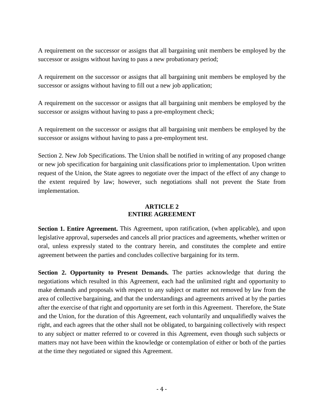A requirement on the successor or assigns that all bargaining unit members be employed by the successor or assigns without having to pass a new probationary period;

A requirement on the successor or assigns that all bargaining unit members be employed by the successor or assigns without having to fill out a new job application;

A requirement on the successor or assigns that all bargaining unit members be employed by the successor or assigns without having to pass a pre-employment check;

A requirement on the successor or assigns that all bargaining unit members be employed by the successor or assigns without having to pass a pre-employment test.

Section 2. New Job Specifications. The Union shall be notified in writing of any proposed change or new job specification for bargaining unit classifications prior to implementation. Upon written request of the Union, the State agrees to negotiate over the impact of the effect of any change to the extent required by law; however, such negotiations shall not prevent the State from implementation.

## **ARTICLE 2 ENTIRE AGREEMENT**

<span id="page-4-0"></span>**Section 1. Entire Agreement.** This Agreement, upon ratification, (when applicable), and upon legislative approval, supersedes and cancels all prior practices and agreements, whether written or oral, unless expressly stated to the contrary herein, and constitutes the complete and entire agreement between the parties and concludes collective bargaining for its term.

**Section 2. Opportunity to Present Demands.** The parties acknowledge that during the negotiations which resulted in this Agreement, each had the unlimited right and opportunity to make demands and proposals with respect to any subject or matter not removed by law from the area of collective bargaining, and that the understandings and agreements arrived at by the parties after the exercise of that right and opportunity are set forth in this Agreement. Therefore, the State and the Union, for the duration of this Agreement, each voluntarily and unqualifiedly waives the right, and each agrees that the other shall not be obligated, to bargaining collectively with respect to any subject or matter referred to or covered in this Agreement, even though such subjects or matters may not have been within the knowledge or contemplation of either or both of the parties at the time they negotiated or signed this Agreement.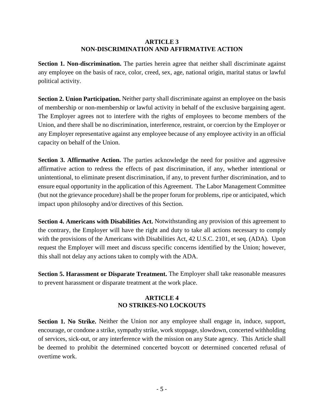#### **ARTICLE 3 NON-DISCRIMINATION AND AFFIRMATIVE ACTION**

<span id="page-5-0"></span>**Section 1. Non-discrimination.** The parties herein agree that neither shall discriminate against any employee on the basis of race, color, creed, sex, age, national origin, marital status or lawful political activity.

**Section 2. Union Participation.** Neither party shall discriminate against an employee on the basis of membership or non-membership or lawful activity in behalf of the exclusive bargaining agent. The Employer agrees not to interfere with the rights of employees to become members of the Union, and there shall be no discrimination, interference, restraint, or coercion by the Employer or any Employer representative against any employee because of any employee activity in an official capacity on behalf of the Union.

**Section 3. Affirmative Action.** The parties acknowledge the need for positive and aggressive affirmative action to redress the effects of past discrimination, if any, whether intentional or unintentional, to eliminate present discrimination, if any, to prevent further discrimination, and to ensure equal opportunity in the application of this Agreement. The Labor Management Committee (but not the grievance procedure) shall be the proper forum for problems, ripe or anticipated, which impact upon philosophy and/or directives of this Section.

**Section 4. Americans with Disabilities Act.** Notwithstanding any provision of this agreement to the contrary, the Employer will have the right and duty to take all actions necessary to comply with the provisions of the Americans with Disabilities Act, 42 U.S.C. 2101, et seq. (ADA). Upon request the Employer will meet and discuss specific concerns identified by the Union; however, this shall not delay any actions taken to comply with the ADA.

<span id="page-5-1"></span>**Section 5. Harassment or Disparate Treatment.** The Employer shall take reasonable measures to prevent harassment or disparate treatment at the work place.

## **ARTICLE 4 NO STRIKES-NO LOCKOUTS**

Section 1. No Strike. Neither the Union nor any employee shall engage in, induce, support, encourage, or condone a strike, sympathy strike, work stoppage, slowdown, concerted withholding of services, sick-out, or any interference with the mission on any State agency. This Article shall be deemed to prohibit the determined concerted boycott or determined concerted refusal of overtime work.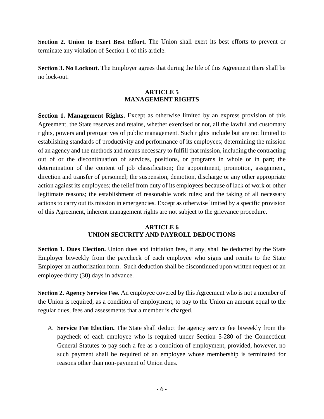**Section 2. Union to Exert Best Effort.** The Union shall exert its best efforts to prevent or terminate any violation of Section 1 of this article.

<span id="page-6-0"></span>**Section 3. No Lockout.** The Employer agrees that during the life of this Agreement there shall be no lock-out.

## **ARTICLE 5 MANAGEMENT RIGHTS**

**Section 1. Management Rights.** Except as otherwise limited by an express provision of this Agreement, the State reserves and retains, whether exercised or not, all the lawful and customary rights, powers and prerogatives of public management. Such rights include but are not limited to establishing standards of productivity and performance of its employees; determining the mission of an agency and the methods and means necessary to fulfill that mission, including the contracting out of or the discontinuation of services, positions, or programs in whole or in part; the determination of the content of job classification; the appointment, promotion, assignment, direction and transfer of personnel; the suspension, demotion, discharge or any other appropriate action against its employees; the relief from duty of its employees because of lack of work or other legitimate reasons; the establishment of reasonable work rules; and the taking of all necessary actions to carry out its mission in emergencies. Except as otherwise limited by a specific provision of this Agreement, inherent management rights are not subject to the grievance procedure.

## **ARTICLE 6 UNION SECURITY AND PAYROLL DEDUCTIONS**

<span id="page-6-1"></span>**Section 1. Dues Election.** Union dues and initiation fees, if any, shall be deducted by the State Employer biweekly from the paycheck of each employee who signs and remits to the State Employer an authorization form. Such deduction shall be discontinued upon written request of an employee thirty (30) days in advance.

**Section 2. Agency Service Fee.** An employee covered by this Agreement who is not a member of the Union is required, as a condition of employment, to pay to the Union an amount equal to the regular dues, fees and assessments that a member is charged.

A. **Service Fee Election.** The State shall deduct the agency service fee biweekly from the paycheck of each employee who is required under Section 5-280 of the Connecticut General Statutes to pay such a fee as a condition of employment, provided, however, no such payment shall be required of an employee whose membership is terminated for reasons other than non-payment of Union dues.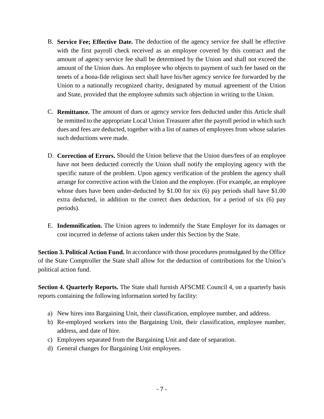- B. **Service Fee; Effective Date.** The deduction of the agency service fee shall be effective with the first payroll check received as an employee covered by this contract and the amount of agency service fee shall be determined by the Union and shall not exceed the amount of the Union dues. An employee who objects to payment of such fee based on the tenets of a bona-fide religious sect shall have his/her agency service fee forwarded by the Union to a nationally recognized charity, designated by mutual agreement of the Union and State, provided that the employee submits such objection in writing to the Union.
- C. **Remittance.** The amount of dues or agency service fees deducted under this Article shall be remitted to the appropriate Local Union Treasurer after the payroll period in which such dues and fees are deducted, together with a list of names of employees from whose salaries such deductions were made.
- D. **Correction of Errors.** Should the Union believe that the Union dues/fees of an employee have not been deducted correctly the Union shall notify the employing agency with the specific nature of the problem. Upon agency verification of the problem the agency shall arrange for corrective action with the Union and the employee. (For example, an employee whose dues have been under-deducted by \$1.00 for six (6) pay periods shall have \$1.00 extra deducted, in addition to the correct dues deduction, for a period of six (6) pay periods).
- E. **Indemnification.** The Union agrees to indemnify the State Employer for its damages or cost incurred in defense of actions taken under this Section by the State.

**Section 3. Political Action Fund.** In accordance with those procedures promulgated by the Office of the State Comptroller the State shall allow for the deduction of contributions for the Union's political action fund.

**Section 4. Quarterly Reports.** The State shall furnish AFSCME Council 4, on a quarterly basis reports containing the following information sorted by facility:

- a) New hires into Bargaining Unit, their classification, employee number, and address.
- b) Re-employed workers into the Bargaining Unit, their classification, employee number, address, and date of hire.
- c) Employees separated from the Bargaining Unit and date of separation.
- d) General changes for Bargaining Unit employees.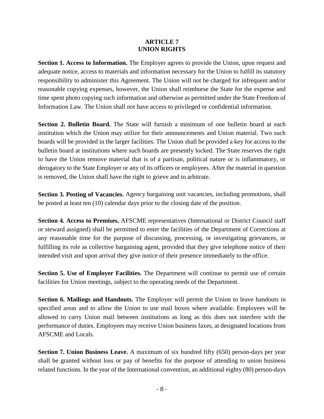#### **ARTICLE 7 UNION RIGHTS**

<span id="page-8-0"></span>**Section 1. Access to Information.** The Employer agrees to provide the Union, upon request and adequate notice, access to materials and information necessary for the Union to fulfill its statutory responsibility to administer this Agreement. The Union will not be charged for infrequent and/or reasonable copying expenses, however, the Union shall reimburse the State for the expense and time spent photo copying such information and otherwise as permitted under the State Freedom of Information Law. The Union shall not have access to privileged or confidential information.

**Section 2. Bulletin Board.** The State will furnish a minimum of one bulletin board at each institution which the Union may utilize for their announcements and Union material. Two such boards will be provided in the larger facilities. The Union shall be provided a key for access to the bulletin board at institutions where such boards are presently locked. The State reserves the right to have the Union remove material that is of a partisan, political nature or is inflammatory, or derogatory to the State Employer or any of its officers or employees. After the material in question is removed, the Union shall have the right to grieve and to arbitrate.

**Section 3. Posting of Vacancies.** Agency bargaining unit vacancies, including promotions, shall be posted at least ten (10) calendar days prior to the closing date of the position.

**Section 4. Access to Premises.** AFSCME representatives (International or District Council staff or steward assigned) shall be permitted to enter the facilities of the Department of Corrections at any reasonable time for the purpose of discussing, processing, or investigating grievances, or fulfilling its role as collective bargaining agent, provided that they give telephone notice of their intended visit and upon arrival they give notice of their presence immediately to the office.

**Section 5. Use of Employer Facilities.** The Department will continue to permit use of certain facilities for Union meetings, subject to the operating needs of the Department.

**Section 6. Mailings and Handouts.** The Employer will permit the Union to leave handouts in specified areas and to allow the Union to use mail boxes where available. Employees will be allowed to carry Union mail between institutions as long as this does not interfere with the performance of duties. Employees may receive Union business faxes, at designated locations from AFSCME and Locals.

**Section 7. Union Business Leave.** A maximum of six hundred fifty (650) person-days per year shall be granted without loss or pay of benefits for the purpose of attending to union business related functions. In the year of the International convention, an additional eighty (80) person-days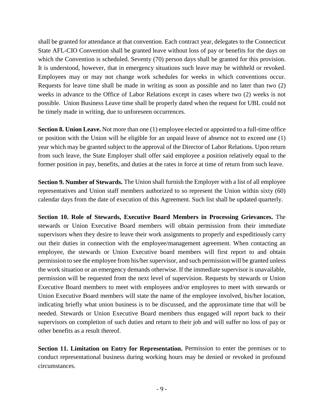shall be granted for attendance at that convention. Each contract year, delegates to the Connecticut State AFL-CIO Convention shall be granted leave without loss of pay or benefits for the days on which the Convention is scheduled. Seventy (70) person days shall be granted for this provision. It is understood, however, that in emergency situations such leave may be withheld or revoked. Employees may or may not change work schedules for weeks in which conventions occur. Requests for leave time shall be made in writing as soon as possible and no later than two (2) weeks in advance to the Office of Labor Relations except in cases where two (2) weeks is not possible. Union Business Leave time shall be properly dated when the request for UBL could not be timely made in writing, due to unforeseen occurrences.

**Section 8. Union Leave.** Not more than one (1) employee elected or appointed to a full-time office or position with the Union will be eligible for an unpaid leave of absence not to exceed one (1) year which may be granted subject to the approval of the Director of Labor Relations. Upon return from such leave, the State Employer shall offer said employee a position relatively equal to the former position in pay, benefits, and duties at the rates in force at time of return from such leave.

**Section 9. Number of Stewards.** The Union shall furnish the Employer with a list of all employee representatives and Union staff members authorized to so represent the Union within sixty (60) calendar days from the date of execution of this Agreement. Such list shall be updated quarterly.

**Section 10. Role of Stewards, Executive Board Members in Processing Grievances.** The stewards or Union Executive Board members will obtain permission from their immediate supervisors when they desire to leave their work assignments to properly and expeditiously carry out their duties in connection with the employee/management agreement. When contacting an employee, the stewards or Union Executive board members will first report to and obtain permission to see the employee from his/her supervisor, and such permission will be granted unless the work situation or an emergency demands otherwise. If the immediate supervisor is unavailable, permission will be requested from the next level of supervision. Requests by stewards or Union Executive Board members to meet with employees and/or employees to meet with stewards or Union Executive Board members will state the name of the employee involved, his/her location, indicating briefly what union business is to be discussed, and the approximate time that will be needed. Stewards or Union Executive Board members thus engaged will report back to their supervisors on completion of such duties and return to their job and will suffer no loss of pay or other benefits as a result thereof.

**Section 11. Limitation on Entry for Representation.** Permission to enter the premises or to conduct representational business during working hours may be denied or revoked in profound circumstances.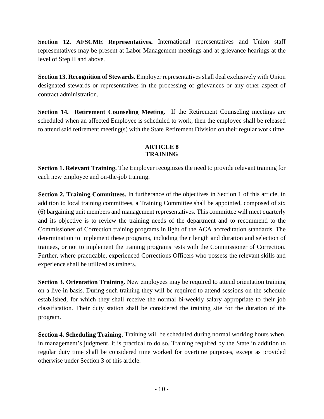**Section 12. AFSCME Representatives.** International representatives and Union staff representatives may be present at Labor Management meetings and at grievance hearings at the level of Step II and above.

**Section 13. Recognition of Stewards.** Employer representatives shall deal exclusively with Union designated stewards or representatives in the processing of grievances or any other aspect of contract administration.

**Section 14. Retirement Counseling Meeting**. If the Retirement Counseling meetings are scheduled when an affected Employee is scheduled to work, then the employee shall be released to attend said retirement meeting(s) with the State Retirement Division on their regular work time.

## **ARTICLE 8 TRAINING**

<span id="page-10-0"></span>**Section 1. Relevant Training.** The Employer recognizes the need to provide relevant training for each new employee and on-the-job training.

**Section 2. Training Committees.** In furtherance of the objectives in Section 1 of this article, in addition to local training committees, a Training Committee shall be appointed, composed of six (6) bargaining unit members and management representatives. This committee will meet quarterly and its objective is to review the training needs of the department and to recommend to the Commissioner of Correction training programs in light of the ACA accreditation standards. The determination to implement these programs, including their length and duration and selection of trainees, or not to implement the training programs rests with the Commissioner of Correction. Further, where practicable, experienced Corrections Officers who possess the relevant skills and experience shall be utilized as trainers.

**Section 3. Orientation Training.** New employees may be required to attend orientation training on a live-in basis. During such training they will be required to attend sessions on the schedule established, for which they shall receive the normal bi-weekly salary appropriate to their job classification. Their duty station shall be considered the training site for the duration of the program.

**Section 4. Scheduling Training.** Training will be scheduled during normal working hours when, in management's judgment, it is practical to do so. Training required by the State in addition to regular duty time shall be considered time worked for overtime purposes, except as provided otherwise under Section 3 of this article.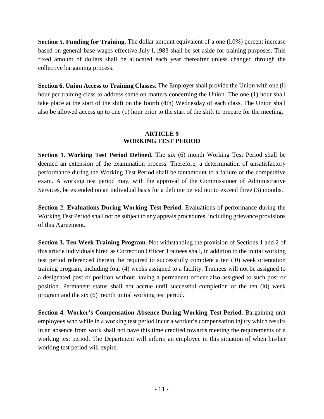**Section 5. Funding for Training.** The dollar amount equivalent of a one (1.0%) percent increase based on general base wages effective July l, l983 shall be set aside for training purposes. This fixed amount of dollars shall be allocated each year thereafter unless changed through the collective bargaining process.

**Section 6. Union Access to Training Classes.** The Employer shall provide the Union with one (l) hour per training class to address same on matters concerning the Union. The one (1) hour shall take place at the start of the shift on the fourth (4th) Wednesday of each class. The Union shall also be allowed access up to one (1) hour prior to the start of the shift to prepare for the meeting.

## **ARTICLE 9 WORKING TEST PERIOD**

<span id="page-11-0"></span>**Section 1. Working Test Period Defined.** The six (6) month Working Test Period shall be deemed an extension of the examination process. Therefore, a determination of unsatisfactory performance during the Working Test Period shall be tantamount to a failure of the competitive exam. A working test period may, with the approval of the Commissioner of Administrative Services, be extended on an individual basis for a definite period not to exceed three (3) months.

**Section 2. Evaluations During Working Test Period.** Evaluations of performance during the Working Test Period shall not be subject to any appeals procedures, including grievance provisions of this Agreement.

**Section 3. Ten Week Training Program.** Not withstanding the provision of Sections 1 and 2 of this article individuals hired as Correction Officer Trainees shall, in addition to the initial working test period referenced therein, be required to successfully complete a ten (l0) week orientation training program, including four (4) weeks assigned to a facility. Trainees will not be assigned to a designated post or position without having a permanent officer also assigned to such post or position. Permanent status shall not accrue until successful completion of the ten (l0) week program and the six (6) month initial working test period.

**Section 4. Worker's Compensation Absence During Working Test Period.** Bargaining unit employees who while in a working test period incur a worker's compensation injury which results in an absence from work shall not have this time credited towards meeting the requirements of a working test period. The Department will inform an employee in this situation of when his/her working test period will expire.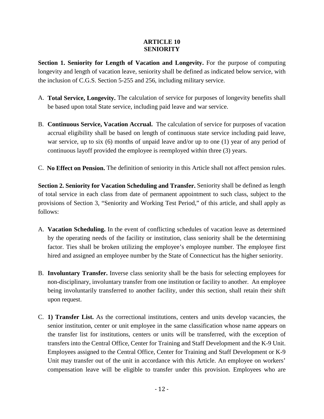## **ARTICLE 10 SENIORITY**

<span id="page-12-0"></span>**Section 1. Seniority for Length of Vacation and Longevity.** For the purpose of computing longevity and length of vacation leave, seniority shall be defined as indicated below service, with the inclusion of C.G.S. Section 5-255 and 256, including military service.

- A. **Total Service, Longevity.** The calculation of service for purposes of longevity benefits shall be based upon total State service, including paid leave and war service.
- B. **Continuous Service, Vacation Accrual.** The calculation of service for purposes of vacation accrual eligibility shall be based on length of continuous state service including paid leave, war service, up to six (6) months of unpaid leave and/or up to one (1) year of any period of continuous layoff provided the employee is reemployed within three (3) years.
- C. **No Effect on Pension.** The definition of seniority in this Article shall not affect pension rules.

**Section 2. Seniority for Vacation Scheduling and Transfer.** Seniority shall be defined as length of total service in each class from date of permanent appointment to such class, subject to the provisions of Section 3, "Seniority and Working Test Period," of this article, and shall apply as follows:

- A. **Vacation Scheduling.** In the event of conflicting schedules of vacation leave as determined by the operating needs of the facility or institution, class seniority shall be the determining factor. Ties shall be broken utilizing the employee's employee number. The employee first hired and assigned an employee number by the State of Connecticut has the higher seniority.
- B. **Involuntary Transfer.** Inverse class seniority shall be the basis for selecting employees for non-disciplinary, involuntary transfer from one institution or facility to another. An employee being involuntarily transferred to another facility, under this section, shall retain their shift upon request.
- C. **1) Transfer List.** As the correctional institutions, centers and units develop vacancies, the senior institution, center or unit employee in the same classification whose name appears on the transfer list for institutions, centers or units will be transferred, with the exception of transfers into the Central Office, Center for Training and Staff Development and the K-9 Unit. Employees assigned to the Central Office, Center for Training and Staff Development or K-9 Unit may transfer out of the unit in accordance with this Article. An employee on workers' compensation leave will be eligible to transfer under this provision. Employees who are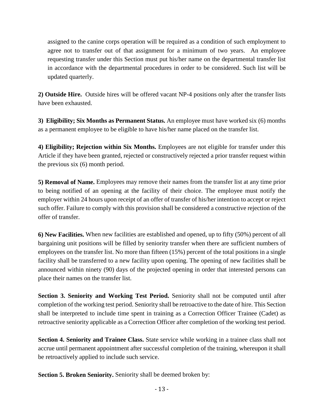assigned to the canine corps operation will be required as a condition of such employment to agree not to transfer out of that assignment for a minimum of two years. An employee requesting transfer under this Section must put his/her name on the departmental transfer list in accordance with the departmental procedures in order to be considered. Such list will be updated quarterly.

**2) Outside Hire.** Outside hires will be offered vacant NP-4 positions only after the transfer lists have been exhausted.

**3) Eligibility; Six Months as Permanent Status.** An employee must have worked six (6) months as a permanent employee to be eligible to have his/her name placed on the transfer list.

**4) Eligibility; Rejection within Six Months.** Employees are not eligible for transfer under this Article if they have been granted, rejected or constructively rejected a prior transfer request within the previous six (6) month period.

**5) Removal of Name.** Employees may remove their names from the transfer list at any time prior to being notified of an opening at the facility of their choice. The employee must notify the employer within 24 hours upon receipt of an offer of transfer of his/her intention to accept or reject such offer. Failure to comply with this provision shall be considered a constructive rejection of the offer of transfer.

**6) New Facilities.** When new facilities are established and opened, up to fifty (50%) percent of all bargaining unit positions will be filled by seniority transfer when there are sufficient numbers of employees on the transfer list. No more than fifteen (15%) percent of the total positions in a single facility shall be transferred to a new facility upon opening. The opening of new facilities shall be announced within ninety (90) days of the projected opening in order that interested persons can place their names on the transfer list.

**Section 3. Seniority and Working Test Period.** Seniority shall not be computed until after completion of the working test period. Seniority shall be retroactive to the date of hire. This Section shall be interpreted to include time spent in training as a Correction Officer Trainee (Cadet) as retroactive seniority applicable as a Correction Officer after completion of the working test period.

**Section 4. Seniority and Trainee Class.** State service while working in a trainee class shall not accrue until permanent appointment after successful completion of the training, whereupon it shall be retroactively applied to include such service.

**Section 5. Broken Seniority.** Seniority shall be deemed broken by: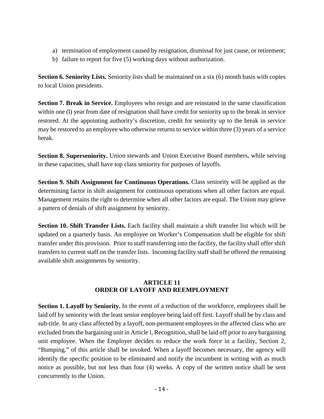- a) termination of employment caused by resignation, dismissal for just cause, or retirement;
- b) failure to report for five (5) working days without authorization.

**Section 6. Seniority Lists.** Seniority lists shall be maintained on a six (6) month basis with copies to local Union presidents.

**Section 7. Break in Service.** Employees who resign and are reinstated in the same classification within one (1) year from date of resignation shall have credit for seniority up to the break in service restored. At the appointing authority's discretion, credit for seniority up to the break in service may be restored to an employee who otherwise returns to service within three (3) years of a service break.

**Section 8. Superseniority.** Union stewards and Union Executive Board members, while serving in these capacities, shall have top class seniority for purposes of layoffs.

**Section 9. Shift Assignment for Continuous Operations.** Class seniority will be applied as the determining factor in shift assignment for continuous operations when all other factors are equal. Management retains the right to determine when all other factors are equal. The Union may grieve a pattern of denials of shift assignment by seniority.

**Section 10. Shift Transfer Lists.** Each facility shall maintain a shift transfer list which will be updated on a quarterly basis. An employee on Worker's Compensation shall be eligible for shift transfer under this provision. Prior to staff transferring into the facility, the facility shall offer shift transfers to current staff on the transfer lists. Incoming facility staff shall be offered the remaining available shift assignments by seniority.

## **ARTICLE 11 ORDER OF LAYOFF AND REEMPLOYMENT**

<span id="page-14-0"></span>**Section 1. Layoff by Seniority.** In the event of a reduction of the workforce, employees shall be laid off by seniority with the least senior employee being laid off first. Layoff shall be by class and sub-title. In any class affected by a layoff, non-permanent employees in the affected class who are excluded from the bargaining unit in Article l, Recognition, shall be laid off prior to any bargaining unit employee. When the Employer decides to reduce the work force in a facility, Section 2, "Bumping," of this article shall be invoked. When a layoff becomes necessary, the agency will identify the specific position to be eliminated and notify the incumbent in writing with as much notice as possible, but not less than four (4) weeks. A copy of the written notice shall be sent concurrently to the Union.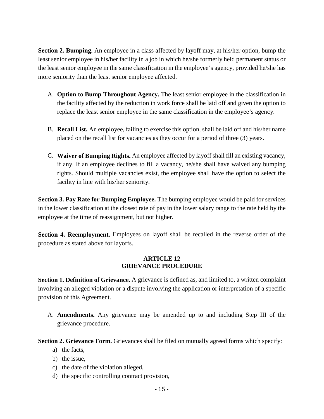**Section 2. Bumping.** An employee in a class affected by layoff may, at his/her option, bump the least senior employee in his/her facility in a job in which he/she formerly held permanent status or the least senior employee in the same classification in the employee's agency, provided he/she has more seniority than the least senior employee affected.

- A. **Option to Bump Throughout Agency.** The least senior employee in the classification in the facility affected by the reduction in work force shall be laid off and given the option to replace the least senior employee in the same classification in the employee's agency.
- B. **Recall List.** An employee, failing to exercise this option, shall be laid off and his/her name placed on the recall list for vacancies as they occur for a period of three (3) years.
- C. **Waiver of Bumping Rights.** An employee affected by layoff shall fill an existing vacancy, if any. If an employee declines to fill a vacancy, he/she shall have waived any bumping rights. Should multiple vacancies exist, the employee shall have the option to select the facility in line with his/her seniority.

**Section 3. Pay Rate for Bumping Employee.** The bumping employee would be paid for services in the lower classification at the closest rate of pay in the lower salary range to the rate held by the employee at the time of reassignment, but not higher.

**Section 4. Reemployment.** Employees on layoff shall be recalled in the reverse order of the procedure as stated above for layoffs.

## **ARTICLE 12 GRIEVANCE PROCEDURE**

<span id="page-15-0"></span>**Section 1. Definition of Grievance.** A grievance is defined as, and limited to, a written complaint involving an alleged violation or a dispute involving the application or interpretation of a specific provision of this Agreement.

A. **Amendments.** Any grievance may be amended up to and including Step III of the grievance procedure.

**Section 2. Grievance Form.** Grievances shall be filed on mutually agreed forms which specify:

- a) the facts,
- b) the issue,
- c) the date of the violation alleged,
- d) the specific controlling contract provision,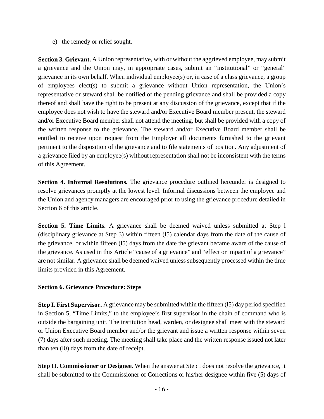e) the remedy or relief sought.

**Section 3. Grievant.** A Union representative, with or without the aggrieved employee, may submit a grievance and the Union may, in appropriate cases, submit an "institutional" or "general" grievance in its own behalf. When individual employee(s) or, in case of a class grievance, a group of employees elect(s) to submit a grievance without Union representation, the Union's representative or steward shall be notified of the pending grievance and shall be provided a copy thereof and shall have the right to be present at any discussion of the grievance, except that if the employee does not wish to have the steward and/or Executive Board member present, the steward and/or Executive Board member shall not attend the meeting, but shall be provided with a copy of the written response to the grievance. The steward and/or Executive Board member shall be entitled to receive upon request from the Employer all documents furnished to the grievant pertinent to the disposition of the grievance and to file statements of position. Any adjustment of a grievance filed by an employee(s) without representation shall not be inconsistent with the terms of this Agreement.

**Section 4. Informal Resolutions.** The grievance procedure outlined hereunder is designed to resolve grievances promptly at the lowest level. Informal discussions between the employee and the Union and agency managers are encouraged prior to using the grievance procedure detailed in Section 6 of this article.

**Section 5. Time Limits.** A grievance shall be deemed waived unless submitted at Step l (disciplinary grievance at Step 3) within fifteen (l5) calendar days from the date of the cause of the grievance, or within fifteen (l5) days from the date the grievant became aware of the cause of the grievance. As used in this Article "cause of a grievance" and "effect or impact of a grievance" are not similar. A grievance shall be deemed waived unless subsequently processed within the time limits provided in this Agreement.

## **Section 6. Grievance Procedure: Steps**

**Step I. First Supervisor.** A grievance may be submitted within the fifteen (l5) day period specified in Section 5, "Time Limits," to the employee's first supervisor in the chain of command who is outside the bargaining unit. The institution head, warden, or designee shall meet with the steward or Union Executive Board member and/or the grievant and issue a written response within seven (7) days after such meeting. The meeting shall take place and the written response issued not later than ten (l0) days from the date of receipt.

**Step II. Commissioner or Designee.** When the answer at Step I does not resolve the grievance, it shall be submitted to the Commissioner of Corrections or his/her designee within five (5) days of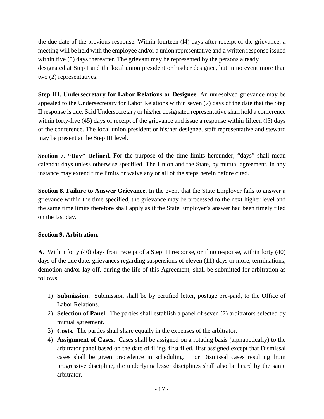the due date of the previous response. Within fourteen (l4) days after receipt of the grievance, a meeting will be held with the employee and/or a union representative and a written response issued within five (5) days thereafter. The grievant may be represented by the persons already designated at Step I and the local union president or his/her designee, but in no event more than two (2) representatives.

**Step III. Undersecretary for Labor Relations or Designee.** An unresolved grievance may be appealed to the Undersecretary for Labor Relations within seven (7) days of the date that the Step II response is due. Said Undersecretary or his/her designated representative shall hold a conference within forty-five (45) days of receipt of the grievance and issue a response within fifteen (15) days of the conference. The local union president or his/her designee, staff representative and steward may be present at the Step III level.

**Section 7. "Day" Defined.** For the purpose of the time limits hereunder, "days" shall mean calendar days unless otherwise specified. The Union and the State, by mutual agreement, in any instance may extend time limits or waive any or all of the steps herein before cited.

**Section 8. Failure to Answer Grievance.** In the event that the State Employer fails to answer a grievance within the time specified, the grievance may be processed to the next higher level and the same time limits therefore shall apply as if the State Employer's answer had been timely filed on the last day.

# **Section 9. Arbitration.**

**A.** Within forty (40) days from receipt of a Step III response, or if no response, within forty (40) days of the due date, grievances regarding suspensions of eleven (11) days or more, terminations, demotion and/or lay-off, during the life of this Agreement, shall be submitted for arbitration as follows:

- 1) **Submission.** Submission shall be by certified letter, postage pre-paid, to the Office of Labor Relations.
- 2) **Selection of Panel.** The parties shall establish a panel of seven (7) arbitrators selected by mutual agreement.
- 3) **Costs.** The parties shall share equally in the expenses of the arbitrator.
- 4) **Assignment of Cases.** Cases shall be assigned on a rotating basis (alphabetically) to the arbitrator panel based on the date of filing, first filed, first assigned except that Dismissal cases shall be given precedence in scheduling. For Dismissal cases resulting from progressive discipline, the underlying lesser disciplines shall also be heard by the same arbitrator.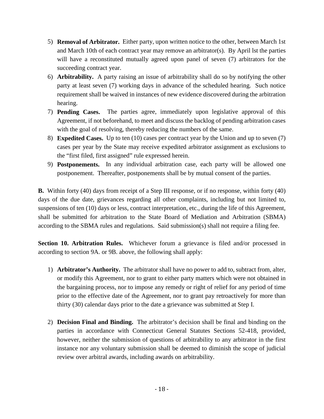- 5) **Removal of Arbitrator.** Either party, upon written notice to the other, between March 1st and March 10th of each contract year may remove an arbitrator(s). By April lst the parties will have a reconstituted mutually agreed upon panel of seven (7) arbitrators for the succeeding contract year.
- 6) **Arbitrability.** A party raising an issue of arbitrability shall do so by notifying the other party at least seven (7) working days in advance of the scheduled hearing. Such notice requirement shall be waived in instances of new evidence discovered during the arbitration hearing.
- 7) **Pending Cases.** The parties agree, immediately upon legislative approval of this Agreement, if not beforehand, to meet and discuss the backlog of pending arbitration cases with the goal of resolving, thereby reducing the numbers of the same.
- 8) **Expedited Cases.** Up to ten (10) cases per contract year by the Union and up to seven (7) cases per year by the State may receive expedited arbitrator assignment as exclusions to the "first filed, first assigned" rule expressed herein.
- 9) **Postponements.** In any individual arbitration case, each party will be allowed one postponement. Thereafter, postponements shall be by mutual consent of the parties.

**B.** Within forty (40) days from receipt of a Step III response, or if no response, within forty (40) days of the due date, grievances regarding all other complaints, including but not limited to, suspensions of ten (10) days or less, contract interpretation, etc., during the life of this Agreement, shall be submitted for arbitration to the State Board of Mediation and Arbitration (SBMA) according to the SBMA rules and regulations. Said submission(s) shall not require a filing fee.

**Section 10. Arbitration Rules.** Whichever forum a grievance is filed and/or processed in according to section 9A. or 9B. above, the following shall apply:

- 1) **Arbitrator's Authority.** The arbitrator shall have no power to add to, subtract from, alter, or modify this Agreement, nor to grant to either party matters which were not obtained in the bargaining process, nor to impose any remedy or right of relief for any period of time prior to the effective date of the Agreement, nor to grant pay retroactively for more than thirty (30) calendar days prior to the date a grievance was submitted at Step I.
- 2) **Decision Final and Binding.** The arbitrator's decision shall be final and binding on the parties in accordance with Connecticut General Statutes Sections 52-418, provided, however, neither the submission of questions of arbitrability to any arbitrator in the first instance nor any voluntary submission shall be deemed to diminish the scope of judicial review over arbitral awards, including awards on arbitrability.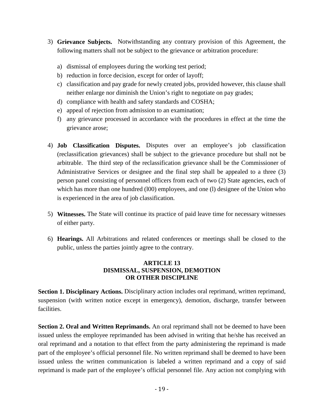- 3) **Grievance Subjects.** Notwithstanding any contrary provision of this Agreement, the following matters shall not be subject to the grievance or arbitration procedure:
	- a) dismissal of employees during the working test period;
	- b) reduction in force decision, except for order of layoff;
	- c) classification and pay grade for newly created jobs, provided however, this clause shall neither enlarge nor diminish the Union's right to negotiate on pay grades;
	- d) compliance with health and safety standards and COSHA;
	- e) appeal of rejection from admission to an examination;
	- f) any grievance processed in accordance with the procedures in effect at the time the grievance arose;
- 4) **Job Classification Disputes.** Disputes over an employee's job classification (reclassification grievances) shall be subject to the grievance procedure but shall not be arbitrable. The third step of the reclassification grievance shall be the Commissioner of Administrative Services or designee and the final step shall be appealed to a three (3) person panel consisting of personnel officers from each of two (2) State agencies, each of which has more than one hundred (100) employees, and one (1) designee of the Union who is experienced in the area of job classification.
- 5) **Witnesses.** The State will continue its practice of paid leave time for necessary witnesses of either party.
- <span id="page-19-0"></span>6) **Hearings.** All Arbitrations and related conferences or meetings shall be closed to the public, unless the parties jointly agree to the contrary.

## **ARTICLE 13 DISMISSAL, SUSPENSION, DEMOTION OR OTHER DISCIPLINE**

**Section 1. Disciplinary Actions.** Disciplinary action includes oral reprimand, written reprimand, suspension (with written notice except in emergency), demotion, discharge, transfer between facilities.

**Section 2. Oral and Written Reprimands.** An oral reprimand shall not be deemed to have been issued unless the employee reprimanded has been advised in writing that he/she has received an oral reprimand and a notation to that effect from the party administering the reprimand is made part of the employee's official personnel file. No written reprimand shall be deemed to have been issued unless the written communication is labeled a written reprimand and a copy of said reprimand is made part of the employee's official personnel file. Any action not complying with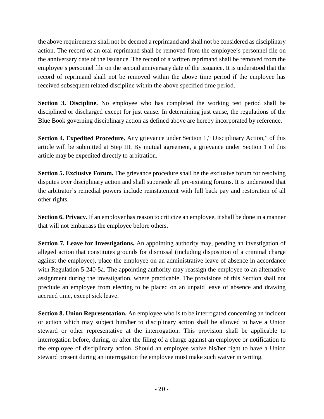the above requirements shall not be deemed a reprimand and shall not be considered as disciplinary action. The record of an oral reprimand shall be removed from the employee's personnel file on the anniversary date of the issuance. The record of a written reprimand shall be removed from the employee's personnel file on the second anniversary date of the issuance. It is understood that the record of reprimand shall not be removed within the above time period if the employee has received subsequent related discipline within the above specified time period.

**Section 3. Discipline.** No employee who has completed the working test period shall be disciplined or discharged except for just cause. In determining just cause, the regulations of the Blue Book governing disciplinary action as defined above are hereby incorporated by reference.

**Section 4. Expedited Procedure.** Any grievance under Section 1, "Disciplinary Action," of this article will be submitted at Step III. By mutual agreement, a grievance under Section 1 of this article may be expedited directly to arbitration.

**Section 5. Exclusive Forum.** The grievance procedure shall be the exclusive forum for resolving disputes over disciplinary action and shall supersede all pre-existing forums. It is understood that the arbitrator's remedial powers include reinstatement with full back pay and restoration of all other rights.

**Section 6. Privacy.** If an employer has reason to criticize an employee, it shall be done in a manner that will not embarrass the employee before others.

**Section 7. Leave for Investigations.** An appointing authority may, pending an investigation of alleged action that constitutes grounds for dismissal (including disposition of a criminal charge against the employee), place the employee on an administrative leave of absence in accordance with Regulation 5-240-5a. The appointing authority may reassign the employee to an alternative assignment during the investigation, where practicable. The provisions of this Section shall not preclude an employee from electing to be placed on an unpaid leave of absence and drawing accrued time, except sick leave.

**Section 8. Union Representation.** An employee who is to be interrogated concerning an incident or action which may subject him/her to disciplinary action shall be allowed to have a Union steward or other representative at the interrogation. This provision shall be applicable to interrogation before, during, or after the filing of a charge against an employee or notification to the employee of disciplinary action. Should an employee waive his/her right to have a Union steward present during an interrogation the employee must make such waiver in writing.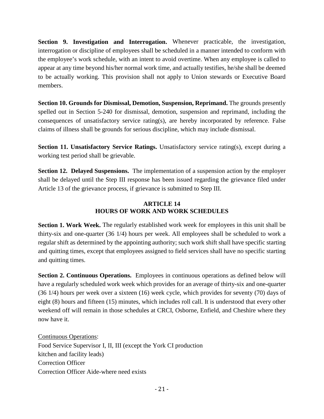**Section 9. Investigation and Interrogation.** Whenever practicable, the investigation, interrogation or discipline of employees shall be scheduled in a manner intended to conform with the employee's work schedule, with an intent to avoid overtime. When any employee is called to appear at any time beyond his/her normal work time, and actually testifies, he/she shall be deemed to be actually working. This provision shall not apply to Union stewards or Executive Board members.

**Section 10. Grounds for Dismissal, Demotion, Suspension, Reprimand.** The grounds presently spelled out in Section 5-240 for dismissal, demotion, suspension and reprimand, including the consequences of unsatisfactory service rating(s), are hereby incorporated by reference. False claims of illness shall be grounds for serious discipline, which may include dismissal.

**Section 11. Unsatisfactory Service Ratings.** Unsatisfactory service rating(s), except during a working test period shall be grievable.

**Section 12. Delayed Suspensions.** The implementation of a suspension action by the employer shall be delayed until the Step III response has been issued regarding the grievance filed under Article 13 of the grievance process, if grievance is submitted to Step III.

## **ARTICLE 14 HOURS OF WORK AND WORK SCHEDULES**

<span id="page-21-0"></span>**Section 1. Work Week.** The regularly established work week for employees in this unit shall be thirty-six and one-quarter (36 1/4) hours per week. All employees shall be scheduled to work a regular shift as determined by the appointing authority; such work shift shall have specific starting and quitting times, except that employees assigned to field services shall have no specific starting and quitting times.

**Section 2. Continuous Operations.** Employees in continuous operations as defined below will have a regularly scheduled work week which provides for an average of thirty-six and one-quarter (36 1/4) hours per week over a sixteen (16) week cycle, which provides for seventy (70) days of eight (8) hours and fifteen (15) minutes, which includes roll call. It is understood that every other weekend off will remain in those schedules at CRCI, Osborne, Enfield, and Cheshire where they now have it.

Continuous Operations: Food Service Supervisor I, II, III (except the York CI production kitchen and facility leads) Correction Officer Correction Officer Aide-where need exists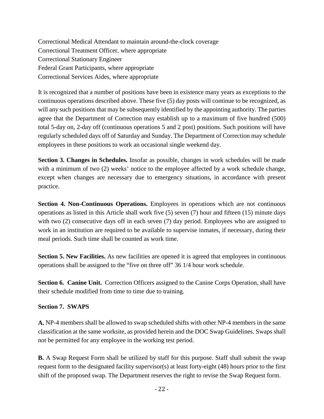Correctional Medical Attendant to maintain around-the-clock coverage Correctional Treatment Officer, where appropriate Correctional Stationary Engineer Federal Grant Participants, where appropriate Correctional Services Aides, where appropriate

It is recognized that a number of positions have been in existence many years as exceptions to the continuous operations described above. These five (5) day posts will continue to be recognized, as will any such positions that may be subsequently identified by the appointing authority. The parties agree that the Department of Correction may establish up to a maximum of five hundred (500) total 5-day on, 2-day off (continuous operations 5 and 2 post) positions. Such positions will have regularly scheduled days off of Saturday and Sunday. The Department of Correction may schedule employees in these positions to work an occasional single weekend day.

**Section 3. Changes in Schedules.** Insofar as possible, changes in work schedules will be made with a minimum of two (2) weeks' notice to the employee affected by a work schedule change, except when changes are necessary due to emergency situations, in accordance with present practice.

**Section 4. Non-Continuous Operations.** Employees in operations which are not continuous operations as listed in this Article shall work five (5) seven (7) hour and fifteen (15) minute days with two (2) consecutive days off in each seven (7) day period. Employees who are assigned to work in an institution are required to be available to supervise inmates, if necessary, during their meal periods. Such time shall be counted as work time.

**Section 5. New Facilities.** As new facilities are opened it is agreed that employees in continuous operations shall be assigned to the "five on three off" 36 1/4 hour work schedule.

**Section 6. Canine Unit.** Correction Officers assigned to the Canine Corps Operation, shall have their schedule modified from time to time due to training.

## **Section 7. SWAPS**

**A.** NP-4 members shall be allowed to swap scheduled shifts with other NP-4 members in the same classification at the same worksite, as provided herein and the DOC Swap Guidelines. Swaps shall not be permitted for any employee in the working test period.

**B.** A Swap Request Form shall be utilized by staff for this purpose. Staff shall submit the swap request form to the designated facility supervisor(s) at least forty-eight (48) hours prior to the first shift of the proposed swap. The Department reserves the right to revise the Swap Request form.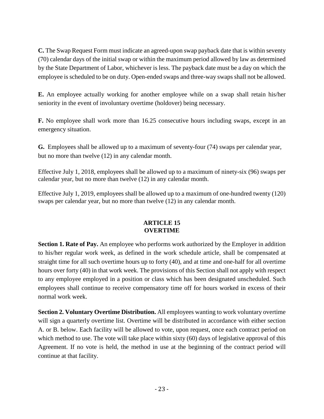**C.** The Swap Request Form must indicate an agreed-upon swap payback date that is within seventy (70) calendar days of the initial swap or within the maximum period allowed by law as determined by the State Department of Labor, whichever is less. The payback date must be a day on which the employee is scheduled to be on duty. Open-ended swaps and three-way swaps shall not be allowed.

**E.** An employee actually working for another employee while on a swap shall retain his/her seniority in the event of involuntary overtime (holdover) being necessary.

**F.** No employee shall work more than 16.25 consecutive hours including swaps, except in an emergency situation.

**G.** Employees shall be allowed up to a maximum of seventy-four (74) swaps per calendar year, but no more than twelve (12) in any calendar month.

Effective July 1, 2018, employees shall be allowed up to a maximum of ninety-six (96) swaps per calendar year, but no more than twelve (12) in any calendar month.

Effective July 1, 2019, employees shall be allowed up to a maximum of one-hundred twenty (120) swaps per calendar year, but no more than twelve (12) in any calendar month.

## **ARTICLE 15 OVERTIME**

<span id="page-23-0"></span>**Section 1. Rate of Pay.** An employee who performs work authorized by the Employer in addition to his/her regular work week, as defined in the work schedule article, shall be compensated at straight time for all such overtime hours up to forty (40), and at time and one-half for all overtime hours over forty (40) in that work week. The provisions of this Section shall not apply with respect to any employee employed in a position or class which has been designated unscheduled. Such employees shall continue to receive compensatory time off for hours worked in excess of their normal work week.

**Section 2. Voluntary Overtime Distribution.** All employees wanting to work voluntary overtime will sign a quarterly overtime list. Overtime will be distributed in accordance with either section A. or B. below. Each facility will be allowed to vote, upon request, once each contract period on which method to use. The vote will take place within sixty (60) days of legislative approval of this Agreement. If no vote is held, the method in use at the beginning of the contract period will continue at that facility.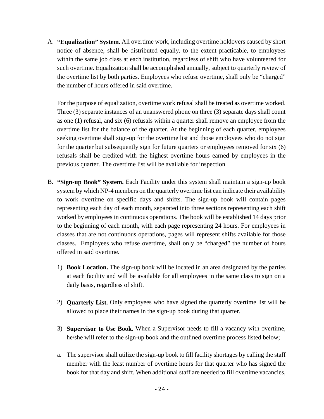A. **"Equalization" System.** All overtime work, including overtime holdovers caused by short notice of absence, shall be distributed equally, to the extent practicable, to employees within the same job class at each institution, regardless of shift who have volunteered for such overtime. Equalization shall be accomplished annually, subject to quarterly review of the overtime list by both parties. Employees who refuse overtime, shall only be "charged" the number of hours offered in said overtime.

For the purpose of equalization, overtime work refusal shall be treated as overtime worked. Three (3) separate instances of an unanswered phone on three (3) separate days shall count as one (1) refusal, and six (6) refusals within a quarter shall remove an employee from the overtime list for the balance of the quarter. At the beginning of each quarter, employees seeking overtime shall sign-up for the overtime list and those employees who do not sign for the quarter but subsequently sign for future quarters or employees removed for six (6) refusals shall be credited with the highest overtime hours earned by employees in the previous quarter. The overtime list will be available for inspection.

- B. **"Sign-up Book" System.** Each Facility under this system shall maintain a sign-up book system by which NP-4 members on the quarterly overtime list can indicate their availability to work overtime on specific days and shifts. The sign-up book will contain pages representing each day of each month, separated into three sections representing each shift worked by employees in continuous operations. The book will be established 14 days prior to the beginning of each month, with each page representing 24 hours. For employees in classes that are not continuous operations, pages will represent shifts available for those classes. Employees who refuse overtime, shall only be "charged" the number of hours offered in said overtime.
	- 1) **Book Location.** The sign-up book will be located in an area designated by the parties at each facility and will be available for all employees in the same class to sign on a daily basis, regardless of shift.
	- 2) **Quarterly List.** Only employees who have signed the quarterly overtime list will be allowed to place their names in the sign-up book during that quarter.
	- 3) **Supervisor to Use Book.** When a Supervisor needs to fill a vacancy with overtime, he/she will refer to the sign-up book and the outlined overtime process listed below;
	- a. The supervisor shall utilize the sign-up book to fill facility shortages by calling the staff member with the least number of overtime hours for that quarter who has signed the book for that day and shift. When additional staff are needed to fill overtime vacancies,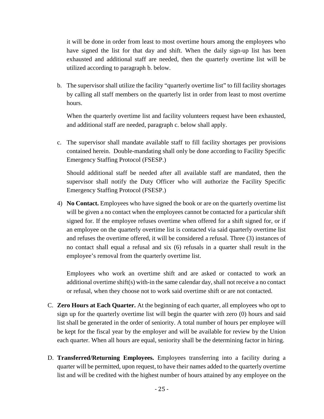it will be done in order from least to most overtime hours among the employees who have signed the list for that day and shift. When the daily sign-up list has been exhausted and additional staff are needed, then the quarterly overtime list will be utilized according to paragraph b. below.

b. The supervisor shall utilize the facility "quarterly overtime list" to fill facility shortages by calling all staff members on the quarterly list in order from least to most overtime hours.

When the quarterly overtime list and facility volunteers request have been exhausted, and additional staff are needed, paragraph c. below shall apply.

c. The supervisor shall mandate available staff to fill facility shortages per provisions contained herein. Double-mandating shall only be done according to Facility Specific Emergency Staffing Protocol (FSESP.)

Should additional staff be needed after all available staff are mandated, then the supervisor shall notify the Duty Officer who will authorize the Facility Specific Emergency Staffing Protocol (FSESP.)

4) **No Contact.** Employees who have signed the book or are on the quarterly overtime list will be given a no contact when the employees cannot be contacted for a particular shift signed for. If the employee refuses overtime when offered for a shift signed for, or if an employee on the quarterly overtime list is contacted via said quarterly overtime list and refuses the overtime offered, it will be considered a refusal. Three (3) instances of no contact shall equal a refusal and six (6) refusals in a quarter shall result in the employee's removal from the quarterly overtime list.

Employees who work an overtime shift and are asked or contacted to work an additional overtime shift(s) with-in the same calendar day, shall not receive a no contact or refusal, when they choose not to work said overtime shift or are not contacted.

- C. **Zero Hours at Each Quarter.** At the beginning of each quarter, all employees who opt to sign up for the quarterly overtime list will begin the quarter with zero (0) hours and said list shall be generated in the order of seniority. A total number of hours per employee will be kept for the fiscal year by the employer and will be available for review by the Union each quarter. When all hours are equal, seniority shall be the determining factor in hiring.
- D. **Transferred/Returning Employees.** Employees transferring into a facility during a quarter will be permitted, upon request, to have their names added to the quarterly overtime list and will be credited with the highest number of hours attained by any employee on the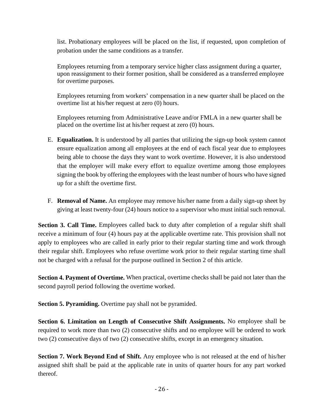list. Probationary employees will be placed on the list, if requested, upon completion of probation under the same conditions as a transfer.

Employees returning from a temporary service higher class assignment during a quarter, upon reassignment to their former position, shall be considered as a transferred employee for overtime purposes.

Employees returning from workers' compensation in a new quarter shall be placed on the overtime list at his/her request at zero (0) hours.

Employees returning from Administrative Leave and/or FMLA in a new quarter shall be placed on the overtime list at his/her request at zero (0) hours.

- E. **Equalization.** It is understood by all parties that utilizing the sign-up book system cannot ensure equalization among all employees at the end of each fiscal year due to employees being able to choose the days they want to work overtime. However, it is also understood that the employer will make every effort to equalize overtime among those employees signing the book by offering the employees with the least number of hours who have signed up for a shift the overtime first.
- F. **Removal of Name.** An employee may remove his/her name from a daily sign-up sheet by giving at least twenty-four (24) hours notice to a supervisor who must initial such removal.

**Section 3. Call Time.** Employees called back to duty after completion of a regular shift shall receive a minimum of four (4) hours pay at the applicable overtime rate. This provision shall not apply to employees who are called in early prior to their regular starting time and work through their regular shift. Employees who refuse overtime work prior to their regular starting time shall not be charged with a refusal for the purpose outlined in Section 2 of this article.

**Section 4. Payment of Overtime.** When practical, overtime checks shall be paid not later than the second payroll period following the overtime worked.

**Section 5. Pyramiding.** Overtime pay shall not be pyramided.

**Section 6. Limitation on Length of Consecutive Shift Assignments.** No employee shall be required to work more than two (2) consecutive shifts and no employee will be ordered to work two (2) consecutive days of two (2) consecutive shifts, except in an emergency situation.

**Section 7. Work Beyond End of Shift.** Any employee who is not released at the end of his/her assigned shift shall be paid at the applicable rate in units of quarter hours for any part worked thereof.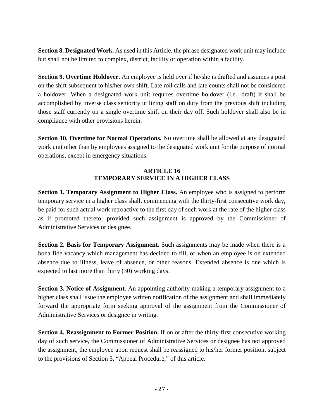**Section 8. Designated Work.** As used in this Article, the phrase designated work unit may include but shall not be limited to complex, district, facility or operation within a facility.

**Section 9. Overtime Holdover.** An employee is held over if he/she is drafted and assumes a post on the shift subsequent to his/her own shift. Late roll calls and late counts shall not be considered a holdover. When a designated work unit requires overtime holdover (i.e., draft) it shall be accomplished by inverse class seniority utilizing staff on duty from the previous shift including those staff currently on a single overtime shift on their day off. Such holdover shall also be in compliance with other provisions herein.

**Section 10. Overtime for Normal Operations.** No overtime shall be allowed at any designated work unit other than by employees assigned to the designated work unit for the purpose of normal operations, except in emergency situations.

## **ARTICLE 16 TEMPORARY SERVICE IN A HIGHER CLASS**

<span id="page-27-0"></span>**Section 1. Temporary Assignment to Higher Class.** An employee who is assigned to perform temporary service in a higher class shall, commencing with the thirty-first consecutive work day, be paid for such actual work retroactive to the first day of such work at the rate of the higher class as if promoted thereto, provided such assignment is approved by the Commissioner of Administrative Services or designee.

**Section 2. Basis for Temporary Assignment.** Such assignments may be made when there is a bona fide vacancy which management has decided to fill, or when an employee is on extended absence due to illness, leave of absence, or other reasons. Extended absence is one which is expected to last more than thirty (30) working days.

**Section 3. Notice of Assignment.** An appointing authority making a temporary assignment to a higher class shall issue the employee written notification of the assignment and shall immediately forward the appropriate form seeking approval of the assignment from the Commissioner of Administrative Services or designee in writing.

**Section 4. Reassignment to Former Position.** If on or after the thirty-first consecutive working day of such service, the Commissioner of Administrative Services or designee has not approved the assignment, the employee upon request shall be reassigned to his/her former position, subject to the provisions of Section 5, "Appeal Procedure," of this article.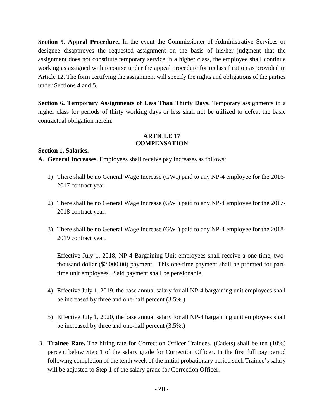**Section 5. Appeal Procedure.** In the event the Commissioner of Administrative Services or designee disapproves the requested assignment on the basis of his/her judgment that the assignment does not constitute temporary service in a higher class, the employee shall continue working as assigned with recourse under the appeal procedure for reclassification as provided in Article 12. The form certifying the assignment will specify the rights and obligations of the parties under Sections 4 and 5.

**Section 6. Temporary Assignments of Less Than Thirty Days.** Temporary assignments to a higher class for periods of thirty working days or less shall not be utilized to defeat the basic contractual obligation herein.

## **ARTICLE 17 COMPENSATION**

<span id="page-28-0"></span>**Section 1. Salaries.**

A. **General Increases.** Employees shall receive pay increases as follows:

- 1) There shall be no General Wage Increase (GWI) paid to any NP-4 employee for the 2016- 2017 contract year.
- 2) There shall be no General Wage Increase (GWI) paid to any NP-4 employee for the 2017- 2018 contract year.
- 3) There shall be no General Wage Increase (GWI) paid to any NP-4 employee for the 2018- 2019 contract year.

Effective July 1, 2018, NP-4 Bargaining Unit employees shall receive a one-time, twothousand dollar (\$2,000.00) payment. This one-time payment shall be prorated for parttime unit employees. Said payment shall be pensionable.

- 4) Effective July 1, 2019, the base annual salary for all NP-4 bargaining unit employees shall be increased by three and one-half percent (3.5%.)
- 5) Effective July 1, 2020, the base annual salary for all NP-4 bargaining unit employees shall be increased by three and one-half percent (3.5%.)
- B. **Trainee Rate.** The hiring rate for Correction Officer Trainees, (Cadets) shall be ten (10%) percent below Step 1 of the salary grade for Correction Officer. In the first full pay period following completion of the tenth week of the initial probationary period such Trainee's salary will be adjusted to Step 1 of the salary grade for Correction Officer.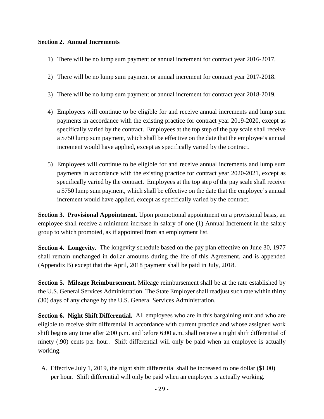## **Section 2. Annual Increments**

- 1) There will be no lump sum payment or annual increment for contract year 2016-2017.
- 2) There will be no lump sum payment or annual increment for contract year 2017-2018.
- 3) There will be no lump sum payment or annual increment for contract year 2018-2019.
- 4) Employees will continue to be eligible for and receive annual increments and lump sum payments in accordance with the existing practice for contract year 2019-2020, except as specifically varied by the contract. Employees at the top step of the pay scale shall receive a \$750 lump sum payment, which shall be effective on the date that the employee's annual increment would have applied, except as specifically varied by the contract.
- 5) Employees will continue to be eligible for and receive annual increments and lump sum payments in accordance with the existing practice for contract year 2020-2021, except as specifically varied by the contract. Employees at the top step of the pay scale shall receive a \$750 lump sum payment, which shall be effective on the date that the employee's annual increment would have applied, except as specifically varied by the contract.

**Section 3. Provisional Appointment.** Upon promotional appointment on a provisional basis, an employee shall receive a minimum increase in salary of one (1) Annual Increment in the salary group to which promoted, as if appointed from an employment list.

**Section 4. Longevity.** The longevity schedule based on the pay plan effective on June 30, 1977 shall remain unchanged in dollar amounts during the life of this Agreement, and is appended (Appendix B) except that the April, 2018 payment shall be paid in July, 2018.

**Section 5. Mileage Reimbursement.** Mileage reimbursement shall be at the rate established by the U.S. General Services Administration. The State Employer shall readjust such rate within thirty (30) days of any change by the U.S. General Services Administration.

**Section 6. Night Shift Differential.** All employees who are in this bargaining unit and who are eligible to receive shift differential in accordance with current practice and whose assigned work shift begins any time after 2:00 p.m. and before 6:00 a.m. shall receive a night shift differential of ninety (.90) cents per hour. Shift differential will only be paid when an employee is actually working.

A. Effective July 1, 2019, the night shift differential shall be increased to one dollar (\$1.00) per hour. Shift differential will only be paid when an employee is actually working.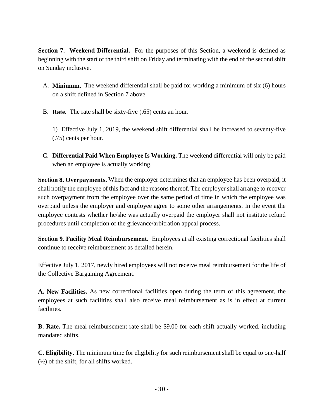**Section 7. Weekend Differential.** For the purposes of this Section, a weekend is defined as beginning with the start of the third shift on Friday and terminating with the end of the second shift on Sunday inclusive.

- A. **Minimum.** The weekend differential shall be paid for working a minimum of six (6) hours on a shift defined in Section 7 above.
- B. **Rate.** The rate shall be sixty-five (.65) cents an hour.

1) Effective July 1, 2019, the weekend shift differential shall be increased to seventy-five (.75) cents per hour.

C. **Differential Paid When Employee Is Working.** The weekend differential will only be paid when an employee is actually working.

**Section 8. Overpayments.** When the employer determines that an employee has been overpaid, it shall notify the employee of this fact and the reasons thereof. The employer shall arrange to recover such overpayment from the employee over the same period of time in which the employee was overpaid unless the employer and employee agree to some other arrangements. In the event the employee contests whether he/she was actually overpaid the employer shall not institute refund procedures until completion of the grievance/arbitration appeal process.

**Section 9. Facility Meal Reimbursement.** Employees at all existing correctional facilities shall continue to receive reimbursement as detailed herein.

Effective July 1, 2017, newly hired employees will not receive meal reimbursement for the life of the Collective Bargaining Agreement.

**A. New Facilities.** As new correctional facilities open during the term of this agreement, the employees at such facilities shall also receive meal reimbursement as is in effect at current facilities.

**B. Rate.** The meal reimbursement rate shall be \$9.00 for each shift actually worked, including mandated shifts.

**C. Eligibility.** The minimum time for eligibility for such reimbursement shall be equal to one-half  $(½)$  of the shift, for all shifts worked.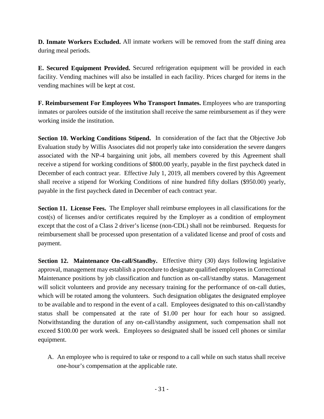**D. Inmate Workers Excluded.** All inmate workers will be removed from the staff dining area during meal periods.

**E. Secured Equipment Provided.** Secured refrigeration equipment will be provided in each facility. Vending machines will also be installed in each facility. Prices charged for items in the vending machines will be kept at cost.

**F. Reimbursement For Employees Who Transport Inmates.** Employees who are transporting inmates or parolees outside of the institution shall receive the same reimbursement as if they were working inside the institution.

**Section 10. Working Conditions Stipend.** In consideration of the fact that the Objective Job Evaluation study by Willis Associates did not properly take into consideration the severe dangers associated with the NP-4 bargaining unit jobs, all members covered by this Agreement shall receive a stipend for working conditions of \$800.00 yearly, payable in the first paycheck dated in December of each contract year. Effective July 1, 2019, all members covered by this Agreement shall receive a stipend for Working Conditions of nine hundred fifty dollars (\$950.00) yearly, payable in the first paycheck dated in December of each contract year.

**Section 11. License Fees.** The Employer shall reimburse employees in all classifications for the cost(s) of licenses and/or certificates required by the Employer as a condition of employment except that the cost of a Class 2 driver's license (non-CDL) shall not be reimbursed. Requests for reimbursement shall be processed upon presentation of a validated license and proof of costs and payment.

**Section 12. Maintenance On-call/Standby.** Effective thirty (30) days following legislative approval, management may establish a procedure to designate qualified employees in Correctional Maintenance positions by job classification and function as on-call/standby status. Management will solicit volunteers and provide any necessary training for the performance of on-call duties, which will be rotated among the volunteers. Such designation obligates the designated employee to be available and to respond in the event of a call. Employees designated to this on-call/standby status shall be compensated at the rate of \$1.00 per hour for each hour so assigned. Notwithstanding the duration of any on-call/standby assignment, such compensation shall not exceed \$100.00 per work week. Employees so designated shall be issued cell phones or similar equipment.

A. An employee who is required to take or respond to a call while on such status shall receive one-hour's compensation at the applicable rate.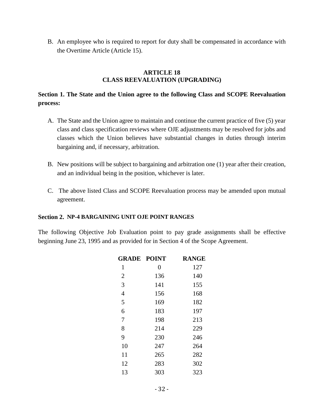B. An employee who is required to report for duty shall be compensated in accordance with the Overtime Article (Article 15).

#### **ARTICLE 18 CLASS REEVALUATION (UPGRADING)**

# <span id="page-32-0"></span>**Section 1. The State and the Union agree to the following Class and SCOPE Reevaluation process:**

- A. The State and the Union agree to maintain and continue the current practice of five (5) year class and class specification reviews where OJE adjustments may be resolved for jobs and classes which the Union believes have substantial changes in duties through interim bargaining and, if necessary, arbitration.
- B. New positions will be subject to bargaining and arbitration one (1) year after their creation, and an individual being in the position, whichever is later.
- C. The above listed Class and SCOPE Reevaluation process may be amended upon mutual agreement.

#### **Section 2. NP-4 BARGAINING UNIT OJE POINT RANGES**

The following Objective Job Evaluation point to pay grade assignments shall be effective beginning June 23, 1995 and as provided for in Section 4 of the Scope Agreement.

| <b>GRADE POINT</b> |                | <b>RANGE</b> |
|--------------------|----------------|--------------|
| 1                  | $\overline{0}$ | 127          |
| $\overline{2}$     | 136            | 140          |
| 3                  | 141            | 155          |
| $\overline{4}$     | 156            | 168          |
| 5                  | 169            | 182          |
| 6                  | 183            | 197          |
| 7                  | 198            | 213          |
| 8                  | 214            | 229          |
| 9                  | 230            | 246          |
| 10                 | 247            | 264          |
| 11                 | 265            | 282          |
| 12                 | 283            | 302          |
| 13                 | 303            | 323          |
|                    |                |              |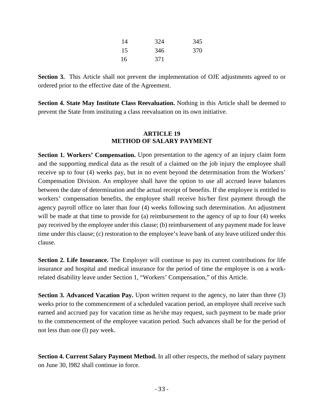| 14 | 324 | 345 |
|----|-----|-----|
| 15 | 346 | 370 |
| 16 | 371 |     |

**Section 3.** This Article shall not prevent the implementation of OJE adjustments agreed to or ordered prior to the effective date of the Agreement.

**Section 4. State May Institute Class Reevaluation.** Nothing in this Article shall be deemed to prevent the State from instituting a class reevaluation on its own initiative.

## **ARTICLE 19 METHOD OF SALARY PAYMENT**

<span id="page-33-0"></span>**Section 1. Workers' Compensation.** Upon presentation to the agency of an injury claim form and the supporting medical data as the result of a claimed on the job injury the employee shall receive up to four (4) weeks pay, but in no event beyond the determination from the Workers' Compensation Division. An employee shall have the option to use all accrued leave balances between the date of determination and the actual receipt of benefits. If the employee is entitled to workers' compensation benefits, the employee shall receive his/her first payment through the agency payroll office no later than four (4) weeks following such determination. An adjustment will be made at that time to provide for (a) reimbursement to the agency of up to four (4) weeks pay received by the employee under this clause; (b) reimbursement of any payment made for leave time under this clause; (c) restoration to the employee's leave bank of any leave utilized under this clause.

**Section 2. Life Insurance.** The Employer will continue to pay its current contributions for life insurance and hospital and medical insurance for the period of time the employee is on a workrelated disability leave under Section 1, "Workers' Compensation," of this Article.

**Section 3. Advanced Vacation Pay.** Upon written request to the agency, no later than three (3) weeks prior to the commencement of a scheduled vacation period, an employee shall receive such earned and accrued pay for vacation time as he/she may request, such payment to be made prior to the commencement of the employee vacation period. Such advances shall be for the period of not less than one (l) pay week.

**Section 4. Current Salary Payment Method.** In all other respects, the method of salary payment on June 30, l982 shall continue in force.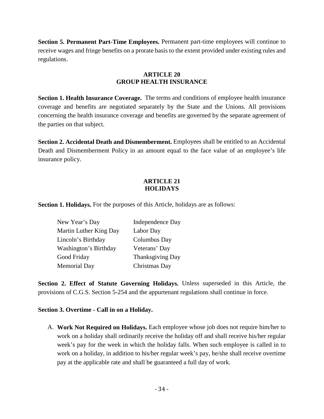**Section 5. Permanent Part-Time Employees.** Permanent part-time employees will continue to receive wages and fringe benefits on a prorate basis to the extent provided under existing rules and regulations.

## **ARTICLE 20 GROUP HEALTH INSURANCE**

<span id="page-34-0"></span>**Section 1. Health Insurance Coverage.** The terms and conditions of employee health insurance coverage and benefits are negotiated separately by the State and the Unions. All provisions concerning the health insurance coverage and benefits are governed by the separate agreement of the parties on that subject.

**Section 2. Accidental Death and Dismemberment.** Employees shall be entitled to an Accidental Death and Dismemberment Policy in an amount equal to the face value of an employee's life insurance policy.

## **ARTICLE 21 HOLIDAYS**

<span id="page-34-1"></span>**Section 1. Holidays.** For the purposes of this Article, holidays are as follows:

| New Year's Day         | Independence Day |
|------------------------|------------------|
| Martin Luther King Day | Labor Day        |
| Lincoln's Birthday     | Columbus Day     |
| Washington's Birthday  | Veterans' Day    |
| Good Friday            | Thanksgiving Day |
| <b>Memorial Day</b>    | Christmas Day    |

**Section 2. Effect of Statute Governing Holidays.** Unless superseded in this Article, the provisions of C.G.S. Section 5-254 and the appurtenant regulations shall continue in force.

## **Section 3. Overtime - Call in on a Holiday.**

A. **Work Not Required on Holidays.** Each employee whose job does not require him/her to work on a holiday shall ordinarily receive the holiday off and shall receive his/her regular week's pay for the week in which the holiday falls. When such employee is called in to work on a holiday, in addition to his/her regular week's pay, he/she shall receive overtime pay at the applicable rate and shall be guaranteed a full day of work.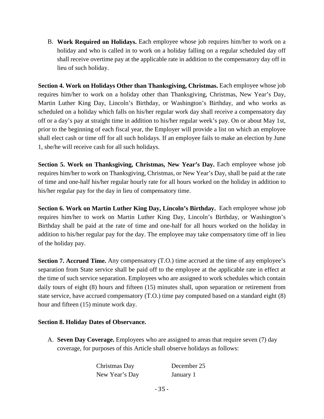B. **Work Required on Holidays.** Each employee whose job requires him/her to work on a holiday and who is called in to work on a holiday falling on a regular scheduled day off shall receive overtime pay at the applicable rate in addition to the compensatory day off in lieu of such holiday.

**Section 4. Work on Holidays Other than Thanksgiving, Christmas.** Each employee whose job requires him/her to work on a holiday other than Thanksgiving, Christmas, New Year's Day, Martin Luther King Day, Lincoln's Birthday, or Washington's Birthday, and who works as scheduled on a holiday which falls on his/her regular work day shall receive a compensatory day off or a day's pay at straight time in addition to his/her regular week's pay. On or about May 1st, prior to the beginning of each fiscal year, the Employer will provide a list on which an employee shall elect cash or time off for all such holidays. If an employee fails to make an election by June 1, she/he will receive cash for all such holidays.

**Section 5. Work on Thanksgiving, Christmas, New Year's Day.** Each employee whose job requires him/her to work on Thanksgiving, Christmas, or New Year's Day, shall be paid at the rate of time and one-half his/her regular hourly rate for all hours worked on the holiday in addition to his/her regular pay for the day in lieu of compensatory time.

**Section 6. Work on Martin Luther King Day, Lincoln's Birthday.** Each employee whose job requires him/her to work on Martin Luther King Day, Lincoln's Birthday, or Washington's Birthday shall be paid at the rate of time and one-half for all hours worked on the holiday in addition to his/her regular pay for the day. The employee may take compensatory time off in lieu of the holiday pay.

**Section 7. Accrued Time.** Any compensatory (T.O.) time accrued at the time of any employee's separation from State service shall be paid off to the employee at the applicable rate in effect at the time of such service separation. Employees who are assigned to work schedules which contain daily tours of eight (8) hours and fifteen (15) minutes shall, upon separation or retirement from state service, have accrued compensatory (T.O.) time pay computed based on a standard eight (8) hour and fifteen (15) minute work day.

## **Section 8. Holiday Dates of Observance.**

A. **Seven Day Coverage.** Employees who are assigned to areas that require seven (7) day coverage, for purposes of this Article shall observe holidays as follows:

> Christmas Day December 25 New Year's Day January 1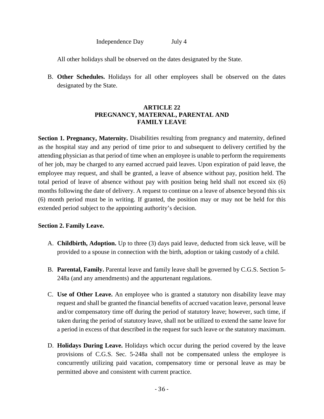Independence Day July 4

All other holidays shall be observed on the dates designated by the State.

B. **Other Schedules.** Holidays for all other employees shall be observed on the dates designated by the State.

## **ARTICLE 22 PREGNANCY, MATERNAL, PARENTAL AND FAMILY LEAVE**

**Section 1. Pregnancy, Maternity.** Disabilities resulting from pregnancy and maternity, defined as the hospital stay and any period of time prior to and subsequent to delivery certified by the attending physician as that period of time when an employee is unable to perform the requirements of her job, may be charged to any earned accrued paid leaves. Upon expiration of paid leave, the employee may request, and shall be granted, a leave of absence without pay, position held. The total period of leave of absence without pay with position being held shall not exceed six (6) months following the date of delivery. A request to continue on a leave of absence beyond this six (6) month period must be in writing. If granted, the position may or may not be held for this extended period subject to the appointing authority's decision.

## **Section 2. Family Leave.**

- A. **Childbirth, Adoption.** Up to three (3) days paid leave, deducted from sick leave, will be provided to a spouse in connection with the birth, adoption or taking custody of a child.
- B. **Parental, Family.** Parental leave and family leave shall be governed by C.G.S. Section 5- 248a (and any amendments) and the appurtenant regulations.
- C. **Use of Other Leave.** An employee who is granted a statutory non disability leave may request and shall be granted the financial benefits of accrued vacation leave, personal leave and/or compensatory time off during the period of statutory leave; however, such time, if taken during the period of statutory leave, shall not be utilized to extend the same leave for a period in excess of that described in the request for such leave or the statutory maximum.
- D. **Holidays During Leave.** Holidays which occur during the period covered by the leave provisions of C.G.S. Sec. 5-248a shall not be compensated unless the employee is concurrently utilizing paid vacation, compensatory time or personal leave as may be permitted above and consistent with current practice.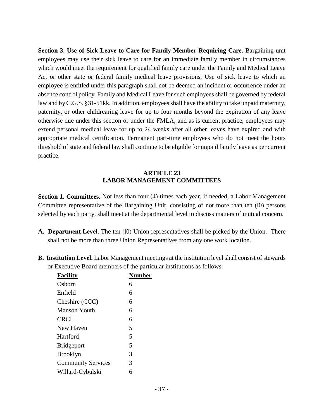**Section 3. Use of Sick Leave to Care for Family Member Requiring Care.** Bargaining unit employees may use their sick leave to care for an immediate family member in circumstances which would meet the requirement for qualified family care under the Family and Medical Leave Act or other state or federal family medical leave provisions. Use of sick leave to which an employee is entitled under this paragraph shall not be deemed an incident or occurrence under an absence control policy. Family and Medical Leave for such employees shall be governed by federal law and by C.G.S. §31-51kk. In addition, employees shall have the ability to take unpaid maternity, paternity, or other childrearing leave for up to four months beyond the expiration of any leave otherwise due under this section or under the FMLA, and as is current practice, employees may extend personal medical leave for up to 24 weeks after all other leaves have expired and with appropriate medical certification. Permanent part-time employees who do not meet the hours threshold of state and federal law shall continue to be eligible for unpaid family leave as per current practice.

## **ARTICLE 23 LABOR MANAGEMENT COMMITTEES**

**Section 1. Committees.** Not less than four (4) times each year, if needed, a Labor Management Committee representative of the Bargaining Unit, consisting of not more than ten (l0) persons selected by each party, shall meet at the departmental level to discuss matters of mutual concern.

- A. Department Level. The ten (10) Union representatives shall be picked by the Union. There shall not be more than three Union Representatives from any one work location.
- **B. Institution Level.** Labor Management meetings at the institution level shall consist of stewards or Executive Board members of the particular institutions as follows:

| <b>Facility</b>           | Number |
|---------------------------|--------|
| Osborn                    | 6      |
| Enfield                   | 6      |
| Cheshire (CCC)            | 6      |
| Manson Youth              | 6      |
| <b>CRCI</b>               | 6      |
| New Haven                 | 5      |
| Hartford                  | 5      |
| <b>Bridgeport</b>         | 5      |
| <b>Brooklyn</b>           | 3      |
| <b>Community Services</b> | 3      |
| Willard-Cybulski          | 6      |
|                           |        |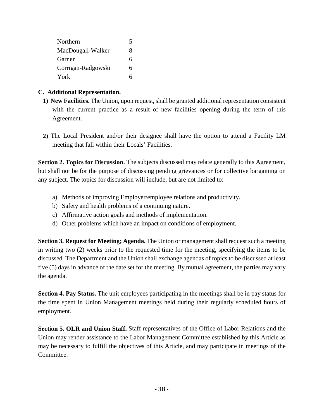| Northern           | 5 |
|--------------------|---|
| MacDougall-Walker  | 8 |
| Garner             | 6 |
| Corrigan-Radgowski | 6 |
| York               |   |

# **C. Additional Representation.**

- **1) New Facilities.** The Union, upon request, shall be granted additional representation consistent with the current practice as a result of new facilities opening during the term of this Agreement.
- **2)** The Local President and/or their designee shall have the option to attend a Facility LM meeting that fall within their Locals' Facilities.

**Section 2. Topics for Discussion.** The subjects discussed may relate generally to this Agreement, but shall not be for the purpose of discussing pending grievances or for collective bargaining on any subject. The topics for discussion will include, but are not limited to:

- a) Methods of improving Employer/employee relations and productivity.
- b) Safety and health problems of a continuing nature.
- c) Affirmative action goals and methods of implementation.
- d) Other problems which have an impact on conditions of employment.

**Section 3. Request for Meeting; Agenda.** The Union or management shall request such a meeting in writing two (2) weeks prior to the requested time for the meeting, specifying the items to be discussed. The Department and the Union shall exchange agendas of topics to be discussed at least five (5) days in advance of the date set for the meeting. By mutual agreement, the parties may vary the agenda.

**Section 4. Pay Status.** The unit employees participating in the meetings shall be in pay status for the time spent in Union Management meetings held during their regularly scheduled hours of employment.

**Section 5. OLR and Union Staff.** Staff representatives of the Office of Labor Relations and the Union may render assistance to the Labor Management Committee established by this Article as may be necessary to fulfill the objectives of this Article, and may participate in meetings of the Committee.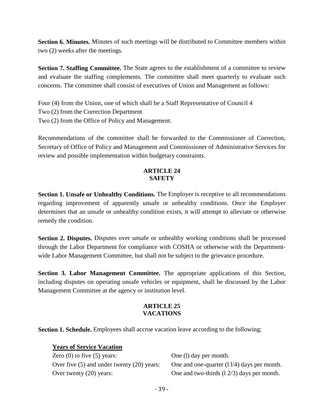**Section 6. Minutes.** Minutes of such meetings will be distributed to Committee members within two (2) weeks after the meetings.

**Section 7. Staffing Committee.** The State agrees to the establishment of a committee to review and evaluate the staffing complements. The committee shall meet quarterly to evaluate such concerns. The committee shall consist of executives of Union and Management as follows:

Four (4) from the Union, one of which shall be a Staff Representative of Council 4 Two (2) from the Correction Department Two (2) from the Office of Policy and Management.

Recommendations of the committee shall be forwarded to the Commissioner of Correction, Secretary of Office of Policy and Management and Commissioner of Administrative Services for review and possible implementation within budgetary constraints.

# **ARTICLE 24 SAFETY**

**Section 1. Unsafe or Unhealthy Conditions.** The Employer is receptive to all recommendations regarding improvement of apparently unsafe or unhealthy conditions. Once the Employer determines that an unsafe or unhealthy condition exists, it will attempt to alleviate or otherwise remedy the condition.

**Section 2. Disputes.** Disputes over unsafe or unhealthy working conditions shall be processed through the Labor Department for compliance with COSHA or otherwise with the Departmentwide Labor Management Committee, but shall not be subject to the grievance procedure.

**Section 3. Labor Management Committee.** The appropriate applications of this Section, including disputes on operating unsafe vehicles or equipment, shall be discussed by the Labor Management Committee at the agency or institution level.

## **ARTICLE 25 VACATIONS**

**Section 1. Schedule.** Employees shall accrue vacation leave according to the following;

**Years of Service Vacation** Zero (0) to five (5) years: One (1) day per month. Over five (5) and under twenty (20) years: One and one-quarter (11/4) days per month. Over twenty (20) years: One and two-thirds (1 2/3) days per month.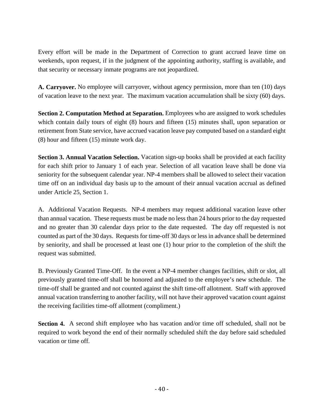Every effort will be made in the Department of Correction to grant accrued leave time on weekends, upon request, if in the judgment of the appointing authority, staffing is available, and that security or necessary inmate programs are not jeopardized.

**A. Carryover.** No employee will carryover, without agency permission, more than ten (10) days of vacation leave to the next year. The maximum vacation accumulation shall be sixty (60) days.

**Section 2. Computation Method at Separation.** Employees who are assigned to work schedules which contain daily tours of eight (8) hours and fifteen (15) minutes shall, upon separation or retirement from State service, have accrued vacation leave pay computed based on a standard eight (8) hour and fifteen (15) minute work day.

**Section 3. Annual Vacation Selection.** Vacation sign-up books shall be provided at each facility for each shift prior to January 1 of each year. Selection of all vacation leave shall be done via seniority for the subsequent calendar year. NP-4 members shall be allowed to select their vacation time off on an individual day basis up to the amount of their annual vacation accrual as defined under Article 25, Section 1.

A. Additional Vacation Requests. NP-4 members may request additional vacation leave other than annual vacation. These requests must be made no less than 24 hours prior to the day requested and no greater than 30 calendar days prior to the date requested. The day off requested is not counted as part of the 30 days. Requests for time-off 30 days or less in advance shall be determined by seniority, and shall be processed at least one (1) hour prior to the completion of the shift the request was submitted.

B. Previously Granted Time-Off. In the event a NP-4 member changes facilities, shift or slot, all previously granted time-off shall be honored and adjusted to the employee's new schedule. The time-off shall be granted and not counted against the shift time-off allotment. Staff with approved annual vacation transferring to another facility, will not have their approved vacation count against the receiving facilities time-off allotment (compliment.)

**Section 4.** A second shift employee who has vacation and/or time off scheduled, shall not be required to work beyond the end of their normally scheduled shift the day before said scheduled vacation or time off.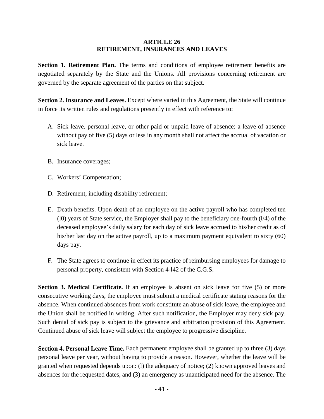#### **ARTICLE 26 RETIREMENT, INSURANCES AND LEAVES**

Section 1. Retirement Plan. The terms and conditions of employee retirement benefits are negotiated separately by the State and the Unions. All provisions concerning retirement are governed by the separate agreement of the parties on that subject.

**Section 2. Insurance and Leaves.** Except where varied in this Agreement, the State will continue in force its written rules and regulations presently in effect with reference to:

- A. Sick leave, personal leave, or other paid or unpaid leave of absence; a leave of absence without pay of five (5) days or less in any month shall not affect the accrual of vacation or sick leave.
- B. Insurance coverages;
- C. Workers' Compensation;
- D. Retirement, including disability retirement;
- E. Death benefits. Upon death of an employee on the active payroll who has completed ten (l0) years of State service, the Employer shall pay to the beneficiary one-fourth (l/4) of the deceased employee's daily salary for each day of sick leave accrued to his/her credit as of his/her last day on the active payroll, up to a maximum payment equivalent to sixty (60) days pay.
- F. The State agrees to continue in effect its practice of reimbursing employees for damage to personal property, consistent with Section 4-l42 of the C.G.S.

**Section 3. Medical Certificate.** If an employee is absent on sick leave for five (5) or more consecutive working days, the employee must submit a medical certificate stating reasons for the absence. When continued absences from work constitute an abuse of sick leave, the employee and the Union shall be notified in writing. After such notification, the Employer may deny sick pay. Such denial of sick pay is subject to the grievance and arbitration provision of this Agreement. Continued abuse of sick leave will subject the employee to progressive discipline.

**Section 4. Personal Leave Time.** Each permanent employee shall be granted up to three (3) days personal leave per year, without having to provide a reason. However, whether the leave will be granted when requested depends upon: (l) the adequacy of notice; (2) known approved leaves and absences for the requested dates, and (3) an emergency as unanticipated need for the absence. The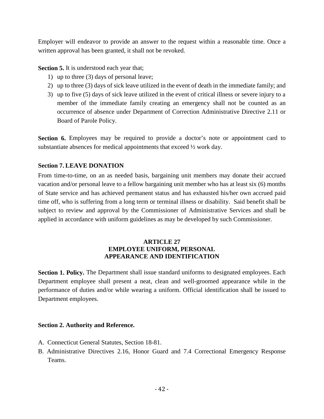Employer will endeavor to provide an answer to the request within a reasonable time. Once a written approval has been granted, it shall not be revoked.

**Section 5.** It is understood each year that;

- 1) up to three (3) days of personal leave;
- 2) up to three (3) days of sick leave utilized in the event of death in the immediate family; and
- 3) up to five (5) days of sick leave utilized in the event of critical illness or severe injury to a member of the immediate family creating an emergency shall not be counted as an occurrence of absence under Department of Correction Administrative Directive 2.11 or Board of Parole Policy.

**Section 6.** Employees may be required to provide a doctor's note or appointment card to substantiate absences for medical appointments that exceed ½ work day.

# **Section 7. LEAVE DONATION**

From time-to-time, on an as needed basis, bargaining unit members may donate their accrued vacation and/or personal leave to a fellow bargaining unit member who has at least six (6) months of State service and has achieved permanent status and has exhausted his/her own accrued paid time off, who is suffering from a long term or terminal illness or disability. Said benefit shall be subject to review and approval by the Commissioner of Administrative Services and shall be applied in accordance with uniform guidelines as may be developed by such Commissioner.

## **ARTICLE 27 EMPLOYEE UNIFORM, PERSONAL APPEARANCE AND IDENTIFICATION**

**Section 1. Policy.** The Department shall issue standard uniforms to designated employees. Each Department employee shall present a neat, clean and well-groomed appearance while in the performance of duties and/or while wearing a uniform. Official identification shall be issued to Department employees.

## **Section 2. Authority and Reference.**

- A. Connecticut General Statutes, Section 18-81.
- B. Administrative Directives 2.16, Honor Guard and 7.4 Correctional Emergency Response Teams.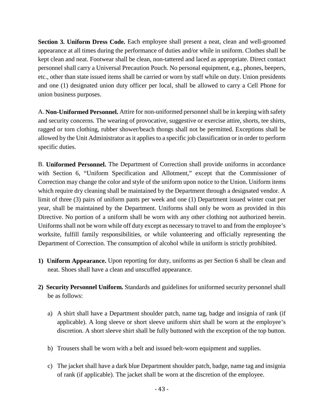**Section 3. Uniform Dress Code.** Each employee shall present a neat, clean and well-groomed appearance at all times during the performance of duties and/or while in uniform. Clothes shall be kept clean and neat. Footwear shall be clean, non-tattered and laced as appropriate. Direct contact personnel shall carry a Universal Precaution Pouch. No personal equipment, e.g., phones, beepers, etc., other than state issued items shall be carried or worn by staff while on duty. Union presidents and one (1) designated union duty officer per local, shall be allowed to carry a Cell Phone for union business purposes.

A. **Non-Uniformed Personnel.** Attire for non-uniformed personnel shall be in keeping with safety and security concerns. The wearing of provocative, suggestive or exercise attire, shorts, tee shirts, ragged or torn clothing, rubber shower/beach thongs shall not be permitted. Exceptions shall be allowed by the Unit Administrator as it applies to a specific job classification or in order to perform specific duties.

B. **Uniformed Personnel.** The Department of Correction shall provide uniforms in accordance with Section 6, "Uniform Specification and Allotment," except that the Commissioner of Correction may change the color and style of the uniform upon notice to the Union. Uniform items which require dry cleaning shall be maintained by the Department through a designated vendor. A limit of three (3) pairs of uniform pants per week and one (1) Department issued winter coat per year, shall be maintained by the Department. Uniforms shall only be worn as provided in this Directive. No portion of a uniform shall be worn with any other clothing not authorized herein. Uniforms shall not be worn while off duty except as necessary to travel to and from the employee's worksite, fulfill family responsibilities, or while volunteering and officially representing the Department of Correction. The consumption of alcohol while in uniform is strictly prohibited.

- **1) Uniform Appearance.** Upon reporting for duty, uniforms as per Section 6 shall be clean and neat. Shoes shall have a clean and unscuffed appearance.
- **2) Security Personnel Uniform.** Standards and guidelines for uniformed security personnel shall be as follows:
	- a) A shirt shall have a Department shoulder patch, name tag, badge and insignia of rank (if applicable). A long sleeve or short sleeve uniform shirt shall be worn at the employee's discretion. A short sleeve shirt shall be fully buttoned with the exception of the top button.
	- b) Trousers shall be worn with a belt and issued belt-worn equipment and supplies.
	- c) The jacket shall have a dark blue Department shoulder patch, badge, name tag and insignia of rank (if applicable). The jacket shall be worn at the discretion of the employee.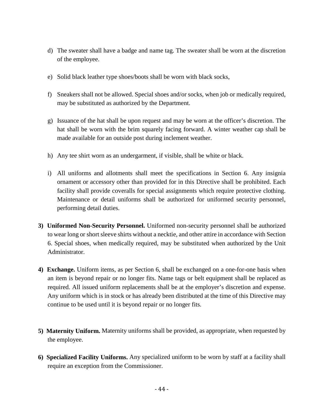- d) The sweater shall have a badge and name tag. The sweater shall be worn at the discretion of the employee.
- e) Solid black leather type shoes/boots shall be worn with black socks,
- f) Sneakers shall not be allowed. Special shoes and/or socks, when job or medically required, may be substituted as authorized by the Department.
- g) Issuance of the hat shall be upon request and may be worn at the officer's discretion. The hat shall be worn with the brim squarely facing forward. A winter weather cap shall be made available for an outside post during inclement weather.
- h) Any tee shirt worn as an undergarment, if visible, shall be white or black.
- i) All uniforms and allotments shall meet the specifications in Section 6. Any insignia ornament or accessory other than provided for in this Directive shall be prohibited. Each facility shall provide coveralls for special assignments which require protective clothing. Maintenance or detail uniforms shall be authorized for uniformed security personnel, performing detail duties.
- **3) Uniformed Non-Security Personnel.** Uniformed non-security personnel shall be authorized to wear long or short sleeve shirts without a necktie, and other attire in accordance with Section 6. Special shoes, when medically required, may be substituted when authorized by the Unit Administrator.
- **4) Exchange.** Uniform items, as per Section 6, shall be exchanged on a one-for-one basis when an item is beyond repair or no longer fits. Name tags or belt equipment shall be replaced as required. All issued uniform replacements shall be at the employer's discretion and expense. Any uniform which is in stock or has already been distributed at the time of this Directive may continue to be used until it is beyond repair or no longer fits.
- **5) Maternity Uniform.** Maternity uniforms shall be provided, as appropriate, when requested by the employee.
- **6) Specialized Facility Uniforms.** Any specialized uniform to be worn by staff at a facility shall require an exception from the Commissioner.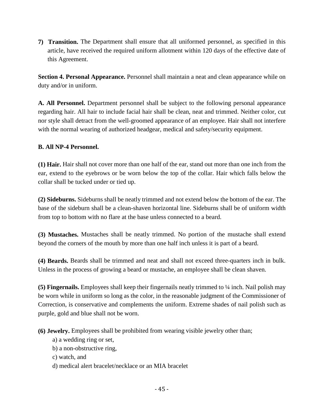**7) Transition.** The Department shall ensure that all uniformed personnel, as specified in this article, have received the required uniform allotment within 120 days of the effective date of this Agreement.

**Section 4. Personal Appearance.** Personnel shall maintain a neat and clean appearance while on duty and/or in uniform.

**A. All Personnel.** Department personnel shall be subject to the following personal appearance regarding hair. All hair to include facial hair shall be clean, neat and trimmed. Neither color, cut nor style shall detract from the well-groomed appearance of an employee. Hair shall not interfere with the normal wearing of authorized headgear, medical and safety/security equipment.

# **B. All NP-4 Personnel.**

**(1) Hair.** Hair shall not cover more than one half of the ear, stand out more than one inch from the ear, extend to the eyebrows or be worn below the top of the collar. Hair which falls below the collar shall be tucked under or tied up.

**(2) Sideburns.** Sideburns shall be neatly trimmed and not extend below the bottom of the ear. The base of the sideburn shall be a clean-shaven horizontal line. Sideburns shall be of uniform width from top to bottom with no flare at the base unless connected to a beard.

**(3) Mustaches.** Mustaches shall be neatly trimmed. No portion of the mustache shall extend beyond the corners of the mouth by more than one half inch unless it is part of a beard.

**(4) Beards.** Beards shall be trimmed and neat and shall not exceed three-quarters inch in bulk. Unless in the process of growing a beard or mustache, an employee shall be clean shaven.

**(5) Fingernails.** Employees shall keep their fingernails neatly trimmed to ¼ inch. Nail polish may be worn while in uniform so long as the color, in the reasonable judgment of the Commissioner of Correction, is conservative and complements the uniform. Extreme shades of nail polish such as purple, gold and blue shall not be worn.

**(6) Jewelry.** Employees shall be prohibited from wearing visible jewelry other than;

- a) a wedding ring or set,
- b) a non-obstructive ring,
- c) watch, and
- d) medical alert bracelet/necklace or an MIA bracelet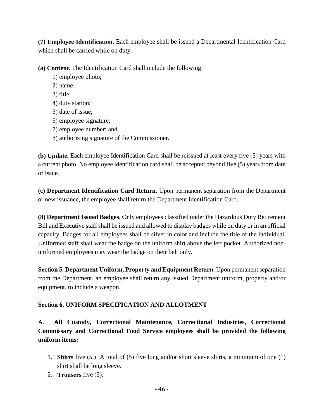**(7) Employee Identification.** Each employee shall be issued a Departmental Identification Card which shall be carried while on duty.

**(a) Content.** The Identification Card shall include the following:

1) employee photo; 2) name; 3) title; 4) duty station; 5) date of issue; 6) employee signature; 7) employee number; and 8) authorizing signature of the Commissioner.

**(b) Update.** Each employee Identification Card shall be reissued at least every five (5) years with a current photo. No employee identification card shall be accepted beyond five (5) years from date of issue.

**(c) Department Identification Card Return.** Upon permanent separation from the Department or new issuance, the employee shall return the Department Identification Card.

**(8) Department Issued Badges.** Only employees classified under the Hazardous Duty Retirement Bill and Executive staff shall be issued and allowed to display badges while on duty or in an official capacity. Badges for all employees shall be silver in color and include the title of the individual. Uniformed staff shall wear the badge on the uniform shirt above the left pocket. Authorized nonuniformed employees may wear the badge on their belt only.

**Section 5. Department Uniform, Property and Equipment Return.** Upon permanent separation from the Department, an employee shall return any issued Department uniform, property and/or equipment, to include a weapon.

# **Section 6. UNIFORM SPECIFICATION AND ALLOTMENT**

A. **All Custody, Correctional Maintenance, Correctional Industries, Correctional Commissary and Correctional Food Service employees shall be provided the following uniform items:**

- 1. **Shirts** five (5.) A total of (5) five long and/or short sleeve shirts; a minimum of one (1) shirt shall be long sleeve.
- 2. **Trousers** five (5).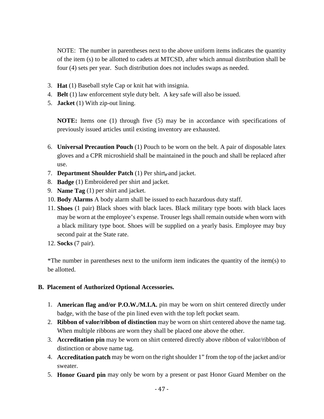NOTE: The number in parentheses next to the above uniform items indicates the quantity of the item (s) to be allotted to cadets at MTCSD, after which annual distribution shall be four (4) sets per year. Such distribution does not includes swaps as needed.

- 3. **Hat** (1) Baseball style Cap or knit hat with insignia.
- 4. **Belt** (1) law enforcement style duty belt. A key safe will also be issued.
- 5. **Jacket** (1) With zip-out lining.

**NOTE:** Items one (1) through five (5) may be in accordance with specifications of previously issued articles until existing inventory are exhausted.

- 6. **Universal Precaution Pouch** (1) Pouch to be worn on the belt. A pair of disposable latex gloves and a CPR microshield shall be maintained in the pouch and shall be replaced after use.
- 7. **Department Shoulder Patch** (1) Per shirt**,** and jacket.
- 8. **Badge** (1) Embroidered per shirt and jacket.
- 9. **Name Tag** (1) per shirt and jacket.
- 10. **Body Alarms** A body alarm shall be issued to each hazardous duty staff.
- 11. **Shoes** (1 pair) Black shoes with black laces. Black military type boots with black laces may be worn at the employee's expense. Trouser legs shall remain outside when worn with a black military type boot. Shoes will be supplied on a yearly basis. Employee may buy second pair at the State rate.
- 12. **Socks** (7 pair).

\*The number in parentheses next to the uniform item indicates the quantity of the item(s) to be allotted.

#### **B. Placement of Authorized Optional Accessories.**

- 1. **American flag and/or P.O.W./M.I.A.** pin may be worn on shirt centered directly under badge, with the base of the pin lined even with the top left pocket seam.
- 2. **Ribbon of valor/ribbon of distinction** may be worn on shirt centered above the name tag. When multiple ribbons are worn they shall be placed one above the other.
- 3. **Accreditation pin** may be worn on shirt centered directly above ribbon of valor/ribbon of distinction or above name tag.
- 4. **Accreditation patch** may be worn on the right shoulder 1" from the top of the jacket and/or sweater.
- 5. **Honor Guard pin** may only be worn by a present or past Honor Guard Member on the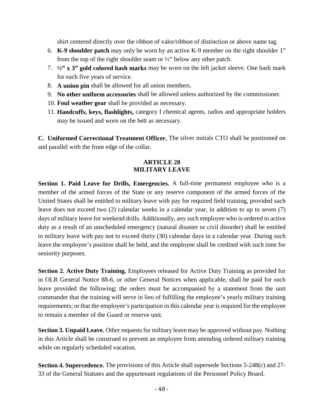shirt centered directly over the ribbon of valor/ribbon of distinction or above name tag.

- 6. **K-9 shoulder patch** may only be worn by an active K-9 member on the right shoulder 1" from the top of the right shoulder seam or  $\frac{1}{2}$ " below any other patch.
- 7. **½" x 3" gold colored hash marks** may be worn on the left jacket sleeve. One hash mark for each five years of service.
- 8. **A union pin** shall be allowed for all union members.
- 9. **No other uniform accessories** shall be allowed unless authorized by the commissioner.
- 10. **Foul weather gear** shall be provided as necessary.
- 11. **Handcuffs, keys, flashlights,** category I chemical agents, radios and appropriate holders may be issued and worn on the belt as necessary.

**C. Uniformed Correctional Treatment Officer.** The silver initials CTO shall be positioned on and parallel with the front edge of the collar.

# **ARTICLE 28 MILITARY LEAVE**

Section 1. Paid Leave for Drills, Emergencies. A full-time permanent employee who is a member of the armed forces of the State or any reserve component of the armed forces of the United States shall be entitled to military leave with pay for required field training, provided such leave does not exceed two (2) calendar weeks in a calendar year, in addition to up to seven (7) days of military leave for weekend drills. Additionally, any such employee who is ordered to active duty as a result of an unscheduled emergency (natural disaster or civil disorder) shall be entitled to military leave with pay not to exceed thirty (30) calendar days in a calendar year. During such leave the employee's position shall be held, and the employee shall be credited with such time for seniority purposes.

**Section 2. Active Duty Training.** Employees released for Active Duty Training as provided for in OLR General Notice 88-6, or other General Notices when applicable, shall be paid for such leave provided the following; the orders must be accompanied by a statement from the unit commander that the training will serve in lieu of fulfilling the employee's yearly military training requirements; or that the employee's participation in this calendar year is required for the employee to remain a member of the Guard or reserve unit.

**Section 3. Unpaid Leave.** Other requests for military leave may be approved without pay. Nothing in this Article shall be construed to prevent an employee from attending ordered military training while on regularly scheduled vacation.

**Section 4. Supercedence.** The provisions of this Article shall supersede Sections 5-248(c) and 27- 33 of the General Statutes and the appurtenant regulations of the Personnel Policy Board.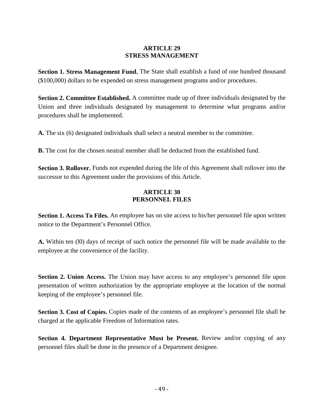## **ARTICLE 29 STRESS MANAGEMENT**

**Section 1. Stress Management Fund.** The State shall establish a fund of one hundred thousand (\$100,000) dollars to be expended on stress management programs and/or procedures.

**Section 2. Committee Established.** A committee made up of three individuals designated by the Union and three individuals designated by management to determine what programs and/or procedures shall be implemented.

**A.** The six (6) designated individuals shall select a neutral member to the committee.

**B.** The cost for the chosen neutral member shall be deducted from the established fund.

**Section 3. Rollover.** Funds not expended during the life of this Agreement shall rollover into the successor to this Agreement under the provisions of this Article.

## **ARTICLE 30 PERSONNEL FILES**

**Section 1. Access To Files.** An employee has on site access to his/her personnel file upon written notice to the Department's Personnel Office.

**A.** Within ten (l0) days of receipt of such notice the personnel file will be made available to the employee at the convenience of the facility.

**Section 2. Union Access.** The Union may have access to any employee's personnel file upon presentation of written authorization by the appropriate employee at the location of the normal keeping of the employee's personnel file.

Section 3. Cost of Copies. Copies made of the contents of an employee's personnel file shall be charged at the applicable Freedom of Information rates.

**Section 4. Department Representative Must be Present.** Review and/or copying of any personnel files shall be done in the presence of a Department designee.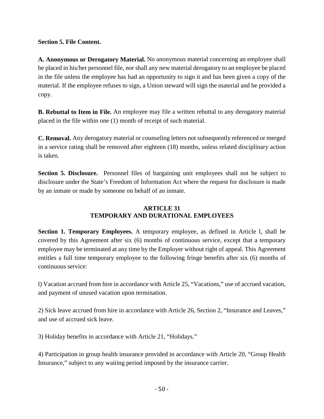## **Section 5. File Content.**

**A. Anonymous or Derogatory Material.** No anonymous material concerning an employee shall be placed in his/her personnel file, nor shall any new material derogatory to an employee be placed in the file unless the employee has had an opportunity to sign it and has been given a copy of the material. If the employee refuses to sign, a Union steward will sign the material and be provided a copy.

**B. Rebuttal to Item in File.** An employee may file a written rebuttal to any derogatory material placed in the file within one (1) month of receipt of such material.

**C. Removal.** Any derogatory material or counseling letters not subsequently referenced or merged in a service rating shall be removed after eighteen (18) months, unless related disciplinary action is taken.

**Section 5. Disclosure.** Personnel files of bargaining unit employees shall not be subject to disclosure under the State's Freedom of Information Act where the request for disclosure is made by an inmate or made by someone on behalf of an inmate.

# **ARTICLE 31 TEMPORARY AND DURATIONAL EMPLOYEES**

**Section 1. Temporary Employees.** A temporary employee, as defined in Article l, shall be covered by this Agreement after six (6) months of continuous service, except that a temporary employee may be terminated at any time by the Employer without right of appeal. This Agreement entitles a full time temporary employee to the following fringe benefits after six (6) months of continuous service:

l) Vacation accrued from hire in accordance with Article 25, "Vacations," use of accrued vacation, and payment of unused vacation upon termination.

2) Sick leave accrued from hire in accordance with Article 26, Section 2, "Insurance and Leaves," and use of accrued sick leave.

3) Holiday benefits in accordance with Article 21, "Holidays."

4) Participation in group health insurance provided in accordance with Article 20, "Group Health Insurance," subject to any waiting period imposed by the insurance carrier.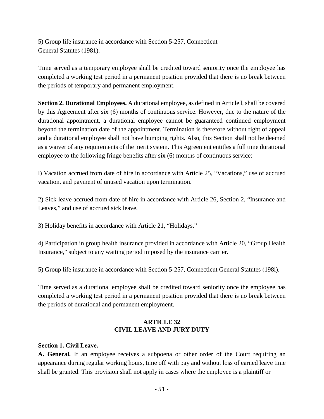5) Group life insurance in accordance with Section 5-257, Connecticut General Statutes (1981).

Time served as a temporary employee shall be credited toward seniority once the employee has completed a working test period in a permanent position provided that there is no break between the periods of temporary and permanent employment.

**Section 2. Durational Employees.** A durational employee, as defined in Article l, shall be covered by this Agreement after six (6) months of continuous service. However, due to the nature of the durational appointment, a durational employee cannot be guaranteed continued employment beyond the termination date of the appointment. Termination is therefore without right of appeal and a durational employee shall not have bumping rights. Also, this Section shall not be deemed as a waiver of any requirements of the merit system. This Agreement entitles a full time durational employee to the following fringe benefits after six (6) months of continuous service:

l) Vacation accrued from date of hire in accordance with Article 25, "Vacations," use of accrued vacation, and payment of unused vacation upon termination.

2) Sick leave accrued from date of hire in accordance with Article 26, Section 2, "Insurance and Leaves," and use of accrued sick leave.

3) Holiday benefits in accordance with Article 21, "Holidays."

4) Participation in group health insurance provided in accordance with Article 20, "Group Health Insurance," subject to any waiting period imposed by the insurance carrier.

5) Group life insurance in accordance with Section 5-257, Connecticut General Statutes (198l).

Time served as a durational employee shall be credited toward seniority once the employee has completed a working test period in a permanent position provided that there is no break between the periods of durational and permanent employment.

# **ARTICLE 32 CIVIL LEAVE AND JURY DUTY**

# **Section 1. Civil Leave.**

**A. General.** If an employee receives a subpoena or other order of the Court requiring an appearance during regular working hours, time off with pay and without loss of earned leave time shall be granted. This provision shall not apply in cases where the employee is a plaintiff or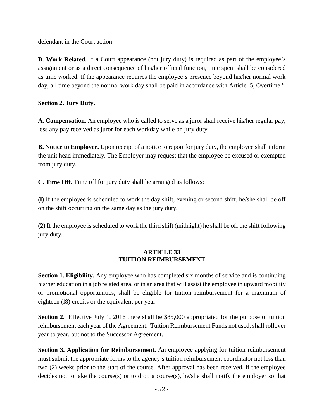defendant in the Court action.

**B. Work Related.** If a Court appearance (not jury duty) is required as part of the employee's assignment or as a direct consequence of his/her official function, time spent shall be considered as time worked. If the appearance requires the employee's presence beyond his/her normal work day, all time beyond the normal work day shall be paid in accordance with Article 15, Overtime."

**Section 2. Jury Duty.**

**A. Compensation.** An employee who is called to serve as a juror shall receive his/her regular pay, less any pay received as juror for each workday while on jury duty.

**B. Notice to Employer.** Upon receipt of a notice to report for jury duty, the employee shall inform the unit head immediately. The Employer may request that the employee be excused or exempted from jury duty.

**C. Time Off.** Time off for jury duty shall be arranged as follows:

**(l)** If the employee is scheduled to work the day shift, evening or second shift, he/she shall be off on the shift occurring on the same day as the jury duty.

**(2)** If the employee is scheduled to work the third shift (midnight) he shall be off the shift following jury duty.

#### **ARTICLE 33 TUITION REIMBURSEMENT**

**Section 1. Eligibility.** Any employee who has completed six months of service and is continuing his/her education in a job related area, or in an area that will assist the employee in upward mobility or promotional opportunities, shall be eligible for tuition reimbursement for a maximum of eighteen (l8) credits or the equivalent per year.

**Section 2.** Effective July 1, 2016 there shall be \$85,000 appropriated for the purpose of tuition reimbursement each year of the Agreement. Tuition Reimbursement Funds not used, shall rollover year to year, but not to the Successor Agreement.

**Section 3. Application for Reimbursement.** An employee applying for tuition reimbursement must submit the appropriate forms to the agency's tuition reimbursement coordinator not less than two (2) weeks prior to the start of the course. After approval has been received, if the employee decides not to take the course(s) or to drop a course(s), he/she shall notify the employer so that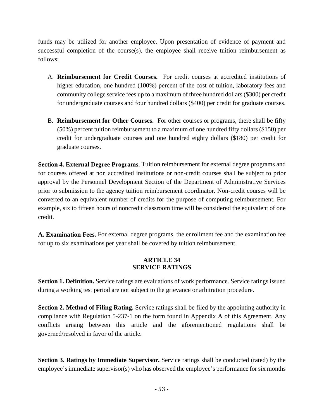funds may be utilized for another employee. Upon presentation of evidence of payment and successful completion of the course(s), the employee shall receive tuition reimbursement as follows:

- A. **Reimbursement for Credit Courses.** For credit courses at accredited institutions of higher education, one hundred (100%) percent of the cost of tuition, laboratory fees and community college service fees up to a maximum of three hundred dollars (\$300) per credit for undergraduate courses and four hundred dollars (\$400) per credit for graduate courses.
- B. **Reimbursement for Other Courses.** For other courses or programs, there shall be fifty (50%) percent tuition reimbursement to a maximum of one hundred fifty dollars (\$150) per credit for undergraduate courses and one hundred eighty dollars (\$180) per credit for graduate courses.

**Section 4. External Degree Programs.** Tuition reimbursement for external degree programs and for courses offered at non accredited institutions or non-credit courses shall be subject to prior approval by the Personnel Development Section of the Department of Administrative Services prior to submission to the agency tuition reimbursement coordinator. Non-credit courses will be converted to an equivalent number of credits for the purpose of computing reimbursement. For example, six to fifteen hours of noncredit classroom time will be considered the equivalent of one credit.

**A. Examination Fees.** For external degree programs, the enrollment fee and the examination fee for up to six examinations per year shall be covered by tuition reimbursement.

#### **ARTICLE 34 SERVICE RATINGS**

**Section 1. Definition.** Service ratings are evaluations of work performance. Service ratings issued during a working test period are not subject to the grievance or arbitration procedure.

**Section 2. Method of Filing Rating.** Service ratings shall be filed by the appointing authority in compliance with Regulation 5-237-1 on the form found in Appendix A of this Agreement. Any conflicts arising between this article and the aforementioned regulations shall be governed/resolved in favor of the article.

**Section 3. Ratings by Immediate Supervisor.** Service ratings shall be conducted (rated) by the employee's immediate supervisor(s) who has observed the employee's performance for six months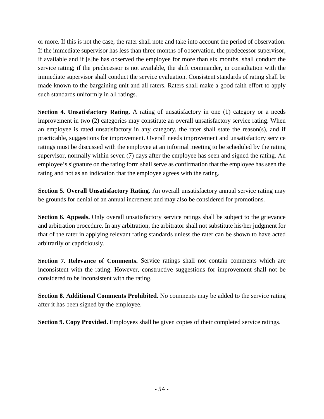or more. If this is not the case, the rater shall note and take into account the period of observation. If the immediate supervisor has less than three months of observation, the predecessor supervisor, if available and if [s]he has observed the employee for more than six months, shall conduct the service rating; if the predecessor is not available, the shift commander, in consultation with the immediate supervisor shall conduct the service evaluation. Consistent standards of rating shall be made known to the bargaining unit and all raters. Raters shall make a good faith effort to apply such standards uniformly in all ratings.

Section 4. Unsatisfactory Rating. A rating of unsatisfactory in one (1) category or a needs improvement in two (2) categories may constitute an overall unsatisfactory service rating. When an employee is rated unsatisfactory in any category, the rater shall state the reason(s), and if practicable, suggestions for improvement. Overall needs improvement and unsatisfactory service ratings must be discussed with the employee at an informal meeting to be scheduled by the rating supervisor, normally within seven (7) days after the employee has seen and signed the rating. An employee's signature on the rating form shall serve as confirmation that the employee has seen the rating and not as an indication that the employee agrees with the rating.

**Section 5. Overall Unsatisfactory Rating.** An overall unsatisfactory annual service rating may be grounds for denial of an annual increment and may also be considered for promotions.

**Section 6. Appeals.** Only overall unsatisfactory service ratings shall be subject to the grievance and arbitration procedure. In any arbitration, the arbitrator shall not substitute his/her judgment for that of the rater in applying relevant rating standards unless the rater can be shown to have acted arbitrarily or capriciously.

**Section 7. Relevance of Comments.** Service ratings shall not contain comments which are inconsistent with the rating. However, constructive suggestions for improvement shall not be considered to be inconsistent with the rating.

**Section 8. Additional Comments Prohibited.** No comments may be added to the service rating after it has been signed by the employee.

**Section 9. Copy Provided.** Employees shall be given copies of their completed service ratings.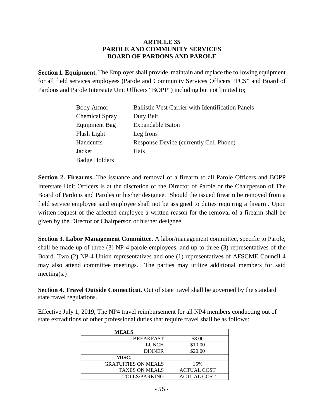#### **ARTICLE 35 PAROLE AND COMMUNITY SERVICES BOARD OF PARDONS AND PAROLE**

**Section 1. Equipment.** The Employer shall provide, maintain and replace the following equipment for all field services employees (Parole and Community Services Officers "PCS" and Board of Pardons and Parole Interstate Unit Officers "BOPP") including but not limited to;

| <b>Body Armor</b>     | <b>Ballistic Vest Carrier with Identification Panels</b> |
|-----------------------|----------------------------------------------------------|
| <b>Chemical Spray</b> | Duty Belt                                                |
| Equipment Bag         | <b>Expandable Baton</b>                                  |
| Flash Light           | Leg Irons                                                |
| Handcuffs             | Response Device (currently Cell Phone)                   |
| Jacket                | <b>Hats</b>                                              |
| <b>Badge Holders</b>  |                                                          |

**Section 2. Firearms.** The issuance and removal of a firearm to all Parole Officers and BOPP Interstate Unit Officers is at the discretion of the Director of Parole or the Chairperson of The Board of Pardons and Paroles or his/her designee. Should the issued firearm be removed from a field service employee said employee shall not be assigned to duties requiring a firearm. Upon written request of the affected employee a written reason for the removal of a firearm shall be given by the Director or Chairperson or his/her designee.

**Section 3. Labor Management Committee.** A labor/management committee, specific to Parole, shall be made up of three  $(3)$  NP-4 parole employees, and up to three  $(3)$  representatives of the Board. Two (2) NP-4 Union representatives and one (1) representative**s** of AFSCME Council 4 may also attend committee meetings. The parties may utilize additional members for said meeting(s.)

**Section 4. Travel Outside Connecticut.** Out of state travel shall be governed by the standard state travel regulations.

Effective July 1, 2019, The NP4 travel reimbursement for all NP4 members conducting out of state extraditions or other professional duties that require travel shall be as follows:

| <b>MEALS</b>               |                    |
|----------------------------|--------------------|
| <b>BREAKFAST</b>           | \$8.00             |
| <b>LUNCH</b>               | \$10.00            |
| <b>DINNER</b>              | \$20.00            |
| MISC.                      |                    |
| <b>GRATUITIES ON MEALS</b> | 15%                |
| <b>TAXES ON MEALS</b>      | <b>ACTUAL COST</b> |
| <b>TOLLS/PARKING</b>       | <b>ACTUAL COST</b> |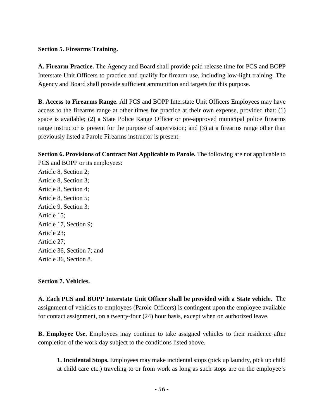#### **Section 5. Firearms Training.**

**A. Firearm Practice.** The Agency and Board shall provide paid release time for PCS and BOPP Interstate Unit Officers to practice and qualify for firearm use, including low-light training. The Agency and Board shall provide sufficient ammunition and targets for this purpose.

**B. Access to Firearms Range.** All PCS and BOPP Interstate Unit Officers Employees may have access to the firearms range at other times for practice at their own expense, provided that: (1) space is available; (2) a State Police Range Officer or pre-approved municipal police firearms range instructor is present for the purpose of supervision; and (3) at a firearms range other than previously listed a Parole Firearms instructor is present.

**Section 6. Provisions of Contract Not Applicable to Parole.** The following are not applicable to PCS and BOPP or its employees: Article 8, Section 2; Article 8, Section 3; Article 8, Section 4; Article 8, Section 5; Article 9, Section 3; Article 15; Article 17, Section 9; Article 23; Article 27; Article 36, Section 7; and Article 36, Section 8.

#### **Section 7. Vehicles.**

**A. Each PCS and BOPP Interstate Unit Officer shall be provided with a State vehicle.** The assignment of vehicles to employees (Parole Officers) is contingent upon the employee available for contact assignment, on a twenty-four (24) hour basis, except when on authorized leave.

**B. Employee Use.** Employees may continue to take assigned vehicles to their residence after completion of the work day subject to the conditions listed above.

**1. Incidental Stops.** Employees may make incidental stops (pick up laundry, pick up child at child care etc.) traveling to or from work as long as such stops are on the employee's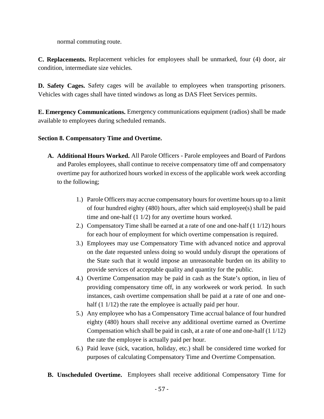normal commuting route.

**C. Replacements.** Replacement vehicles for employees shall be unmarked, four (4) door, air condition, intermediate size vehicles.

**D. Safety Cages.** Safety cages will be available to employees when transporting prisoners. Vehicles with cages shall have tinted windows as long as DAS Fleet Services permits.

**E. Emergency Communications.** Emergency communications equipment (radios) shall be made available to employees during scheduled remands.

# **Section 8. Compensatory Time and Overtime.**

- **A. Additional Hours Worked.** All Parole Officers Parole employees and Board of Pardons and Paroles employees, shall continue to receive compensatory time off and compensatory overtime pay for authorized hours worked in excess of the applicable work week according to the following;
	- 1.) Parole Officers may accrue compensatory hours for overtime hours up to a limit of four hundred eighty  $(480)$  hours, after which said employee(s) shall be paid time and one-half (1 1/2) for any overtime hours worked.
	- 2.) Compensatory Time shall be earned at a rate of one and one-half (1 1/12) hours for each hour of employment for which overtime compensation is required.
	- 3.) Employees may use Compensatory Time with advanced notice and approval on the date requested unless doing so would unduly disrupt the operations of the State such that it would impose an unreasonable burden on its ability to provide services of acceptable quality and quantity for the public.
	- 4.) Overtime Compensation may be paid in cash as the State's option, in lieu of providing compensatory time off, in any workweek or work period. In such instances, cash overtime compensation shall be paid at a rate of one and onehalf (1 1/12) the rate the employee is actually paid per hour.
	- 5.) Any employee who has a Compensatory Time accrual balance of four hundred eighty (480) hours shall receive any additional overtime earned as Overtime Compensation which shall be paid in cash, at a rate of one and one-half (1 1/12) the rate the employee is actually paid per hour.
	- 6.) Paid leave (sick, vacation, holiday, etc.) shall be considered time worked for purposes of calculating Compensatory Time and Overtime Compensation.
- **B. Unscheduled Overtime.** Employees shall receive additional Compensatory Time for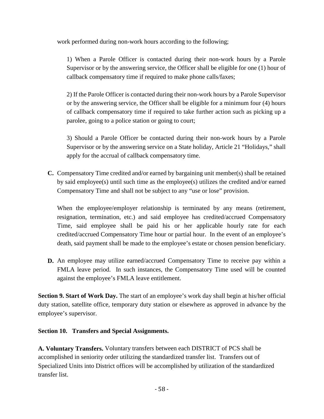work performed during non-work hours according to the following;

1) When a Parole Officer is contacted during their non-work hours by a Parole Supervisor or by the answering service, the Officer shall be eligible for one (1) hour of callback compensatory time if required to make phone calls/faxes;

2) If the Parole Officer is contacted during their non-work hours by a Parole Supervisor or by the answering service, the Officer shall be eligible for a minimum four (4) hours of callback compensatory time if required to take further action such as picking up a parolee, going to a police station or going to court;

3) Should a Parole Officer be contacted during their non-work hours by a Parole Supervisor or by the answering service on a State holiday, Article 21 "Holidays," shall apply for the accrual of callback compensatory time.

**C.** Compensatory Time credited and/or earned by bargaining unit member(s) shall be retained by said employee(s) until such time as the employee(s) utilizes the credited and/or earned Compensatory Time and shall not be subject to any "use or lose" provision.

When the employee/employer relationship is terminated by any means (retirement, resignation, termination, etc.) and said employee has credited/accrued Compensatory Time, said employee shall be paid his or her applicable hourly rate for each credited/accrued Compensatory Time hour or partial hour. In the event of an employee's death, said payment shall be made to the employee's estate or chosen pension beneficiary.

**D.** An employee may utilize earned/accrued Compensatory Time to receive pay within a FMLA leave period. In such instances, the Compensatory Time used will be counted against the employee's FMLA leave entitlement.

**Section 9. Start of Work Day.** The start of an employee's work day shall begin at his/her official duty station, satellite office, temporary duty station or elsewhere as approved in advance by the employee's supervisor.

## **Section 10. Transfers and Special Assignments.**

**A. Voluntary Transfers.** Voluntary transfers between each DISTRICT of PCS shall be accomplished in seniority order utilizing the standardized transfer list. Transfers out of Specialized Units into District offices will be accomplished by utilization of the standardized transfer list.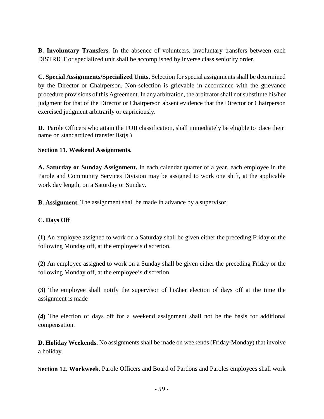**B. Involuntary Transfers**. In the absence of volunteers, involuntary transfers between each DISTRICT or specialized unit shall be accomplished by inverse class seniority order.

**C. Special Assignments/Specialized Units.** Selection for special assignments shall be determined by the Director or Chairperson. Non-selection is grievable in accordance with the grievance procedure provisions of this Agreement. In any arbitration, the arbitrator shall not substitute his/her judgment for that of the Director or Chairperson absent evidence that the Director or Chairperson exercised judgment arbitrarily or capriciously.

**D.** Parole Officers who attain the POII classification, shall immediately be eligible to place their name on standardized transfer list(s.)

# **Section 11. Weekend Assignments.**

**A. Saturday or Sunday Assignment.** In each calendar quarter of a year, each employee in the Parole and Community Services Division may be assigned to work one shift, at the applicable work day length, on a Saturday or Sunday.

**B. Assignment.** The assignment shall be made in advance by a supervisor.

# **C. Days Off**

**(1)** An employee assigned to work on a Saturday shall be given either the preceding Friday or the following Monday off, at the employee's discretion.

**(2)** An employee assigned to work on a Sunday shall be given either the preceding Friday or the following Monday off, at the employee's discretion

**(3)** The employee shall notify the supervisor of his\her election of days off at the time the assignment is made

**(4)** The election of days off for a weekend assignment shall not be the basis for additional compensation.

**D. Holiday Weekends.** No assignments shall be made on weekends (Friday-Monday) that involve a holiday.

**Section 12. Workweek.** Parole Officers and Board of Pardons and Paroles employees shall work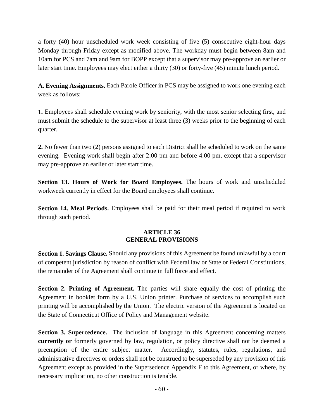a forty (40) hour unscheduled work week consisting of five (5) consecutive eight-hour days Monday through Friday except as modified above. The workday must begin between 8am and 10am for PCS and 7am and 9am for BOPP except that a supervisor may pre-approve an earlier or later start time. Employees may elect either a thirty (30) or forty-five (45) minute lunch period.

**A. Evening Assignments.** Each Parole Officer in PCS may be assigned to work one evening each week as follows:

**1.** Employees shall schedule evening work by seniority, with the most senior selecting first, and must submit the schedule to the supervisor at least three (3) weeks prior to the beginning of each quarter.

**2.** No fewer than two (2) persons assigned to each District shall be scheduled to work on the same evening. Evening work shall begin after 2:00 pm and before 4:00 pm, except that a supervisor may pre-approve an earlier or later start time.

**Section 13. Hours of Work for Board Employees.** The hours of work and unscheduled workweek currently in effect for the Board employees shall continue.

**Section 14. Meal Periods.** Employees shall be paid for their meal period if required to work through such period.

#### **ARTICLE 36 GENERAL PROVISIONS**

**Section 1. Savings Clause.** Should any provisions of this Agreement be found unlawful by a court of competent jurisdiction by reason of conflict with Federal law or State or Federal Constitutions, the remainder of the Agreement shall continue in full force and effect.

**Section 2. Printing of Agreement.** The parties will share equally the cost of printing the Agreement in booklet form by a U.S. Union printer. Purchase of services to accomplish such printing will be accomplished by the Union. The electric version of the Agreement is located on the State of Connecticut Office of Policy and Management website.

**Section 3. Supercedence.** The inclusion of language in this Agreement concerning matters **currently or** formerly governed by law, regulation, or policy directive shall not be deemed a preemption of the entire subject matter. Accordingly, statutes, rules, regulations, and administrative directives or orders shall not be construed to be superseded by any provision of this Agreement except as provided in the Supersedence Appendix F to this Agreement, or where, by necessary implication, no other construction is tenable.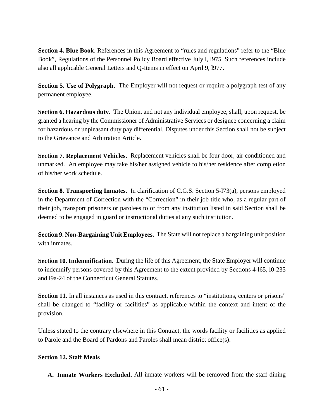**Section 4. Blue Book.** References in this Agreement to "rules and regulations" refer to the "Blue Book", Regulations of the Personnel Policy Board effective July l, l975. Such references include also all applicable General Letters and Q-Items in effect on April 9, l977.

**Section 5. Use of Polygraph.** The Employer will not request or require a polygraph test of any permanent employee.

**Section 6. Hazardous duty.** The Union, and not any individual employee, shall, upon request, be granted a hearing by the Commissioner of Administrative Services or designee concerning a claim for hazardous or unpleasant duty pay differential. Disputes under this Section shall not be subject to the Grievance and Arbitration Article.

**Section 7. Replacement Vehicles.** Replacement vehicles shall be four door, air conditioned and unmarked. An employee may take his/her assigned vehicle to his/her residence after completion of his/her work schedule.

**Section 8. Transporting Inmates.** In clarification of C.G.S. Section 5-l73(a), persons employed in the Department of Correction with the "Correction" in their job title who, as a regular part of their job, transport prisoners or parolees to or from any institution listed in said Section shall be deemed to be engaged in guard or instructional duties at any such institution.

**Section 9. Non-Bargaining Unit Employees.** The State will not replace a bargaining unit position with inmates.

**Section 10. Indemnification.** During the life of this Agreement, the State Employer will continue to indemnify persons covered by this Agreement to the extent provided by Sections 4-l65, l0-235 and l9a-24 of the Connecticut General Statutes.

**Section 11.** In all instances as used in this contract, references to "institutions, centers or prisons" shall be changed to "facility or facilities" as applicable within the context and intent of the provision.

Unless stated to the contrary elsewhere in this Contract, the words facility or facilities as applied to Parole and the Board of Pardons and Paroles shall mean district office(s).

## **Section 12. Staff Meals**

**A. Inmate Workers Excluded.** All inmate workers will be removed from the staff dining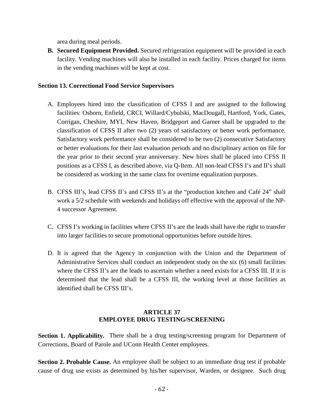area during meal periods.

**B. Secured Equipment Provided.** Secured refrigeration equipment will be provided in each facility. Vending machines will also be installed in each facility. Prices charged for items in the vending machines will be kept at cost.

## **Section 13. Correctional Food Service Supervisors**

- A. Employees hired into the classification of CFSS I and are assigned to the following facilities: Osborn, Enfield, CRCI, Willard/Cybulski, MacDougall, Hartford, York, Gates, Corrigan, Cheshire, MYI, New Haven, Bridgeport and Garner shall be upgraded to the classification of CFSS II after two (2) years of satisfactory or better work performance. Satisfactory work performance shall be considered to be two (2) consecutive Satisfactory or better evaluations for their last evaluation periods and no disciplinary action on file for the year prior to their second year anniversary. New hires shall be placed into CFSS II positions as a CFSS I, as described above, via Q-Item. All non-lead CFSS I's and II's shall be considered as working in the same class for overtime equalization purposes.
- B. CFSS III's, lead CFSS II's and CFSS II's at the "production kitchen and Café 24" shall work a 5/2 schedule with weekends and holidays off effective with the approval of the NP-4 successor Agreement.
- C. CFSS I's working in facilities where CFSS II's are the leads shall have the right to transfer into larger facilities to secure promotional opportunities before outside hires.
- D. It is agreed that the Agency in conjunction with the Union and the Department of Administrative Services shall conduct an independent study on the six (6) small facilities where the CFSS II's are the leads to ascertain whether a need exists for a CFSS III. If it is determined that the lead shall be a CFSS III, the working level at those facilities as identified shall be CFSS III's.

# **ARTICLE 37 EMPLOYEE DRUG TESTING/SCREENING**

**Section 1. Applicability.** There shall be a drug testing/screening program for Department of Corrections, Board of Parole and UConn Health Center employees.

**Section 2. Probable Cause.** An employee shall be subject to an immediate drug test if probable cause of drug use exists as determined by his/her supervisor, Warden, or designee. Such drug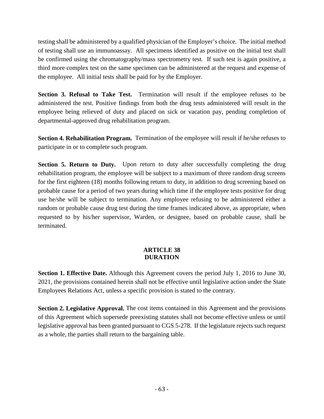testing shall be administered by a qualified physician of the Employer's choice. The initial method of testing shall use an immunoassay. All specimens identified as positive on the initial test shall be confirmed using the chromatography/mass spectrometry test. If such test is again positive, a third more complex test on the same specimen can be administered at the request and expense of the employee. All initial tests shall be paid for by the Employer.

**Section 3. Refusal to Take Test.** Termination will result if the employee refuses to be administered the test. Positive findings from both the drug tests administered will result in the employee being relieved of duty and placed on sick or vacation pay, pending completion of departmental-approved drug rehabilitation program.

**Section 4. Rehabilitation Program.** Termination of the employee will result if he/she refuses to participate in or to complete such program.

**Section 5. Return to Duty.** Upon return to duty after successfully completing the drug rehabilitation program, the employee will be subject to a maximum of three random drug screens for the first eighteen (18) months following return to duty, in addition to drug screening based on probable cause for a period of two years during which time if the employee tests positive for drug use he/she will be subject to termination. Any employee refusing to be administered either a random or probable cause drug test during the time frames indicated above, as appropriate, when requested to by his/her supervisor, Warden, or designee, based on probable cause, shall be terminated.

#### **ARTICLE 38 DURATION**

**Section 1. Effective Date.** Although this Agreement covers the period July 1, 2016 to June 30, 2021, the provisions contained herein shall not be effective until legislative action under the State Employees Relations Act, unless a specific provision is stated to the contrary.

**Section 2. Legislative Approval.** The cost items contained in this Agreement and the provisions of this Agreement which supersede preexisting statutes shall not become effective unless or until legislative approval has been granted pursuant to CGS 5-278. If the legislature rejects such request as a whole, the parties shall return to the bargaining table.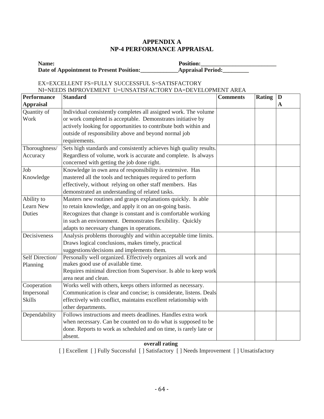#### **APPENDIX A NP-4 PERFORMANCE APPRAISAL**

| Name:                                    | <b>Position:</b>         |
|------------------------------------------|--------------------------|
| Date of Appointment to Present Position: | <b>Appraisal Period:</b> |

#### EX=EXCELLENT FS=FULLY SUCCESSFUL S=SATISFACTORY NI=NEEDS IMPROVEMENT U=UNSATISFACTORY DA=DEVELOPMENT AREA **Performance Appraisal Standard Comments Rating D A**  Quantity of Work Individual consistently completes all assigned work. The volume or work completed is acceptable. Demonstrates initiative by actively looking for opportunities to contribute both within and outside of responsibility above and beyond normal job requirements. Thoroughness/ Accuracy Sets high standards and consistently achieves high quality results. Regardless of volume, work is accurate and complete. Is always concerned with getting the job done right. Job Knowledge Knowledge in own area of responsibility is extensive. Has mastered all the tools and techniques required to perform effectively, without relying on other staff members. Has demonstrated an understanding of related tasks. Ability to Learn New Duties Masters new routines and grasps explanations quickly. Is able to retain knowledge, and apply it on an on-going basis. Recognizes that change is constant and is comfortable working in such an environment. Demonstrates flexibility. Quickly adapts to necessary changes in operations. Decisiveness Analysis problems thoroughly and within acceptable time limits. Draws logical conclusions, makes timely, practical suggestions/decisions and implements them. Self Direction/ Planning Personally well organized. Effectively organizes all work and makes good use of available time. Requires minimal direction from Supervisor. Is able to keep work area neat and clean. Cooperation Impersonal Skills Works well with others, keeps others informed as necessary. Communication is clear and concise; is considerate, listens. Deals effectively with conflict, maintains excellent relationship with other departments. Dependability Follows instructions and meets deadlines. Handles extra work when necessary. Can be counted on to do what is supposed to be done. Reports to work as scheduled and on time, is rarely late or

#### **overall rating**

absent.

[ ] Excellent [ ] Fully Successful [ ] Satisfactory [ ] Needs Improvement [ ] Unsatisfactory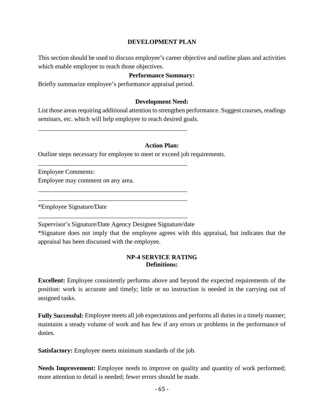#### **DEVELOPMENT PLAN**

This section should be used to discuss employee's career objective and outline plans and activities which enable employee to reach those objectives.

#### **Performance Summary:**

Briefly summarize employee's performance appraisal period.

\_\_\_\_\_\_\_\_\_\_\_\_\_\_\_\_\_\_\_\_\_\_\_\_\_\_\_\_\_\_\_\_\_\_\_\_\_\_\_\_\_\_\_\_\_\_\_

\_\_\_\_\_\_\_\_\_\_\_\_\_\_\_\_\_\_\_\_\_\_\_\_\_\_\_\_\_\_\_\_\_\_\_\_\_\_\_\_\_\_\_\_\_\_\_

\_\_\_\_\_\_\_\_\_\_\_\_\_\_\_\_\_\_\_\_\_\_\_\_\_\_\_\_\_\_\_\_\_\_\_\_\_\_\_\_\_\_\_\_\_\_\_ \_\_\_\_\_\_\_\_\_\_\_\_\_\_\_\_\_\_\_\_\_\_\_\_\_\_\_\_\_\_\_\_\_\_\_\_\_\_\_\_\_\_\_\_\_\_\_

\_\_\_\_\_\_\_\_\_\_\_\_\_\_\_\_\_\_\_\_\_\_\_\_\_\_\_\_\_\_\_\_\_\_\_\_\_\_\_\_\_\_\_\_\_\_\_

#### **Development Need:**

List those areas requiring additional attention to strengthen performance. Suggest courses, readings seminars, etc. which will help employee to reach desired goals.

#### **Action Plan:**

Outline steps necessary for employee to meet or exceed job requirements.

Employee Comments: Employee may comment on any area.

\*Employee Signature/Date

Supervisor's Signature/Date Agency Designee Signature/date

\*Signature does not imply that the employee agrees with this appraisal, but indicates that the appraisal has been discussed with the employee.

#### **NP-4 SERVICE RATING Definitions:**

**Excellent:** Employee consistently performs above and beyond the expected requirements of the position: work is accurate and timely; little or no instruction is needed in the carrying out of assigned tasks.

**Fully Successful:** Employee meets all job expectations and performs all duties in a timely manner; maintains a steady volume of work and has few if any errors or problems in the performance of duties.

**Satisfactory:** Employee meets minimum standards of the job.

**Needs Improvement:** Employee needs to improve on quality and quantity of work performed; more attention to detail is needed; fewer errors should be made.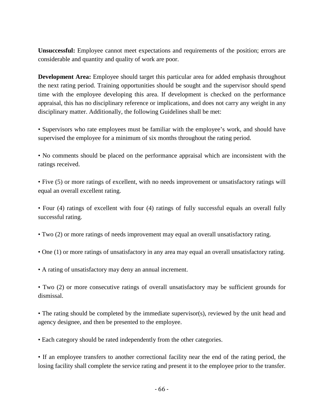**Unsuccessful:** Employee cannot meet expectations and requirements of the position; errors are considerable and quantity and quality of work are poor.

**Development Area:** Employee should target this particular area for added emphasis throughout the next rating period. Training opportunities should be sought and the supervisor should spend time with the employee developing this area. If development is checked on the performance appraisal, this has no disciplinary reference or implications, and does not carry any weight in any disciplinary matter. Additionally, the following Guidelines shall be met:

• Supervisors who rate employees must be familiar with the employee's work, and should have supervised the employee for a minimum of six months throughout the rating period.

• No comments should be placed on the performance appraisal which are inconsistent with the ratings received.

• Five (5) or more ratings of excellent, with no needs improvement or unsatisfactory ratings will equal an overall excellent rating.

• Four (4) ratings of excellent with four (4) ratings of fully successful equals an overall fully successful rating.

- Two (2) or more ratings of needs improvement may equal an overall unsatisfactory rating.
- One (1) or more ratings of unsatisfactory in any area may equal an overall unsatisfactory rating.
- A rating of unsatisfactory may deny an annual increment.
- Two (2) or more consecutive ratings of overall unsatisfactory may be sufficient grounds for dismissal.
- The rating should be completed by the immediate supervisor(s), reviewed by the unit head and agency designee, and then be presented to the employee.
- Each category should be rated independently from the other categories.

• If an employee transfers to another correctional facility near the end of the rating period, the losing facility shall complete the service rating and present it to the employee prior to the transfer.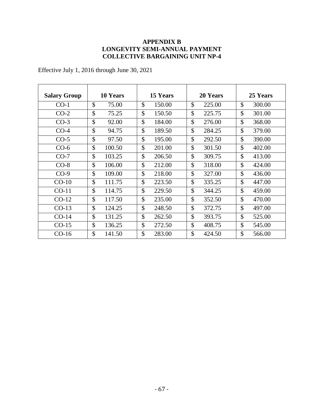## **APPENDIX B LONGEVITY SEMI-ANNUAL PAYMENT COLLECTIVE BARGAINING UNIT NP-4**

Effective July 1, 2016 through June 30, 2021

| <b>Salary Group</b> | 10 Years           | 15 Years      | 20 Years      | 25 Years      |
|---------------------|--------------------|---------------|---------------|---------------|
| $CO-1$              | $\mathcal{S}$      | $\mathcal{S}$ | $\mathcal{S}$ | \$            |
|                     | 75.00              | 150.00        | 225.00        | 300.00        |
| $CO-2$              | \$                 | \$            | \$            | \$            |
|                     | 75.25              | 150.50        | 225.75        | 301.00        |
| $CO-3$              | $\mathcal{S}$      | $\mathcal{S}$ | $\mathcal{S}$ | \$            |
|                     | 92.00              | 184.00        | 276.00        | 368.00        |
| $CO-4$              | \$                 | \$            | $\mathcal{S}$ | $\mathcal{S}$ |
|                     | 94.75              | 189.50        | 284.25        | 379.00        |
| $CO-5$              | $\mathbf{\hat{S}}$ | \$            | \$            | \$            |
|                     | 97.50              | 195.00        | 292.50        | 390.00        |
| $CO-6$              | $\mathcal{S}$      | \$            | $\mathcal{S}$ | \$            |
|                     | 100.50             | 201.00        | 301.50        | 402.00        |
| $CO-7$              | \$                 | \$            | \$            | \$            |
|                     | 103.25             | 206.50        | 309.75        | 413.00        |
| $CO-8$              | $\mathcal{S}$      | \$            | $\mathcal{S}$ | \$            |
|                     | 106.00             | 212.00        | 318.00        | 424.00        |
| $CO-9$              | $\mathcal{S}$      | $\mathcal{S}$ | $\mathcal{S}$ | \$            |
|                     | 109.00             | 218.00        | 327.00        | 436.00        |
| $CO-10$             | $\mathcal{S}$      | $\mathcal{S}$ | $\mathcal{S}$ | \$            |
|                     | 111.75             | 223.50        | 335.25        | 447.00        |
| $CO-11$             | \$                 | \$            | \$            | \$            |
|                     | 114.75             | 229.50        | 344.25        | 459.00        |
| $CO-12$             | \$                 | \$            | \$            | \$            |
|                     | 117.50             | 235.00        | 352.50        | 470.00        |
| $CO-13$             | \$                 | \$            | \$            | $\mathcal{S}$ |
|                     | 124.25             | 248.50        | 372.75        | 497.00        |
| $CO-14$             | \$                 | \$            | \$            | \$            |
|                     | 131.25             | 262.50        | 393.75        | 525.00        |
| $CO-15$             | \$                 | \$            | \$            | \$            |
|                     | 136.25             | 272.50        | 408.75        | 545.00        |
| $CO-16$             | $\mathcal{S}$      | \$            | $\mathcal{S}$ | \$            |
|                     | 141.50             | 283.00        | 424.50        | 566.00        |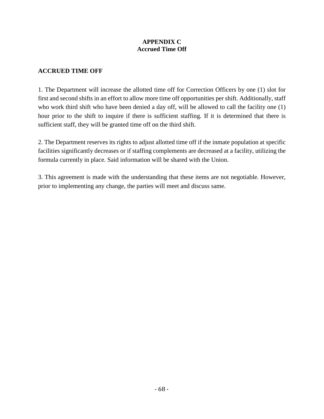# **APPENDIX C Accrued Time Off**

## **ACCRUED TIME OFF**

1. The Department will increase the allotted time off for Correction Officers by one (1) slot for first and second shifts in an effort to allow more time off opportunities per shift. Additionally, staff who work third shift who have been denied a day off, will be allowed to call the facility one (1) hour prior to the shift to inquire if there is sufficient staffing. If it is determined that there is sufficient staff, they will be granted time off on the third shift.

2. The Department reserves its rights to adjust allotted time off if the inmate population at specific facilities significantly decreases or if staffing complements are decreased at a facility, utilizing the formula currently in place. Said information will be shared with the Union.

3. This agreement is made with the understanding that these items are not negotiable. However, prior to implementing any change, the parties will meet and discuss same.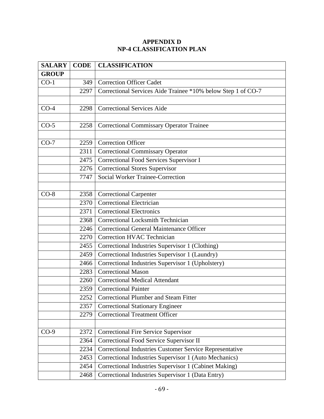# **APPENDIX D NP-4 CLASSIFICATION PLAN**

| <b>SALARY</b> | <b>CODE</b> | <b>CLASSIFICATION</b>                                        |
|---------------|-------------|--------------------------------------------------------------|
| <b>GROUP</b>  |             |                                                              |
| $CO-1$        | 349         | <b>Correction Officer Cadet</b>                              |
|               | 2297        | Correctional Services Aide Trainee *10% below Step 1 of CO-7 |
|               |             |                                                              |
| $CO-4$        | 2298        | <b>Correctional Services Aide</b>                            |
|               |             |                                                              |
| $CO-5$        | 2258        | <b>Correctional Commissary Operator Trainee</b>              |
|               |             |                                                              |
| $CO-7$        | 2259        | <b>Correction Officer</b>                                    |
|               | 2311        | <b>Correctional Commissary Operator</b>                      |
|               | 2475        | Correctional Food Services Supervisor I                      |
|               | 2276        | <b>Correctional Stores Supervisor</b>                        |
|               | 7747        | <b>Social Worker Trainee-Correction</b>                      |
|               |             |                                                              |
| $CO-8$        | 2358        | <b>Correctional Carpenter</b>                                |
|               | 2370        | <b>Correctional Electrician</b>                              |
|               | 2371        | <b>Correctional Electronics</b>                              |
|               | 2368        | <b>Correctional Locksmith Technician</b>                     |
|               | 2246        | <b>Correctional General Maintenance Officer</b>              |
|               | 2270        | <b>Correction HVAC Technician</b>                            |
|               | 2455        | Correctional Industries Supervisor 1 (Clothing)              |
|               | 2459        | Correctional Industries Supervisor 1 (Laundry)               |
|               | 2466        | Correctional Industries Supervisor 1 (Upholstery)            |
|               | 2283        | <b>Correctional Mason</b>                                    |
|               | 2260        | <b>Correctional Medical Attendant</b>                        |
|               | 2359        | <b>Correctional Painter</b>                                  |
|               | 2252        | Correctional Plumber and Steam Fitter                        |
|               | 2357        | <b>Correctional Stationary Engineer</b>                      |
|               | 2279        | <b>Correctional Treatment Officer</b>                        |
|               |             |                                                              |
| $CO-9$        | 2372        | Correctional Fire Service Supervisor                         |
|               | 2364        | Correctional Food Service Supervisor II                      |
|               | 2234        | Correctional Industries Customer Service Representative      |
|               | 2453        | Correctional Industries Supervisor 1 (Auto Mechanics)        |
|               | 2454        | Correctional Industries Supervisor 1 (Cabinet Making)        |
|               | 2468        | Correctional Industries Supervisor 1 (Data Entry)            |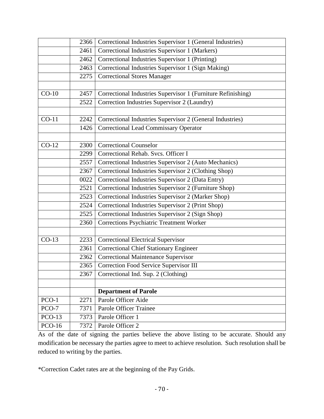|               | 2366 | Correctional Industries Supervisor 1 (General Industries)    |
|---------------|------|--------------------------------------------------------------|
|               | 2461 | Correctional Industries Supervisor 1 (Markers)               |
|               | 2462 | Correctional Industries Supervisor 1 (Printing)              |
|               | 2463 | Correctional Industries Supervisor 1 (Sign Making)           |
|               | 2275 | <b>Correctional Stores Manager</b>                           |
|               |      |                                                              |
| $CO-10$       | 2457 | Correctional Industries Supervisor 1 (Furniture Refinishing) |
|               | 2522 | Correction Industries Supervisor 2 (Laundry)                 |
|               |      |                                                              |
| $CO-11$       | 2242 | Correctional Industries Supervisor 2 (General Industries)    |
|               | 1426 | <b>Correctional Lead Commissary Operator</b>                 |
|               |      |                                                              |
| $CO-12$       | 2300 | <b>Correctional Counselor</b>                                |
|               | 2299 | Correctional Rehab. Svcs. Officer I                          |
|               | 2557 | Correctional Industries Supervisor 2 (Auto Mechanics)        |
|               | 2367 | Correctional Industries Supervisor 2 (Clothing Shop)         |
|               | 0022 | Correctional Industries Supervisor 2 (Data Entry)            |
|               | 2521 | Correctional Industries Supervisor 2 (Furniture Shop)        |
|               | 2523 | Correctional Industries Supervisor 2 (Marker Shop)           |
|               | 2524 | Correctional Industries Supervisor 2 (Print Shop)            |
|               | 2525 | Correctional Industries Supervisor 2 (Sign Shop)             |
|               | 2360 | Corrections Psychiatric Treatment Worker                     |
|               |      |                                                              |
| $CO-13$       | 2233 | <b>Correctional Electrical Supervisor</b>                    |
|               | 2361 | <b>Correctional Chief Stationary Engineer</b>                |
|               | 2362 | <b>Correctional Maintenance Supervisor</b>                   |
|               | 2365 | Correction Food Service Supervisor III                       |
|               |      | 2367   Correctional Ind. Sup. 2 (Clothing)                   |
|               |      |                                                              |
|               |      | <b>Department of Parole</b>                                  |
| $PCO-1$       | 2271 | Parole Officer Aide                                          |
| PCO-7         | 7371 | <b>Parole Officer Trainee</b>                                |
| $PCO-13$      | 7373 | Parole Officer 1                                             |
| <b>PCO-16</b> | 7372 | Parole Officer 2                                             |

As of the date of signing the parties believe the above listing to be accurate. Should any modification be necessary the parties agree to meet to achieve resolution. Such resolution shall be reduced to writing by the parties.

\*Correction Cadet rates are at the beginning of the Pay Grids.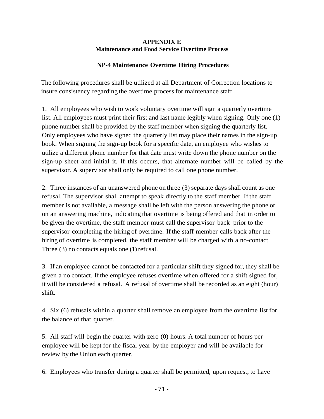#### **APPENDIX E Maintenance and Food Service Overtime Process**

# **NP-4 Maintenance Overtime Hiring Procedures**

The following procedures shall be utilized at all Department of Correction locations to insure consistency regarding the overtime process for maintenance staff.

1. All employees who wish to work voluntary overtime will sign a quarterly overtime list. All employees must print their first and last name legibly when signing. Only one (1) phone number shall be provided by the staff member when signing the quarterly list. Only employees who have signed the quarterly list may place their names in the sign-up book. When signing the sign-up book for a specific date, an employee who wishes to utilize a different phone number for that date must write down the phone number on the sign-up sheet and initial it. If this occurs, that alternate number will be called by the supervisor. A supervisor shall only be required to call one phone number.

2. Three instances of an unanswered phone on three (3) separate days shall count as one refusal. The supervisor shall attempt to speak directly to the staff member. If the staff member is not available, a message shall be left with the person answering the phone or on an answering machine, indicating that overtime is being offered and that in order to be given the overtime, the staff member must call the supervisor back prior to the supervisor completing the hiring of overtime. Ifthe staff member calls back after the hiring of overtime is completed, the staff member will be charged with a no-contact. Three  $(3)$  no contacts equals one  $(1)$  refusal.

3. If an employee cannot be contacted for a particular shift they signed for, they shall be given a no contact. Ifthe employee refuses overtime when offered for a shift signed for, it will be considered a refusal. A refusal of overtime shall be recorded as an eight (hour) shift.

4. Six (6) refusals within a quarter shall remove an employee from the overtime list for the balance of that quarter.

5. All staff will begin the quarter with zero (0) hours. A total number of hours per employee will be kept for the fiscal year by the employer and will be available for review by the Union each quarter.

6. Employees who transfer during a quarter shall be permitted, upon request, to have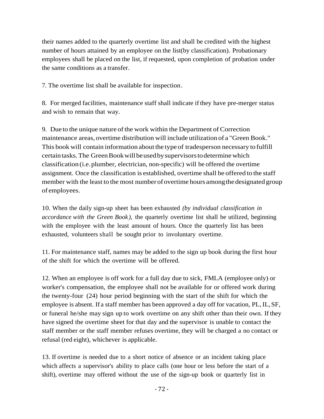their names added to the quarterly overtime list and shall be credited with the highest number of hours attained by an employee on the list(by classification). Probationary employees shall be placed on the list, if requested, upon completion of probation under the same conditions as a transfer.

7. The overtime list shall be available for inspection.

8. For merged facilities, maintenance staff shall indicate ifthey have pre-merger status and wish to remain that way.

9. Due to the unique nature of the work within the Department of Correction maintenance areas, overtime distribution will include utilization of a "Green Book." This book will contain information about the type of tradesperson necessary to fulfill certain tasks. The Green Book will be used by supervisors to determine which classification (i.e.plumber, electrician, non-specific) will be offered the overtime assignment. Once the classification is established, overtime shall be offered to the staff member with the least to the most number of overtime hours among the designated group of employees.

10. When the daily sign-up sheet has been exhausted *(by individual classification in accordance with the Green Book ),* the quarterly overtime list shall be utilized, beginning with the employee with the least amount of hours. Once the quarterly list has been exhausted, volunteers shall be sought prior to involuntary overtime.

11. For maintenance staff, names may be added to the sign up book during the first hour of the shift for which the overtime will be offered.

12. When an employee is off work for a full day due to sick, FMLA (employee only) or worker's compensation, the employee shall not be available for or offered work during the twenty-four (24) hour period beginning with the start of the shift for which the employee is absent. If a staff member has been approved a day off for vacation, PL, IL,SF, or funeral he/she may sign up to work overtime on any shift other than their own. Ifthey have signed the overtime sheet for that day and the supervisor is unable to contact the staff member or the staff member refuses overtime, they will be charged a no contact or refusal (red eight), whichever is applicable.

13. If overtime is needed due to a short notice of absence or an incident taking place which affects a supervisor's ability to place calls (one hour or less before the start of a shift), overtime may offered without the use of the sign-up book or quarterly list in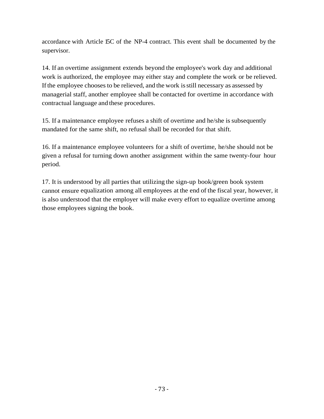accordance with Article 15C of the NP-4 contract. This event shall be documented by the supervisor.

14. If an overtime assignment extends beyond the employee's work day and additional work is authorized, the employee may either stay and complete the work or be relieved. Ifthe employee chooses to be relieved, and the work isstill necessary as assessed by managerial staff, another employee shall be contacted for overtime in accordance with contractual language and these procedures.

15. If a maintenance employee refuses a shift of overtime and he/she is subsequently mandated for the same shift, no refusal shall be recorded for that shift.

16. If a maintenance employee volunteers for a shift of overtime, he/she should not be given a refusal for turning down another assignment within the same twenty-four hour period.

17. It is understood by all parties that utilizing the sign-up book/green book system cannot ensure equalization among all employees at the end of the fiscal year, however, it is also understood that the employer will make every effort to equalize overtime among those employees signing the book.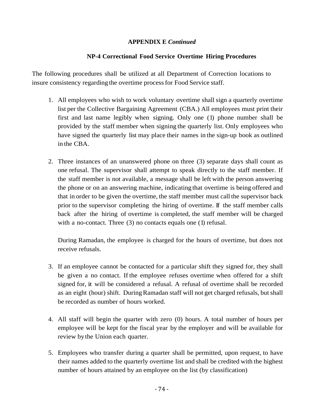# **APPENDIX E** *Continued*

# **NP-4 Correctional Food Service Overtime Hiring Procedures**

The following procedures shall be utilized at all Department of Correction locations to insure consistency regarding the overtime processfor Food Service staff.

- 1. All employees who wish to work voluntary overtime shall sign a quarterly overtime list per the Collective Bargaining Agreement (CBA.) All employees must print their first and last name legibly when signing. Only one (1) phone number shall be provided by the staff member when signing the quarterly list. Only employees who have signed the quarterly list may place their names in the sign-up book as outlined in the CBA.
- 2. Three instances of an unanswered phone on three (3) separate days shall count as one refusal. The supervisor shall attempt to speak directly to the staff member. If the staff member is not available, a message shall be left with the person answering the phone or on an answering machine, indicating that overtime is being offered and that in order to be given the overtime, the staff member must call the supervisor back prior to the supervisor completing the hiring of overtime. If the staff member calls back after the hiring of overtime is completed, the staff member will be charged with a no-contact. Three (3) no contacts equals one (1) refusal.

During Ramadan, the employee is charged for the hours of overtime, but does not receive refusals.

- 3. If an employee cannot be contacted for a particular shift they signed for, they shall be given a no contact. If the employee refuses overtime when offered for a shift signed for, it will be considered a refusal. A refusal of overtime shall be recorded as an eight (hour) shift. DuringRamadan staff will not get charged refusals, butshall be recorded as number of hours worked.
- 4. All staff will begin the quarter with zero (0) hours. A total number of hours per employee will be kept for the fiscal year by the employer and will be available for review bythe Union each quarter.
- 5. Employees who transfer during a quarter shall be permitted, upon request, to have their names added to the quarterly overtime list and shall be credited with the highest number of hours attained by an employee on the list (by classification)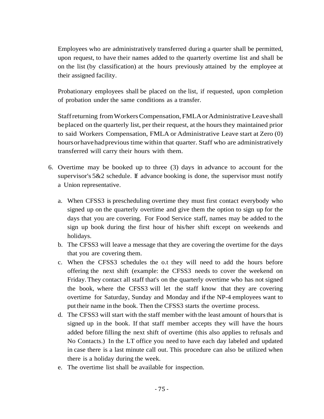Employees who are administratively transferred during a quarter shall be permitted, upon request, to have their names added to the quarterly overtime list and shall be on the list (by classification) at the hours previously attained by the employee at their assigned facility.

Probationary employees shall be placed on the list, if requested, upon completion of probation under the same conditions as a transfer.

Staffreturning fromWorkersCompensation, FMLAorAdministrative Leaveshall beplaced on the quarterly list, per their request, at the hours they maintained prior to said Workers Compensation, FMLA or Administrative Leave start at Zero (0) hours or have had previous time within that quarter. Staff who are administratively transferred will carry their hours with them.

- 6. Overtime may be booked up to three (3) days in advance to account for the supervisor's 5&2 schedule. If advance booking is done, the supervisor must notify a Union representative.
	- a. When CFSS3 is prescheduling overtime they must first contact everybody who signed up on the quarterly overtime and give them the option to sign up for the days that you are covering. For Food Service staff, names may be added to the sign up book during the first hour of his/her shift except on weekends and holidays.
	- b. The CFSS3 will leave a message that they are covering the overtime for the days that you are covering them.
	- c. When the CFSS3 schedules the o.t they will need to add the hours before offering the next shift (example: the CFSS3 needs to cover the weekend on Friday.They contact all staff that's on the quarterly overtime who has not signed the book, where the CFSS3 will let the staff know that they are covering overtime for Saturday, Sunday and Monday and ifthe NP-4 employees want to put their name in the book. Then the CFSS3 starts the overtime process.
	- d. The CFSS3 will start with the staff member with the least amount of hoursthat is signed up in the book. If that staff member accepts they will have the hours added before filling the next shift of overtime (this also applies to refusals and No Contacts.) In the LT office you need to have each day labeled and updated in case there is a last minute call out. This procedure can also be utilized when there is a holiday during the week.
	- e. The overtime list shall be available for inspection.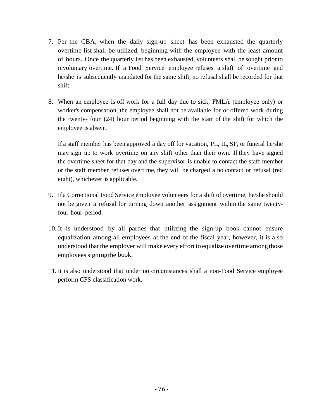- 7. Per the CBA, when the daily sign-up sheet has been exhausted the quarterly overtime list shall be utilized, beginning with the employee with the least amount of hours. Once the quarterly list has been exhausted, volunteers shall be sought prior to involuntary overtime. If a Food Service employee refuses a shift of overtime and he/she is subsequently mandated for the same shift, no refusal shall be recorded for that shift.
- 8. When an employee is off work for a full day due to sick, FMLA (employee only) or worker's compensation, the employee shall not be available for or offered work during the twenty- four (24) hour period beginning with the start of the shift for which the employee is absent.

If a staff member has been approved a day off for vacation, PL, IL, SF, or funeral he/she may sign up to work overtime on any shift other than their own. If they have signed the overtime sheet for that day and the supervisor is unable to contact the staff member or the staff member refuses overtime, they will be charged a no contact or refusal (red eight), whichever is applicable.

- 9. If a Correctional Food Service employee volunteers for a shift of overtime, he/she should not be given a refusal for turning down another assignment within the same twentyfour hour period.
- 10. It is understood by all parties that utilizing the sign-up book cannot ensure equalization among all employees at the end of the fiscal year, however, it is also understood that the employer will make every effort to equalize overtime amongthose employees signing the book.
- 11. It is also understood that under no circumstances shall a non-Food Service employee perform CFS classification work.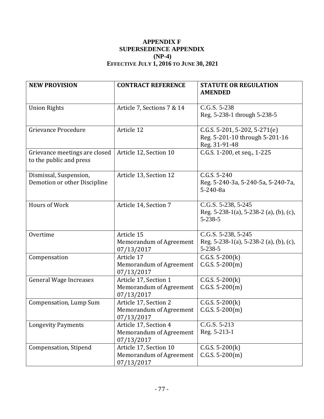# **APPENDIX F SUPERSEDENCE APPENDIX (NP-4) EFFECTIVE JULY 1, 2016 TO JUNE 30, 2021**

| <b>NEW PROVISION</b>                                     | <b>CONTRACT REFERENCE</b>                                       | <b>STATUTE OR REGULATION</b><br><b>AMENDED</b>                                       |
|----------------------------------------------------------|-----------------------------------------------------------------|--------------------------------------------------------------------------------------|
| <b>Union Rights</b>                                      | Article 7, Sections 7 & 14                                      | C.G.S. 5-238<br>Reg. 5-238-1 through 5-238-5                                         |
| Grievance Procedure                                      | Article 12                                                      | C.G.S. 5-201, 5-202, 5-271(e)<br>Reg. 5-201-10 through 5-201-16<br>Reg. 31-91-48     |
| Grievance meetings are closed<br>to the public and press | Article 12, Section 10                                          | C.G.S. 1-200, et seq., 1-225                                                         |
| Dismissal, Suspension,<br>Demotion or other Discipline   | Article 13, Section 12                                          | $C.G.S. 5-240$<br>Reg. 5-240-3a, 5-240-5a, 5-240-7a,<br>5-240-8a                     |
| <b>Hours of Work</b>                                     | Article 14, Section 7                                           | C.G.S. 5-238, 5-245<br>Reg. $5-238-1(a)$ , $5-238-2(a)$ , (b), (c),<br>$5 - 238 - 5$ |
| Overtime                                                 | Article 15<br>Memorandum of Agreement<br>07/13/2017             | C.G.S. 5-238, 5-245<br>Reg. $5-238-1(a)$ , $5-238-2(a)$ , (b), (c),<br>$5 - 238 - 5$ |
| Compensation                                             | Article 17<br>Memorandum of Agreement<br>07/13/2017             | $C.G.S. 5-200(k)$<br>$C.G.S. 5-200(m)$                                               |
| <b>General Wage Increases</b>                            | Article 17, Section 1<br>Memorandum of Agreement<br>07/13/2017  | $C.G.S. 5-200(k)$<br>$C.G.S. 5-200(m)$                                               |
| Compensation, Lump Sum                                   | Article 17, Section 2<br>Memorandum of Agreement<br>07/13/2017  | $C.G.S. 5-200(k)$<br>$C.G.S. 5-200(m)$                                               |
| <b>Longevity Payments</b>                                | Article 17, Section 4<br>Memorandum of Agreement<br>07/13/2017  | C.G.S. 5-213<br>Reg. 5-213-1                                                         |
| <b>Compensation</b> , Stipend                            | Article 17, Section 10<br>Memorandum of Agreement<br>07/13/2017 | $C.G.S. 5-200(k)$<br>$C.G.S. 5-200(m)$                                               |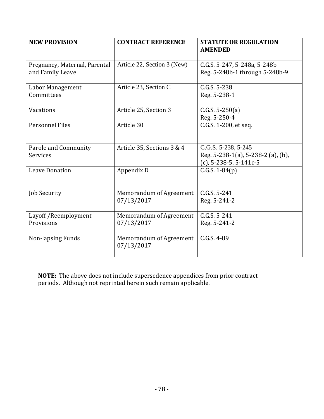| <b>NEW PROVISION</b>                              | <b>CONTRACT REFERENCE</b>             | <b>STATUTE OR REGULATION</b><br><b>AMENDED</b>                                         |
|---------------------------------------------------|---------------------------------------|----------------------------------------------------------------------------------------|
| Pregnancy, Maternal, Parental<br>and Family Leave | Article 22, Section 3 (New)           | C.G.S. 5-247, 5-248a, 5-248b<br>Reg. 5-248b-1 through 5-248b-9                         |
| Labor Management<br>Committees                    | Article 23, Section C                 | C.G.S. 5-238<br>Reg. 5-238-1                                                           |
| Vacations                                         | Article 25, Section 3                 | $C.G.S. 5-250(a)$<br>Reg. 5-250-4                                                      |
| <b>Personnel Files</b>                            | Article 30                            | C.G.S. 1-200, et seq.                                                                  |
| Parole and Community<br>Services                  | Article 35, Sections 3 & 4            | C.G.S. 5-238, 5-245<br>Reg. 5-238-1(a), 5-238-2 (a), (b),<br>$(c)$ , 5-238-5, 5-141c-5 |
| <b>Leave Donation</b>                             | Appendix D                            | $C.G.S. 1-84(p)$                                                                       |
| <b>Job Security</b>                               | Memorandum of Agreement<br>07/13/2017 | C.G.S. 5-241<br>Reg. 5-241-2                                                           |
| Layoff / Reemployment<br>Provisions               | Memorandum of Agreement<br>07/13/2017 | C.G.S. 5-241<br>Reg. 5-241-2                                                           |
| Non-lapsing Funds                                 | Memorandum of Agreement<br>07/13/2017 | $C.G.S. 4-89$                                                                          |

**NOTE:** The above does not include supersedence appendices from prior contract periods. Although not reprinted herein such remain applicable.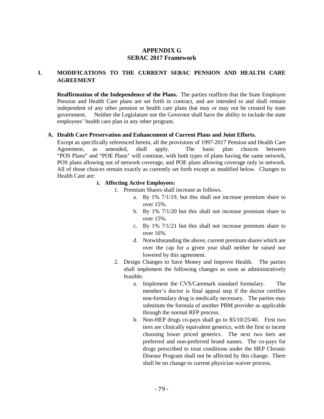### **APPENDIX G SEBAC 2017 Framework**

### **I. MODIFICATIONS TO THE CURRENT SEBAC PENSION AND HEALTH CARE AGREEMENT**

**Reaffirmation of the Independence of the Plans.** The parties reaffirm that the State Employee Pension and Health Care plans are set forth in contract, and are intended to and shall remain independent of any other pension or health care plans that may or may not be created by state government. Neither the Legislature nor the Governor shall have the ability to include the state employees' health care plan in any other program.

#### **A. Health Care Preservation and Enhancement of Current Plans and Joint Efforts.**

Except as specifically referenced herein, all the provisions of 1997-2017 Pension and Health Care Agreement, as amended, shall apply. The basic plan choices between "POS Plans" and "POE Plans" will continue, with both types of plans having the same network, POS plans allowing out of network coverage, and POE plans allowing coverage only in network. All of those choices remain exactly as currently set forth except as modified below. Changes to Health Care are:

#### **i. Affecting Active Employees:**

- 1. Premium Shares shall increase as follows.
	- a. By 1% 7/1/19, but this shall not increase premium share to over 15%.
	- b. By 1% 7/1/20 but this shall not increase premium share to over 15%.
	- c. By 1% 7/1/21 but this shall not increase premium share to over 16%.
	- d. Notwithstanding the above, current premium shares which are over the cap for a given year shall neither be raised nor lowered by this agreement.
- 2. Design Changes to Save Money and Improve Health. The parties shall implement the following changes as soon as administratively feasible.
	- a. Implement the CVS/Caremark standard formulary. The member's doctor is final appeal step if the doctor certifies non-formulary drug is medically necessary. The parties may substitute the formula of another PBM provider as applicable through the normal RFP process.
	- b. Non-HEP drugs co-pays shall go to \$5/10/25/40. First two tiers are clinically equivalent generics, with the first to incent choosing lower priced generics. The next two tiers are preferred and non-preferred brand names. The co-pays for drugs prescribed to treat conditions under the HEP Chronic Disease Program shall not be affected by this change. There shall be no change to current physician waiver process.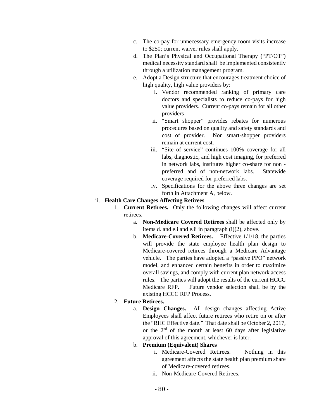- c. The co-pay for unnecessary emergency room visits increase to \$250; current waiver rules shall apply.
- d. The Plan's Physical and Occupational Therapy ("PT/OT") medical necessity standard shall be implemented consistently through a utilization management program.
- e. Adopt a Design structure that encourages treatment choice of high quality, high value providers by:
	- i. Vendor recommended ranking of primary care doctors and specialists to reduce co-pays for high value providers. Current co-pays remain for all other providers
	- ii. "Smart shopper" provides rebates for numerous procedures based on quality and safety standards and cost of provider. Non smart-shopper providers remain at current cost.
	- iii. "Site of service" continues 100% coverage for all labs, diagnostic, and high cost imaging, for preferred in network labs, institutes higher co-share for non preferred and of non-network labs. Statewide coverage required for preferred labs.
	- iv. Specifications for the above three changes are set forth in Attachment A, below.

#### ii. **Health Care Changes Affecting Retirees**

- 1. **Current Retirees.** Only the following changes will affect current retirees.
	- a. **Non-Medicare Covered Retirees** shall be affected only by items d. and e.i and e.ii in paragraph (i)(2), above.
	- b. **Medicare-Covered Retirees.** Effective 1/1/18, the parties will provide the state employee health plan design to Medicare-covered retirees through a Medicare Advantage vehicle. The parties have adopted a "passive PPO" network model, and enhanced certain benefits in order to maximize overall savings, and comply with current plan network access rules. The parties will adopt the results of the current HCCC Medicare RFP. Future vendor selection shall be by the existing HCCC RFP Process.

## 2. **Future Retirees.**

a. **Design Changes.** All design changes affecting Active Employees shall affect future retirees who retire on or after the "RHC Effective date." That date shall be October 2, 2017, or the  $2<sup>nd</sup>$  of the month at least 60 days after legislative approval of this agreement, whichever is later.

## b. **Premium (Equivalent) Shares**

- i. Medicare-Covered Retirees. Nothing in this agreement affects the state health plan premium share of Medicare-covered retirees.
- ii. Non-Medicare-Covered Retirees.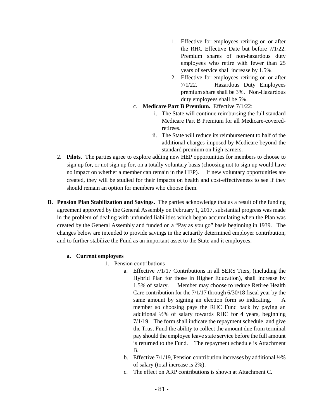- 1. Effective for employees retiring on or after the RHC Effective Date but before 7/1/22. Premium shares of non-hazardous duty employees who retire with fewer than 25 years of service shall increase by 1.5%.
- 2. Effective for employees retiring on or after 7/1/22. Hazardous Duty Employees premium share shall be 3%. Non-Hazardous duty employees shall be 5%.
- c. **Medicare Part B Premium.** Effective 7/1/22:
	- i. The State will continue reimbursing the full standard Medicare Part B Premium for all Medicare-coveredretirees.
	- ii. The State will reduce its reimbursement to half of the additional charges imposed by Medicare beyond the standard premium on high earners.
- 2. **Pilots.** The parties agree to explore adding new HEP opportunities for members to choose to sign up for, or not sign up for, on a totally voluntary basis (choosing not to sign up would have no impact on whether a member can remain in the HEP). If new voluntary opportunities are created, they will be studied for their impacts on health and cost-effectiveness to see if they should remain an option for members who choose them.
- **B. Pension Plan Stabilization and Savings.** The parties acknowledge that as a result of the funding agreement approved by the General Assembly on February 1, 2017, substantial progress was made in the problem of dealing with unfunded liabilities which began accumulating when the Plan was created by the General Assembly and funded on a "Pay as you go" basis beginning in 1939. The changes below are intended to provide savings in the actuarily determined employer contribution, and to further stabilize the Fund as an important asset to the State and it employees.

#### **a. Current employees**

- 1. Pension contributions
	- a. Effective 7/1/17 Contributions in all SERS Tiers, (including the Hybrid Plan for those in Higher Education), shall increase by 1.5% of salary. Member may choose to reduce Retiree Health Care contribution for the 7/1/17 through 6/30/18 fiscal year by the same amount by signing an election form so indicating. A member so choosing pays the RHC Fund back by paying an additional ½% of salary towards RHC for 4 years, beginning 7/1/19. The form shall indicate the repayment schedule, and give the Trust Fund the ability to collect the amount due from terminal pay should the employee leave state service before the full amount is returned to the Fund. The repayment schedule is Attachment B.
	- b. Effective 7/1/19, Pension contribution increases by additional ½% of salary (total increase is 2%).
	- c. The effect on ARP contributions is shown at Attachment C.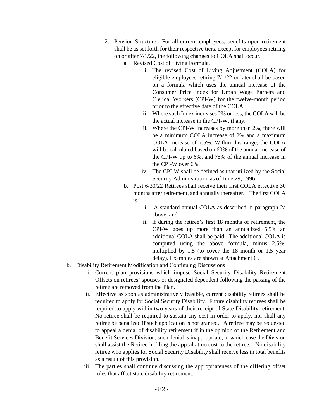- 2. Pension Structure. For all current employees, benefits upon retirement shall be as set forth for their respective tiers, except for employees retiring on or after 7/1/22, the following changes to COLA shall occur.
	- a. Revised Cost of Living Formula.
		- i. The revised Cost of Living Adjustment (COLA) for eligible employees retiring 7/1/22 or later shall be based on a formula which uses the annual increase of the Consumer Price Index for Urban Wage Earners and Clerical Workers (CPI-W) for the twelve-month period prior to the effective date of the COLA.
		- ii. Where such Index increases 2% or less, the COLA will be the actual increase in the CPI-W, if any.
		- iii. Where the CPI-W increases by more than 2%, there will be a minimum COLA increase of 2% and a maximum COLA increase of 7.5%. Within this range, the COLA will be calculated based on 60% of the annual increase of the CPI-W up to 6%, and 75% of the annual increase in the CPI-W over 6%.
		- iv. The CPI-W shall be defined as that utilized by the Social Security Administration as of June 29, 1996.
	- b. Post 6/30/22 Retirees shall receive their first COLA effective 30 months after retirement, and annually thereafter. The first COLA is:
		- i. A standard annual COLA as described in paragraph 2a above, and
		- ii. if during the retiree's first 18 months of retirement, the CPI-W goes up more than an annualized 5.5% an additional COLA shall be paid. The additional COLA is computed using the above formula, minus 2.5%, multiplied by 1.5 (to cover the 18 month or 1.5 year delay). Examples are shown at Attachment C.
- b. Disability Retirement Modification and Continuing Discussions
	- i. Current plan provisions which impose Social Security Disability Retirement Offsets on retirees' spouses or designated dependent following the passing of the retiree are removed from the Plan.
	- ii. Effective as soon as administratively feasible, current disability retirees shall be required to apply for Social Security Disability. Future disability retirees shall be required to apply within two years of their receipt of State Disability retirement. No retiree shall be required to sustain any cost in order to apply, nor shall any retiree be penalized if such application is not granted. A retiree may be requested to appeal a denial of disability retirement if in the opinion of the Retirement and Benefit Services Division, such denial is inappropriate, in which case the Division shall assist the Retiree in filing the appeal at no cost to the retiree. No disability retiree who applies for Social Security Disability shall receive less in total benefits as a result of this provision.
	- iii. The parties shall continue discussing the appropriateness of the differing offset rules that affect state disability retirement.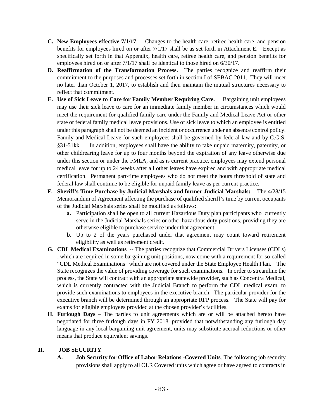- **C. New Employees effective 7/1/17**. Changes to the health care, retiree health care, and pension benefits for employees hired on or after 7/1/17 shall be as set forth in Attachment E. Except as specifically set forth in that Appendix, health care, retiree health care, and pension benefits for employees hired on or after 7/1/17 shall be identical to those hired on 6/30/17.
- **D. Reaffirmation of the Transformation Process.** The parties recognize and reaffirm their commitment to the purposes and processes set forth in section I of SEBAC 2011. They will meet no later than October 1, 2017, to establish and then maintain the mutual structures necessary to reflect that commitment.
- **E. Use of Sick Leave to Care for Family Member Requiring Care.** Bargaining unit employees may use their sick leave to care for an immediate family member in circumstances which would meet the requirement for qualified family care under the Family and Medical Leave Act or other state or federal family medical leave provisions. Use of sick leave to which an employee is entitled under this paragraph shall not be deemed an incident or occurrence under an absence control policy. Family and Medical Leave for such employees shall be governed by federal law and by C.G.S. §31-51kk. In addition, employees shall have the ability to take unpaid maternity, paternity, or other childrearing leave for up to four months beyond the expiration of any leave otherwise due under this section or under the FMLA, and as is current practice, employees may extend personal medical leave for up to 24 weeks after all other leaves have expired and with appropriate medical certification. Permanent part-time employees who do not meet the hours threshold of state and federal law shall continue to be eligible for unpaid family leave as per current practice.
- **F. Sheriff's Time Purchase by Judicial Marshals and former Judicial Marshals:** The 4/28/15 Memorandum of Agreement affecting the purchase of qualified sheriff's time by current occupants of the Judicial Marshals series shall be modified as follows:
	- **a.** Participation shall be open to all current Hazardous Duty plan participants who currently serve in the Judicial Marshals series or other hazardous duty positions, providing they are otherwise eligible to purchase service under that agreement.
	- **b.** Up to 2 of the years purchased under that agreement may count toward retirement eligibility as well as retirement credit.
- **G. CDL Medical Examinations --** The parties recognize that Commercial Drivers Licenses (CDLs) , which are required in some bargaining unit positions, now come with a requirement for so-called "CDL Medical Examinations" which are not covered under the State Employee Health Plan. The State recognizes the value of providing coverage for such examinations. In order to streamline the process, the State will contract with an appropriate statewide provider, such as Concentra Medical, which is currently contracted with the Judicial Branch to perform the CDL medical exam, to provide such examinations to employees in the executive branch. The particular provider for the executive branch will be determined through an appropriate RFP process. The State will pay for exams for eligible employees provided at the chosen provider's facilities.
- **H. Furlough Days** The parties to unit agreements which are or will be attached hereto have negotiated for three furlough days in FY 2018, provided that notwithstanding any furlough day language in any local bargaining unit agreement, units may substitute accrual reductions or other means that produce equivalent savings.

#### **II. JOB SECURITY**

**A. Job Security for Office of Labor Relations -Covered Units**. The following job security provisions shall apply to all OLR Covered units which agree or have agreed to contracts in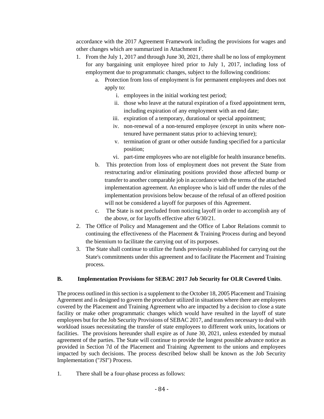accordance with the 2017 Agreement Framework including the provisions for wages and other changes which are summarized in Attachment F.

- 1. From the July 1, 2017 and through June 30, 2021, there shall be no loss of employment for any bargaining unit employee hired prior to July 1, 2017, including loss of employment due to programmatic changes, subject to the following conditions:
	- a. Protection from loss of employment is for permanent employees and does not apply to:
		- i. employees in the initial working test period;
		- ii. those who leave at the natural expiration of a fixed appointment term, including expiration of any employment with an end date;
		- iii. expiration of a temporary, durational or special appointment;
		- iv. non-renewal of a non-tenured employee (except in units where nontenured have permanent status prior to achieving tenure);
		- v. termination of grant or other outside funding specified for a particular position;
		- vi. part-time employees who are not eligible for health insurance benefits.
	- b. This protection from loss of employment does not prevent the State from restructuring and/or eliminating positions provided those affected bump or transfer to another comparable job in accordance with the terms of the attached implementation agreement. An employee who is laid off under the rules of the implementation provisions below because of the refusal of an offered position will not be considered a layoff for purposes of this Agreement.
	- c. The State is not precluded from noticing layoff in order to accomplish any of the above, or for layoffs effective after 6/30/21.
- 2. The Office of Policy and Management and the Office of Labor Relations commit to continuing the effectiveness of the Placement & Training Process during and beyond the biennium to facilitate the carrying out of its purposes.
- 3. The State shall continue to utilize the funds previously established for carrying out the State's commitments under this agreement and to facilitate the Placement and Training process.

#### **B. Implementation Provisions for SEBAC 2017 Job Security for OLR Covered Units**.

The process outlined in this section is a supplement to the October 18, 2005 Placement and Training Agreement and is designed to govern the procedure utilized in situations where there are employees covered by the Placement and Training Agreement who are impacted by a decision to close a state facility or make other programmatic changes which would have resulted in the layoff of state employees but for the Job Security Provisions of SEBAC 2017, and transfers necessary to deal with workload issues necessitating the transfer of state employees to different work units, locations or facilities. The provisions hereunder shall expire as of June 30, 2021, unless extended by mutual agreement of the parties. The State will continue to provide the longest possible advance notice as provided in Section 7d of the Placement and Training Agreement to the unions and employees impacted by such decisions. The process described below shall be known as the Job Security Implementation ("JSI") Process.

1. There shall be a four-phase process as follows: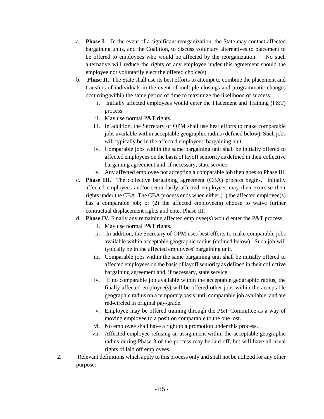- a. **Phase I.** In the event of a significant reorganization, the State may contact affected bargaining units, and the Coalition, to discuss voluntary alternatives to placement to be offered to employees who would be affected by the reorganization. No such alternative will reduce the rights of any employee under this agreement should the employee not voluntarily elect the offered choice(s).
- b. **Phase II**. The State shall use its best efforts to attempt to combine the placement and transfers of individuals in the event of multiple closings and programmatic changes occurring within the same period of time to maximize the likelihood of success.
	- i. Initially affected employees would enter the Placement and Training (P&T) process.
	- ii. May use normal P&T rights.
	- iii. In addition, the Secretary of OPM shall use best efforts to make comparable jobs available within acceptable geographic radius (defined below). Such jobs will typically be in the affected employees' bargaining unit.
	- iv. Comparable jobs within the same bargaining unit shall be initially offered to affected employees on the basis of layoff seniority as defined in their collective bargaining agreement and, if necessary, state service.
	- v. Any affected employee not accepting a comparable job then goes to Phase III.
- c. **Phase III**. The collective bargaining agreement (CBA) process begins. Initially affected employees and/or secondarily affected employees may then exercise their rights under the CBA. The CBA process ends when either (1) the affected employee(s) has a comparable job; or  $(2)$  the affected employee(s) choose to waive further contractual displacement rights and enter Phase III.
- d. **Phase IV.** Finally any remaining affected employee(s) would enter the P&T process.
	- i. May use normal P&T rights.
	- ii. In addition, the Secretary of OPM uses best efforts to make comparable jobs available within acceptable geographic radius (defined below). Such job will typically be in the affected employees' bargaining unit.
	- iii. Comparable jobs within the same bargaining unit shall be initially offered to affected employees on the basis of layoff seniority as defined in their collective bargaining agreement and, if necessary, state service.
	- iv. If no comparable job available within the acceptable geographic radius, the finally affected employee(s) will be offered other jobs within the acceptable geographic radius on a temporary basis until comparable job available, and are red-circled in original pay-grade.
	- v. Employee may be offered training through the P&T Committee as a way of moving employee to a position comparable to the one lost.
	- vi. No employee shall have a right to a promotion under this process.
	- vii. Affected employee refusing an assignment within the acceptable geographic radius during Phase 3 of the process may be laid off, but will have all usual rights of laid off employees.
- 2. Relevant definitions which apply to this process only and shall not be utilized for any other purpose: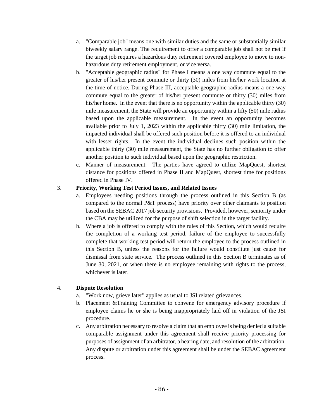- a. "Comparable job" means one with similar duties and the same or substantially similar biweekly salary range. The requirement to offer a comparable job shall not be met if the target job requires a hazardous duty retirement covered employee to move to nonhazardous duty retirement employment, or vice versa.
- b. "Acceptable geographic radius" for Phase I means a one way commute equal to the greater of his/her present commute or thirty (30) miles from his/her work location at the time of notice. During Phase III, acceptable geographic radius means a one-way commute equal to the greater of his/her present commute or thirty (30) miles from his/her home. In the event that there is no opportunity within the applicable thirty (30) mile measurement, the State will provide an opportunity within a fifty (50) mile radius based upon the applicable measurement. In the event an opportunity becomes available prior to July 1, 2023 within the applicable thirty (30) mile limitation, the impacted individual shall be offered such position before it is offered to an individual with lesser rights. In the event the individual declines such position within the applicable thirty (30) mile measurement, the State has no further obligation to offer another position to such individual based upon the geographic restriction.
- c. Manner of measurement. The parties have agreed to utilize MapQuest, shortest distance for positions offered in Phase II and MapQuest, shortest time for positions offered in Phase IV.

### 3. **Priority, Working Test Period Issues, and Related Issues**

- a. Employees needing positions through the process outlined in this Section B (as compared to the normal P&T process) have priority over other claimants to position based on the SEBAC 2017 job security provisions. Provided, however, seniority under the CBA may be utilized for the purpose of shift selection in the target facility.
- b. Where a job is offered to comply with the rules of this Section, which would require the completion of a working test period, failure of the employee to successfully complete that working test period will return the employee to the process outlined in this Section B, unless the reasons for the failure would constitute just cause for dismissal from state service. The process outlined in this Section B terminates as of June 30, 2021, or when there is no employee remaining with rights to the process, whichever is later.

## 4. **Dispute Resolution**

- a. "Work now, grieve later" applies as usual to JSI related grievances.
- b. Placement &Training Committee to convene for emergency advisory procedure if employee claims he or she is being inappropriately laid off in violation of the JSI procedure.
- c. Any arbitration necessary to resolve a claim that an employee is being denied a suitable comparable assignment under this agreement shall receive priority processing for purposes of assignment of an arbitrator, a hearing date, and resolution of the arbitration. Any dispute or arbitration under this agreement shall be under the SEBAC agreement process.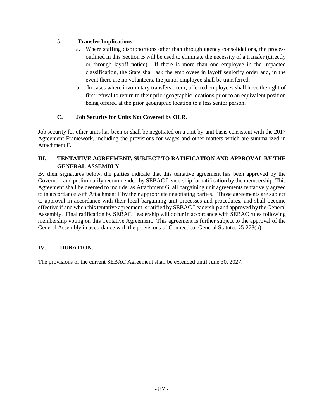## 5. **Transfer Implications**

- a. Where staffing disproportions other than through agency consolidations, the process outlined in this Section B will be used to eliminate the necessity of a transfer (directly or through layoff notice). If there is more than one employee in the impacted classification, the State shall ask the employees in layoff seniority order and, in the event there are no volunteers, the junior employee shall be transferred.
- b. In cases where involuntary transfers occur, affected employees shall have the right of first refusal to return to their prior geographic locations prior to an equivalent position being offered at the prior geographic location to a less senior person.

## **C. Job Security for Units Not Covered by OLR**.

Job security for other units has been or shall be negotiated on a unit-by-unit basis consistent with the 2017 Agreement Framework, including the provisions for wages and other matters which are summarized in Attachment F.

## **III. TENTATIVE AGREEMENT, SUBJECT TO RATIFICATION AND APPROVAL BY THE GENERAL ASSEMBLY**

By their signatures below, the parties indicate that this tentative agreement has been approved by the Governor, and preliminarily recommended by SEBAC Leadership for ratification by the membership. This Agreement shall be deemed to include, as Attachment G, all bargaining unit agreements tentatively agreed to in accordance with Attachment F by their appropriate negotiating parties. Those agreements are subject to approval in accordance with their local bargaining unit processes and procedures, and shall become effective if and when this tentative agreement is ratified by SEBAC Leadership and approved by the General Assembly. Final ratification by SEBAC Leadership will occur in accordance with SEBAC rules following membership voting on this Tentative Agreement. This agreement is further subject to the approval of the General Assembly in accordance with the provisions of Connecticut General Statutes §5-278(b).

## **IV. DURATION.**

The provisions of the current SEBAC Agreement shall be extended until June 30, 2027.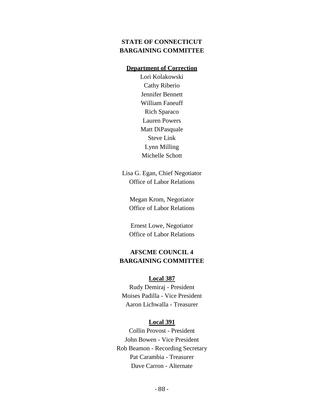# **STATE OF CONNECTICUT BARGAINING COMMITTEE**

# **Department of Correction**

Lori Kolakowski Cathy Riberio Jennifer Bennett William Faneuff Rich Sparaco Lauren Powers Matt DiPasquale Steve Link Lynn Milling Michelle Schott

Lisa G. Egan, Chief Negotiator Office of Labor Relations

Megan Krom, Negotiator Office of Labor Relations

Ernest Lowe, Negotiator Office of Labor Relations

# **AFSCME COUNCIL 4 BARGAINING COMMITTEE**

#### **Local 387**

Rudy Demiraj - President Moises Padilla - Vice President Aaron Lichwalla - Treasurer

#### **Local 391**

Collin Provost - President John Bowen - Vice President Rob Beamon - Recording Secretary Pat Carambia - Treasurer Dave Carron - Alternate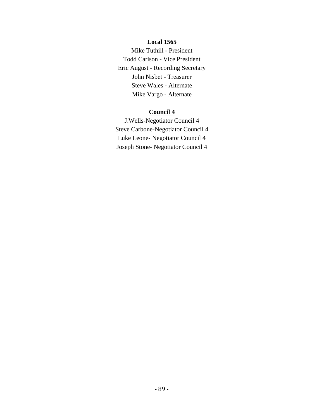# **Local 1565**

Mike Tuthill - President Todd Carlson - Vice President Eric August - Recording Secretary John Nisbet - Treasurer Steve Wales - Alternate Mike Vargo - Alternate

# **Council 4**

J.Wells-Negotiator Council 4 Steve Carbone-Negotiator Council 4 Luke Leone- Negotiator Council 4 Joseph Stone- Negotiator Council 4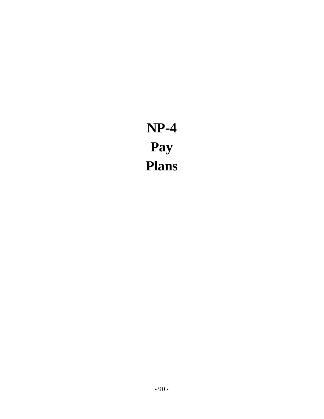**NP-4 Pay Plans**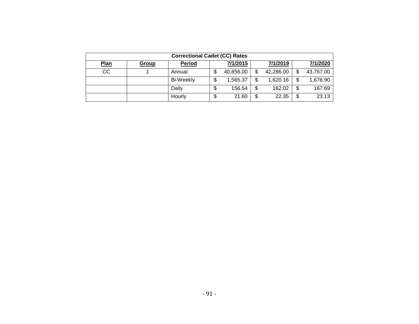|             | <b>Correctional Cadet (CC) Rates</b> |                  |   |           |   |           |    |           |  |  |  |  |  |  |  |
|-------------|--------------------------------------|------------------|---|-----------|---|-----------|----|-----------|--|--|--|--|--|--|--|
| <b>Plan</b> | <b>Group</b>                         | <b>Period</b>    |   | 7/1/2015  |   | 7/1/2019  |    | 7/1/2020  |  |  |  |  |  |  |  |
| CС          |                                      | Annual           |   | 40,856.00 |   | 42,286.00 | \$ | 43,767.00 |  |  |  |  |  |  |  |
|             |                                      | <b>Bi-Weekly</b> |   | 1,565.37  | S | 1,620.16  | \$ | 1,676.90  |  |  |  |  |  |  |  |
|             |                                      | Daily            | Ф | 156.54    | S | 162.02    | \$ | 167.69    |  |  |  |  |  |  |  |
|             |                                      | Hourly           | S | 21.60     | S | 22.35     | \$ | 23.13     |  |  |  |  |  |  |  |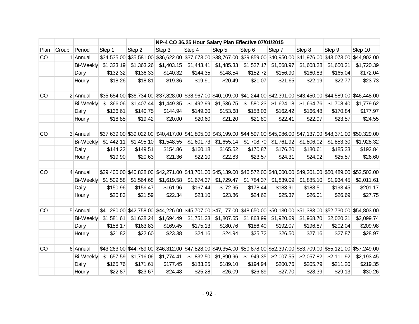|      |       |                  |            |            |                                                                                                                         | NP-4 CO 36.25 Hour Salary Plan Effective 07/01/2015 |            |            |            |            |            |             |
|------|-------|------------------|------------|------------|-------------------------------------------------------------------------------------------------------------------------|-----------------------------------------------------|------------|------------|------------|------------|------------|-------------|
| Plan | Group | Period           | Step 1     | Step 2     | Step 3                                                                                                                  | Step 4                                              | Step 5     | Step 6     | Step 7     | Step 8     | Step 9     | Step 10     |
| CO   |       | 1 Annual         |            |            | \$34,535.00 \$35,581.00 \$36,622.00 \$37,673.00 \$38,767.00 \$39,859.00 \$40,950.00 \$41,976.00 \$43,073.00             |                                                     |            |            |            |            |            | \$44,902.00 |
|      |       | <b>Bi-Weekly</b> | \$1,323.19 | \$1,363.26 | \$1,403.15                                                                                                              | \$1,443.41                                          | \$1,485.33 | \$1,527.17 | \$1,568.97 | \$1,608.28 | \$1,650.31 | \$1,720.39  |
|      |       | Daily            | \$132.32   | \$136.33   | \$140.32                                                                                                                | \$144.35                                            | \$148.54   | \$152.72   | \$156.90   | \$160.83   | \$165.04   | \$172.04    |
|      |       | Hourly           | \$18.26    | \$18.81    | \$19.36                                                                                                                 | \$19.91                                             | \$20.49    | \$21.07    | \$21.65    | \$22.19    | \$22.77    | \$23.73     |
|      |       |                  |            |            |                                                                                                                         |                                                     |            |            |            |            |            |             |
| CO   |       | 2 Annual         |            |            | \$35,654.00 \$36,734.00 \$37,828.00 \$38,967.00 \$40,109.00 \$41,244.00 \$42,391.00 \$43,450.00 \$44,589.00 \$46,448.00 |                                                     |            |            |            |            |            |             |
|      |       | <b>Bi-Weekly</b> | \$1,366.06 | \$1,407.44 | \$1,449.35                                                                                                              | \$1,492.99                                          | \$1,536.75 | \$1,580.23 | \$1,624.18 | \$1,664.76 | \$1,708.40 | \$1,779.62  |
|      |       | Daily            | \$136.61   | \$140.75   | \$144.94                                                                                                                | \$149.30                                            | \$153.68   | \$158.03   | \$162.42   | \$166.48   | \$170.84   | \$177.97    |
|      |       | Hourly           | \$18.85    | \$19.42    | \$20.00                                                                                                                 | \$20.60                                             | \$21.20    | \$21.80    | \$22.41    | \$22.97    | \$23.57    | \$24.55     |
|      |       |                  |            |            |                                                                                                                         |                                                     |            |            |            |            |            |             |
| CO   |       | 3 Annual         |            |            | \$37,639.00 \$39,022.00 \$40,417.00 \$41,805.00 \$43,199.00 \$44,597.00 \$45,986.00 \$47,137.00 \$48,371.00 \$50,329.00 |                                                     |            |            |            |            |            |             |
|      |       | <b>Bi-Weekly</b> | \$1,442.11 | \$1,495.10 | \$1,548.55                                                                                                              | \$1,601.73                                          | \$1,655.14 | \$1,708.70 | \$1,761.92 | \$1,806.02 | \$1,853.30 | \$1,928.32  |
|      |       | Daily            | \$144.22   | \$149.51   | \$154.86                                                                                                                | \$160.18                                            | \$165.52   | \$170.87   | \$176.20   | \$180.61   | \$185.33   | \$192.84    |
|      |       | Hourly           | \$19.90    | \$20.63    | \$21.36                                                                                                                 | \$22.10                                             | \$22.83    | \$23.57    | \$24.31    | \$24.92    | \$25.57    | \$26.60     |
|      |       |                  |            |            |                                                                                                                         |                                                     |            |            |            |            |            |             |
| CO   |       | 4 Annual         |            |            | \$39,400.00 \$40,838.00 \$42,271.00 \$43,701.00 \$45,139.00 \$46,572.00 \$48,000.00 \$49,201.00 \$50,489.00 \$52,503.00 |                                                     |            |            |            |            |            |             |
|      |       | <b>Bi-Weekly</b> | \$1,509.58 | \$1,564.68 | \$1,619.58                                                                                                              | \$1,674.37                                          | \$1,729.47 | \$1,784.37 | \$1,839.09 | \$1,885.10 | \$1,934.45 | \$2,011.61  |
|      |       | Daily            | \$150.96   | \$156.47   | \$161.96                                                                                                                | \$167.44                                            | \$172.95   | \$178.44   | \$183.91   | \$188.51   | \$193.45   | \$201.17    |
|      |       | Hourly           | \$20.83    | \$21.59    | \$22.34                                                                                                                 | \$23.10                                             | \$23.86    | \$24.62    | \$25.37    | \$26.01    | \$26.69    | \$27.75     |
|      |       |                  |            |            |                                                                                                                         |                                                     |            |            |            |            |            |             |
| CO   |       | 5 Annual         |            |            | \$41,280.00 \$42,758.00 \$44,226.00 \$45,707.00 \$47,177.00 \$48,650.00 \$50,130.00 \$51,383.00 \$52,730.00 \$54,803.00 |                                                     |            |            |            |            |            |             |
|      |       | <b>Bi-Weekly</b> | \$1,581.61 | \$1,638.24 | \$1,694.49                                                                                                              | \$1,751.23                                          | \$1,807.55 | \$1,863.99 | \$1,920.69 | \$1,968.70 | \$2,020.31 | \$2,099.74  |
|      |       | Daily            | \$158.17   | \$163.83   | \$169.45                                                                                                                | \$175.13                                            | \$180.76   | \$186.40   | \$192.07   | \$196.87   | \$202.04   | \$209.98    |
|      |       | Hourly           | \$21.82    | \$22.60    | \$23.38                                                                                                                 | \$24.16                                             | \$24.94    | \$25.72    | \$26.50    | \$27.16    | \$27.87    | \$28.97     |
|      |       |                  |            |            |                                                                                                                         |                                                     |            |            |            |            |            |             |
| CO   |       | 6 Annual         |            |            | \$43,263.00 \$44,789.00 \$46,312.00 \$47,828.00 \$49,354.00 \$50,878.00 \$52,397.00 \$53,709.00 \$55,121.00 \$57,249.00 |                                                     |            |            |            |            |            |             |
|      |       | Bi-Weekly        | \$1,657.59 | \$1,716.06 | \$1,774.41                                                                                                              | \$1,832.50                                          | \$1,890.96 | \$1,949.35 | \$2,007.55 | \$2,057.82 | \$2,111.92 | \$2,193.45  |
|      |       | Daily            | \$165.76   | \$171.61   | \$177.45                                                                                                                | \$183.25                                            | \$189.10   | \$194.94   | \$200.76   | \$205.79   | \$211.20   | \$219.35    |
|      |       | Hourly           | \$22.87    | \$23.67    | \$24.48                                                                                                                 | \$25.28                                             | \$26.09    | \$26.89    | \$27.70    | \$28.39    | \$29.13    | \$30.26     |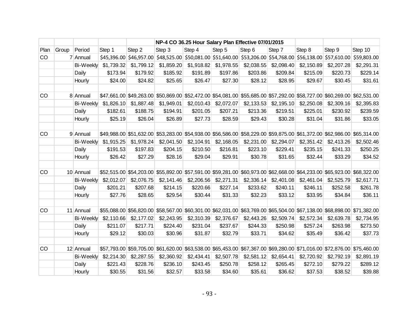|      |       |                  |             |            |                                                                                                                         | NP-4 CO 36.25 Hour Salary Plan Effective 07/01/2015 |            |            |            |            |             |             |
|------|-------|------------------|-------------|------------|-------------------------------------------------------------------------------------------------------------------------|-----------------------------------------------------|------------|------------|------------|------------|-------------|-------------|
| Plan | Group | Period           | Step 1      | Step 2     | Step 3                                                                                                                  | Step 4                                              | Step 5     | Step 6     | Step 7     | Step 8     | Step 9      | Step 10     |
| CO   |       | 7 Annual         | \$45,396.00 |            | $\vert$ \$46,957.00 $\vert$ \$48,525.00 \$50,081.00 \$51,640.00 \$53,206.00 \$54,768.00 \$56,138.00                     |                                                     |            |            |            |            | \$57,610.00 | \$59,803.00 |
|      |       | <b>Bi-Weekly</b> | \$1,739.32  | \$1,799.12 | \$1,859.20                                                                                                              | \$1,918.82                                          | \$1,978.55 | \$2,038.55 | \$2,098.40 | \$2,150.89 | \$2,207.28  | \$2,291.31  |
|      |       | Daily            | \$173.94    | \$179.92   | \$185.92                                                                                                                | \$191.89                                            | \$197.86   | \$203.86   | \$209.84   | \$215.09   | \$220.73    | \$229.14    |
|      |       | Hourly           | \$24.00     | \$24.82    | \$25.65                                                                                                                 | \$26.47                                             | \$27.30    | \$28.12    | \$28.95    | \$29.67    | \$30.45     | \$31.61     |
|      |       |                  |             |            |                                                                                                                         |                                                     |            |            |            |            |             |             |
| CO   |       | 8 Annual         |             |            | \$47,661.00 \$49,263.00 \$50,869.00 \$52,472.00 \$54,081.00 \$55,685.00 \$57,292.00 \$58,727.00 \$60,269.00 \$62,531.00 |                                                     |            |            |            |            |             |             |
|      |       | <b>Bi-Weekly</b> | \$1,826.10  | \$1,887.48 | \$1,949.01                                                                                                              | \$2,010.43                                          | \$2,072.07 | \$2,133.53 | \$2,195.10 | \$2,250.08 | \$2,309.16  | \$2,395.83  |
|      |       | Daily            | \$182.61    | \$188.75   | \$194.91                                                                                                                | \$201.05                                            | \$207.21   | \$213.36   | \$219.51   | \$225.01   | \$230.92    | \$239.59    |
|      |       | Hourly           | \$25.19     | \$26.04    | \$26.89                                                                                                                 | \$27.73                                             | \$28.59    | \$29.43    | \$30.28    | \$31.04    | \$31.86     | \$33.05     |
|      |       |                  |             |            |                                                                                                                         |                                                     |            |            |            |            |             |             |
| CO   |       | 9 Annual         |             |            | \$49,988.00 \$51,632.00 \$53,283.00 \$54,938.00 \$56,586.00 \$58,229.00 \$59,875.00 \$61,372.00 \$62,986.00 \$65,314.00 |                                                     |            |            |            |            |             |             |
|      |       | Bi-Weekly        | \$1,915.25  | \$1,978.24 | \$2,041.50                                                                                                              | \$2,104.91                                          | \$2,168.05 | \$2,231.00 | \$2,294.07 | \$2,351.42 | \$2,413.26  | \$2,502.46  |
|      |       | Daily            | \$191.53    | \$197.83   | \$204.15                                                                                                                | \$210.50                                            | \$216.81   | \$223.10   | \$229.41   | \$235.15   | \$241.33    | \$250.25    |
|      |       | Hourly           | \$26.42     | \$27.29    | \$28.16                                                                                                                 | \$29.04                                             | \$29.91    | \$30.78    | \$31.65    | \$32.44    | \$33.29     | \$34.52     |
|      |       |                  |             |            |                                                                                                                         |                                                     |            |            |            |            |             |             |
| CO   |       | 10 Annual        |             |            | \$52,515.00 \$54,203.00 \$55,892.00 \$57,591.00 \$59,281.00 \$60,973.00 \$62,668.00 \$64,233.00 \$65,923.00 \$68,322.00 |                                                     |            |            |            |            |             |             |
|      |       | <b>Bi-Weekly</b> | \$2,012.07  | \$2,076.75 | \$2,141.46                                                                                                              | \$2,206.56                                          | \$2,271.31 | \$2,336.14 | \$2,401.08 | \$2,461.04 | \$2,525.79  | \$2,617.71  |
|      |       | Daily            | \$201.21    | \$207.68   | \$214.15                                                                                                                | \$220.66                                            | \$227.14   | \$233.62   | \$240.11   | \$246.11   | \$252.58    | \$261.78    |
|      |       | Hourly           | \$27.76     | \$28.65    | \$29.54                                                                                                                 | \$30.44                                             | \$31.33    | \$32.23    | \$33.12    | \$33.95    | \$34.84     | \$36.11     |
| CO   |       | 11 Annual        |             |            | \$55,088.00 \$56,820.00 \$58,567.00 \$60,301.00 \$62,031.00 \$63,769.00 \$65,504.00 \$67,138.00 \$68,898.00 \$71,382.00 |                                                     |            |            |            |            |             |             |
|      |       |                  |             |            |                                                                                                                         |                                                     |            |            |            |            |             |             |
|      |       | <b>Bi-Weekly</b> | \$2,110.66  | \$2,177.02 | \$2,243.95                                                                                                              | \$2,310.39                                          | \$2,376.67 | \$2,443.26 | \$2,509.74 | \$2,572.34 | \$2,639.78  | \$2,734.95  |
|      |       | Daily            | \$211.07    | \$217.71   | \$224.40                                                                                                                | \$231.04                                            | \$237.67   | \$244.33   | \$250.98   | \$257.24   | \$263.98    | \$273.50    |
|      |       | Hourly           | \$29.12     | \$30.03    | \$30.96                                                                                                                 | \$31.87                                             | \$32.79    | \$33.71    | \$34.62    | \$35.49    | \$36.42     | \$37.73     |
| CO   |       | 12 Annual        |             |            | \$57,793.00 \$59,705.00 \$61,620.00 \$63,538.00 \$65,453.00 \$67,367.00 \$69,280.00 \$71,016.00 \$72,876.00 \$75,460.00 |                                                     |            |            |            |            |             |             |
|      |       | Bi-Weekly        | \$2,214.30  | \$2,287.55 | \$2,360.92                                                                                                              | \$2,434.41                                          | \$2,507.78 | \$2,581.12 | \$2,654.41 | \$2,720.92 | \$2,792.19  | \$2,891.19  |
|      |       | Daily            | \$221.43    | \$228.76   | \$236.10                                                                                                                | \$243.45                                            | \$250.78   | \$258.12   | \$265.45   | \$272.10   | \$279.22    | \$289.12    |
|      |       | Hourly           | \$30.55     | \$31.56    | \$32.57                                                                                                                 | \$33.58                                             | \$34.60    | \$35.61    | \$36.62    | \$37.53    | \$38.52     | \$39.88     |
|      |       |                  |             |            |                                                                                                                         |                                                     |            |            |            |            |             |             |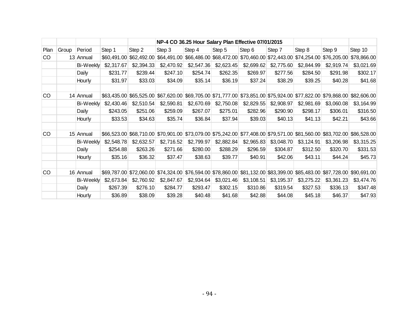|           |       |                  |             |             |             | NP-4 CO 36.25 Hour Salary Plan Effective 07/01/2015<br>Step 4<br>Step 5<br>Step 6<br>Step 7<br>\$66,486.00 \$68,472.00<br>\$70,460.00 \$72,443.00<br>\$2,547.36<br>\$2,623.45<br>\$2,699.62<br>\$2,775.60<br>\$254.74<br>\$262.35<br>\$269.97<br>\$277.56<br>\$247.10<br>\$35.14<br>\$36.19<br>\$37.24<br>\$38.29<br>\$34.09<br>\$69,705.00 \$71,777.00<br>\$73,851.00 \$75,924.00<br>\$2,670.69<br>\$2,750.08<br>\$2,829.55<br>\$2,908.97<br>\$259.09<br>\$267.07<br>\$275.01<br>\$282.96<br>\$290.90<br>\$35.74<br>\$36.84<br>\$37.94<br>\$39.03<br>\$40.13<br>\$70,901.00 \$73,079.00 \$75,242.00<br>\$77,408.00 \$79,571.00<br>\$2,799.97<br>\$2,882.84<br>\$2,965.83<br>\$3,048.70<br>\$271.66<br>\$280.00<br>\$296.59<br>\$304.87<br>\$288.29<br>\$38.63<br>\$39.77<br>\$40.91<br>\$37.47<br>\$42.06 |                          |                                                                                     |            |             |                         |             |
|-----------|-------|------------------|-------------|-------------|-------------|------------------------------------------------------------------------------------------------------------------------------------------------------------------------------------------------------------------------------------------------------------------------------------------------------------------------------------------------------------------------------------------------------------------------------------------------------------------------------------------------------------------------------------------------------------------------------------------------------------------------------------------------------------------------------------------------------------------------------------------------------------------------------------------------------------|--------------------------|-------------------------------------------------------------------------------------|------------|-------------|-------------------------|-------------|
| Plan      | Group | Period           | Step 1      | Step 2      | Step 3      |                                                                                                                                                                                                                                                                                                                                                                                                                                                                                                                                                                                                                                                                                                                                                                                                            |                          |                                                                                     |            | Step 8      | Step 9                  | Step 10     |
| <b>CO</b> |       | 13 Annual        | \$60,491.00 | \$62,492.00 | \$64,491.00 |                                                                                                                                                                                                                                                                                                                                                                                                                                                                                                                                                                                                                                                                                                                                                                                                            |                          |                                                                                     |            | \$74,254.00 | \$76,205.00             | \$78,866.00 |
|           |       | <b>Bi-Weekly</b> | \$2,317.67  | \$2,394.33  | \$2,470.92  |                                                                                                                                                                                                                                                                                                                                                                                                                                                                                                                                                                                                                                                                                                                                                                                                            |                          |                                                                                     |            | \$2,844.99  | \$2,919.74              | \$3,021.69  |
|           |       | Daily            | \$231.77    | \$239.44    |             |                                                                                                                                                                                                                                                                                                                                                                                                                                                                                                                                                                                                                                                                                                                                                                                                            |                          |                                                                                     |            | \$284.50    | \$291.98                | \$302.17    |
|           |       | Hourly           | \$31.97     | \$33.03     |             |                                                                                                                                                                                                                                                                                                                                                                                                                                                                                                                                                                                                                                                                                                                                                                                                            |                          |                                                                                     |            | \$39.25     | \$40.28                 | \$41.68     |
|           |       |                  |             |             |             |                                                                                                                                                                                                                                                                                                                                                                                                                                                                                                                                                                                                                                                                                                                                                                                                            |                          |                                                                                     |            |             |                         |             |
| CO        |       | 14 Annual        | \$63,435.00 | \$65,525.00 | \$67,620.00 |                                                                                                                                                                                                                                                                                                                                                                                                                                                                                                                                                                                                                                                                                                                                                                                                            |                          |                                                                                     |            | \$77,822.00 | \$79,868.00             | \$82,606.00 |
|           |       | Bi-Weekly        | \$2,430.46  | \$2,510.54  | \$2,590.81  |                                                                                                                                                                                                                                                                                                                                                                                                                                                                                                                                                                                                                                                                                                                                                                                                            |                          |                                                                                     |            | \$2,981.69  | \$3,060.08              | \$3,164.99  |
|           |       | Daily            | \$243.05    | \$251.06    |             |                                                                                                                                                                                                                                                                                                                                                                                                                                                                                                                                                                                                                                                                                                                                                                                                            |                          |                                                                                     |            | \$298.17    | \$306.01                | \$316.50    |
|           |       | Hourly           | \$33.53     | \$34.63     |             |                                                                                                                                                                                                                                                                                                                                                                                                                                                                                                                                                                                                                                                                                                                                                                                                            |                          |                                                                                     |            | \$41.13     | \$42.21                 | \$43.66     |
|           |       |                  |             |             |             |                                                                                                                                                                                                                                                                                                                                                                                                                                                                                                                                                                                                                                                                                                                                                                                                            |                          |                                                                                     |            |             |                         |             |
| CO        |       | 15 Annual        | \$66,523.00 | \$68,710.00 |             |                                                                                                                                                                                                                                                                                                                                                                                                                                                                                                                                                                                                                                                                                                                                                                                                            |                          |                                                                                     |            | \$81,560.00 | \$83,702.00             | \$86,528.00 |
|           |       | Bi-Weekly        | \$2,548.78  | \$2,632.57  | \$2,716.52  |                                                                                                                                                                                                                                                                                                                                                                                                                                                                                                                                                                                                                                                                                                                                                                                                            |                          |                                                                                     |            | \$3,124.91  | \$3,206.98              | \$3,315.25  |
|           |       | Daily            | \$254.88    | \$263.26    |             |                                                                                                                                                                                                                                                                                                                                                                                                                                                                                                                                                                                                                                                                                                                                                                                                            |                          |                                                                                     |            | \$312.50    | \$320.70                | \$331.53    |
|           |       | Hourly           | \$35.16     | \$36.32     |             |                                                                                                                                                                                                                                                                                                                                                                                                                                                                                                                                                                                                                                                                                                                                                                                                            |                          |                                                                                     |            | \$43.11     | \$44.24                 | \$45.73     |
|           |       |                  |             |             |             |                                                                                                                                                                                                                                                                                                                                                                                                                                                                                                                                                                                                                                                                                                                                                                                                            |                          |                                                                                     |            |             |                         |             |
| CO        |       | 16 Annual        |             |             |             |                                                                                                                                                                                                                                                                                                                                                                                                                                                                                                                                                                                                                                                                                                                                                                                                            |                          | \$69,787.00 \$72,060.00 \$74,324.00 \$76,594.00 \$78,860.00 \$81,132.00 \$83,399.00 |            |             | \$85,483.00 \$87,728.00 | \$90,691.00 |
|           |       | Bi-Weekly        | \$2,673.84  | \$2,760.92  | \$2,847.67  | \$2,934.64                                                                                                                                                                                                                                                                                                                                                                                                                                                                                                                                                                                                                                                                                                                                                                                                 | \$3,021.46<br>\$3,108.51 |                                                                                     | \$3,195.37 | \$3,275.22  | \$3,361.23              | \$3,474.76  |
|           |       | Daily            | \$267.39    | \$276.10    | \$284.77    | \$293.47                                                                                                                                                                                                                                                                                                                                                                                                                                                                                                                                                                                                                                                                                                                                                                                                   | \$302.15                 | \$310.86                                                                            | \$319.54   | \$327.53    | \$336.13                | \$347.48    |
|           |       | Hourly           | \$36.89     | \$38.09     | \$39.28     | \$40.48                                                                                                                                                                                                                                                                                                                                                                                                                                                                                                                                                                                                                                                                                                                                                                                                    | \$41.68                  | \$42.88                                                                             | \$44.08    | \$45.18     | \$46.37                 | \$47.93     |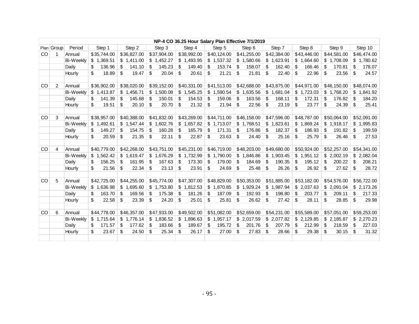|     |                |                  |              |              |               |              |              | NP-4 CO 36.25 Hour Salary Plan Effective 7/1/2019 |              |              |              |                |
|-----|----------------|------------------|--------------|--------------|---------------|--------------|--------------|---------------------------------------------------|--------------|--------------|--------------|----------------|
|     | Plan Group     | Period           | Step 1       | Step 2       | Step 3        | Step 4       | Step 5       | Step 6                                            | Step 7       | Step 8       | Step 9       | Step 10        |
| CO. |                | Annual           | \$35,744.00  | \$36,827.00  | \$37,904.00   | \$38,992.00  | \$40,124.00  | \$41,255.00                                       | \$42,384.00  | \$43,446.00  | \$44,581.00  | \$46,474.00    |
|     |                | <b>Bi-Weekly</b> | \$1,369.51   | \$1,411.00   | \$1,452.27    | \$1,493.95   | \$1,537.32   | \$1,580.66                                        | \$1,623.91   | \$1,664.60   | \$1,708.09   | \$1,780.62     |
|     |                | Daily            | \$<br>136.96 | \$<br>141.10 | \$<br>145.23  | \$<br>149.40 | \$<br>153.74 | \$<br>158.07                                      | \$<br>162.40 | \$<br>166.46 | \$<br>170.81 | \$<br>178.07   |
|     |                | Hourly           | \$<br>18.89  | \$<br>19.47  | \$<br>20.04   | \$<br>20.61  | \$<br>21.21  | \$<br>21.81                                       | \$<br>22.40  | \$<br>22.96  | \$<br>23.56  | \$<br>24.57    |
|     |                |                  |              |              |               |              |              |                                                   |              |              |              |                |
| CO  | $\overline{2}$ | Annual           | \$36,902.00  | \$38,020.00  | \$39,152.00   | \$40,331.00  | \$41,513.00  | \$42,688.00                                       | \$43,875.00  | \$44,971.00  | \$46,150.00  | \$48,074.00    |
|     |                | Bi-Weekly        | \$1.413.87   | \$1,456.71   | \$1,500.08    | \$1,545.25   | \$1,590.54   | \$1,635.56                                        | \$1,681.04   | \$1,723.03   | \$1,768.20   | \$<br>1,841.92 |
|     |                | Daily            | \$<br>141.39 | \$<br>145.68 | \$<br>150.01  | \$<br>154.53 | \$<br>159.06 | \$<br>163.56                                      | \$<br>168.11 | \$<br>172.31 | \$<br>176.82 | \$<br>184.20   |
|     |                | Hourly           | \$<br>19.51  | \$<br>20.10  | \$<br>20.70   | \$<br>21.32  | \$<br>21.94  | \$<br>22.56                                       | \$<br>23.19  | \$<br>23.77  | \$<br>24.39  | \$<br>25.41    |
|     |                |                  |              |              |               |              |              |                                                   |              |              |              |                |
| CO  | 3              | Annual           | \$38,957.00  | \$40,388.00  | \$41,832.00   | \$43,269.00  | \$44,711.00  | \$46,158.00                                       | \$47,596.00  | \$48,787,00  | \$50.064.00  | \$52,091.00    |
|     |                | <b>Bi-Weekly</b> | \$1,492.61   | \$1,547.44   | \$1,602.76    | \$1,657.82   | \$1,713.07   | \$1,768.51                                        | \$1,823.61   | \$1,869.24   | \$1,918.17   | \$<br>1,995.83 |
|     |                | Daily            | \$<br>149.27 | \$<br>154.75 | \$<br>160.28  | \$<br>165.79 | \$<br>171.31 | \$<br>176.86                                      | \$<br>182.37 | \$<br>186.93 | \$<br>191.82 | \$<br>199.59   |
|     |                | Hourly           | \$<br>20.59  | \$<br>21.35  | \$<br>22.11   | \$<br>22.87  | \$<br>23.63  | \$<br>24.40                                       | \$<br>25.16  | \$<br>25.79  | \$<br>26.46  | \$<br>27.53    |
|     |                |                  |              |              |               |              |              |                                                   |              |              |              |                |
| CO  | 4              | Annual           | \$40,779.00  | \$42,268.00  | \$43,751.00   | \$45,231.00  | \$46,719.00  | \$48,203.00                                       | \$49,680.00  | \$50,924.00  | \$52,257.00  | \$54,341.00    |
|     |                | Bi-Weekly        | \$1,562.42   | \$1,619.47   | \$1,676.29    | \$1,732.99   | \$1,790.00   | \$1,846.86                                        | \$1,903.45   | \$1,951.12   | \$2,002.19   | \$2,082.04     |
|     |                | Daily            | \$<br>156.25 | \$<br>161.95 | \$<br>167.63  | \$<br>173.30 | \$<br>179.00 | \$<br>184.69                                      | \$<br>190.35 | \$<br>195.12 | \$<br>200.22 | \$<br>208.21   |
|     |                | Hourly           | \$<br>21.56  | \$<br>22.34  | \$<br>23.13   | \$<br>23.91  | \$<br>24.69  | \$<br>25.48                                       | \$<br>26.26  | \$<br>26.92  | \$<br>27.62  | \$<br>28.72    |
|     |                |                  |              |              |               |              |              |                                                   |              |              |              |                |
| CO  | 5              | Annual           | \$42,725.00  | \$44,255.00  | \$45,774.00   | \$47,307.00  | \$48,829.00  | \$50,353.00                                       | \$51,885.00  | \$53,182.00  | \$54,576.00  | \$56,722.00    |
|     |                | Bi-Weekly        | \$1,636.98   | \$1,695.60   | \$1,753.80    | \$1,812.53   | \$1,870.85   | \$1,929.24                                        | \$1,987.94   | \$2,037.63   | \$2,091.04   | \$2,173.26     |
|     |                | Daily            | \$<br>163.70 | \$<br>169.56 | \$<br>175.38  | \$<br>181.26 | \$<br>187.09 | \$<br>192.93                                      | \$<br>198.80 | \$<br>203.77 | \$<br>209.11 | \$<br>217.33   |
|     |                | Hourly           | \$<br>22.58  | \$<br>23.39  | \$<br>24.20   | \$<br>25.01  | \$<br>25.81  | \$<br>26.62                                       | \$<br>27.42  | \$<br>28.11  | \$<br>28.85  | \$<br>29.98    |
|     |                |                  |              |              |               |              |              |                                                   |              |              |              |                |
| CO  | 6              | Annual           | \$44,778.00  | \$46,357.00  | \$47,933.00   | \$49,502.00  | \$51,082.00  | \$52,659.00                                       | \$54,231.00  | \$55,589.00  | \$57,051.00  | \$59,253.00    |
|     |                | Bi-Weekly        | \$1,715.64   | \$1,776.14   | \$1,836.52    | \$1,896.63   | \$1,957.17   | \$2,017.59                                        | \$2,077.82   | \$2,129.85   | \$2,185.87   | \$2,270.23     |
|     |                | Daily            | \$<br>171.57 | \$<br>177.62 | -\$<br>183.66 | \$<br>189.67 | \$<br>195.72 | \$<br>201.76                                      | \$<br>207.79 | \$<br>212.99 | \$<br>218.59 | \$<br>227.03   |
|     |                | Hourly           | \$<br>23.67  | \$<br>24.50  | \$<br>25.34   | \$<br>26.17  | \$<br>27.00  | \$<br>27.83                                       | \$<br>28.66  | \$<br>29.38  | \$<br>30.15  | \$<br>31.32    |
|     |                |                  |              |              |               |              |              |                                                   |              |              |              |                |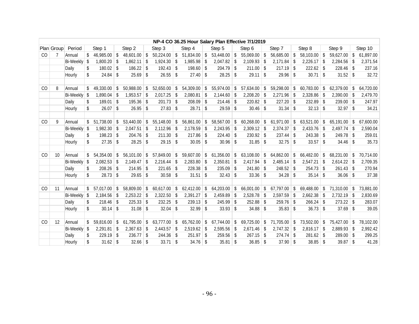|    |                 |              |                  |                      |     |               |                      | NP-4 CO 36.25 Hour Salary Plan Effective 7/1/2019 |     |                |     |                  |     |               |     |               |    |           |
|----|-----------------|--------------|------------------|----------------------|-----|---------------|----------------------|---------------------------------------------------|-----|----------------|-----|------------------|-----|---------------|-----|---------------|----|-----------|
|    | Plan Group      | Period       | Step 1           | Step 2               |     | Step 3        | Step 4               | Step 5                                            |     | Step 6         |     | Step 7           |     | Step 8        |     | Step 9        |    | Step 10   |
| CO |                 | Annual       | 46,985.00        | \$<br>48,601.00      | \$  | 50,224.00     | \$<br>$51,834.00$ \$ | 53,448.00                                         | \$  | 55,069.00      | -\$ | 56,685.00        | \$  | 58,103.00     | \$  | 59,627.00     | \$ | 61,897.00 |
|    |                 | Bi-Weekly \$ | 1,800.20         | \$<br>$1,862.11$ \$  |     | $1,924.30$ \$ | $1,985.98$ \$        | 2,047.82                                          | \$  | $2,109.93$ \$  |     | 2,171.84         | \$  | $2,226.17$ \$ |     | 2,284.56      | \$ | 2,371.54  |
|    |                 | Daily        | \$<br>180.02     | \$<br>$186.22$ \$    |     | $192.43$ \$   | $198.60$ \$          | 204.79                                            | -\$ | $211.00$ \$    |     | $217.19$ \$      |     | $222.62$ \$   |     | 228.46        | \$ | 237.16    |
|    |                 | Hourly       | \$<br>24.84      | \$<br>25.69          | \$  | $26.55$ \$    | $27.40$ \$           | 28.25                                             | \$  | $29.11$ \$     |     | $29.96$ \$       |     | 30.71         | \$  | 31.52         | \$ | 32.72     |
|    |                 |              |                  |                      |     |               |                      |                                                   |     |                |     |                  |     |               |     |               |    |           |
| CO | 8               | Annual       | 49,330.00        | \$<br>50,988.00      | -\$ | 52,650.00     | \$<br>54,309.00 \$   | 55,974.00                                         | \$  | 57,634.00      | -\$ | 59,298.00        | \$  | 60,783.00     | \$  | 62,379.00     | S. | 64,720.00 |
|    |                 | Bi-Weekly \$ | 1,890.04         | \$<br>$1,953.57$ \$  |     | $2,017.25$ \$ | $2,080.81$ \$        | 2,144.60                                          | \$  | $2,208.20$ \$  |     | 2,271.96         | \$  | 2,328.86      | -\$ | 2,390.00      | \$ | 2,479.70  |
|    |                 | Daily        | \$<br>189.01     | \$<br>$195.36$ \$    |     | $201.73$ \$   | $208.09$ \$          | 214.46                                            | -\$ | $220.82$ \$    |     | 227.20           | -\$ | $232.89$ \$   |     | 239.00        | \$ | 247.97    |
|    |                 | Hourly       | \$<br>26.07      | \$<br>$26.95$ \$     |     | $27.83$ \$    | $28.71$ \$           | $29.59$ \$                                        |     | $30.46$ \$     |     | $31.34$ \$       |     | 32.13         | \$  | 32.97         | \$ | 34.21     |
|    |                 |              |                  |                      |     |               |                      |                                                   |     |                |     |                  |     |               |     |               |    |           |
| CO | 9               | Annual       | 51,738.00        | \$<br>53,440.00      | -\$ | 55,148.00     | \$<br>$56,861.00$ \$ | 58,567.00                                         | -\$ | 60,268.00      | -\$ | 61,971.00        | \$  | 63,521.00     | \$  | 65,191.00     | \$ | 67,600.00 |
|    |                 | Bi-Weekly \$ | 1,982.30         | \$<br>$2,047.51$ \$  |     | $2,112.96$ \$ | $2,178.59$ \$        | 2,243.95                                          | -\$ | $2,309.12$ \$  |     | 2,374.37         | -\$ | $2,433.76$ \$ |     | 2,497.74      | s. | 2,590.04  |
|    |                 | Daily        | \$<br>198.23     | \$<br>$204.76$ \$    |     | $211.30$ \$   | $217.86$ \$          | 224.40                                            | -\$ | $230.92$ \$    |     | $237.44$ \$      |     | 243.38        | \$  | 249.78        | \$ | 259.01    |
|    |                 | Hourly       | 27.35            | \$<br>$28.25$ \$     |     | $29.15$ \$    | $30.05$ \$           | 30.96                                             | \$  | $31.85$ \$     |     | 32.75            | -\$ | 33.57         | \$  | 34.46         | \$ | 35.73     |
|    |                 |              |                  |                      |     |               |                      |                                                   |     |                |     |                  |     |               |     |               |    |           |
| CO | 10 <sup>°</sup> | Annual       | 54,354.00        | \$<br>56,101.00      | \$  | 57,849.00     | \$<br>59,607.00 \$   | 61,356.00                                         | \$  | 63,108.00      | -\$ | 64,862.00        | \$  | 66,482.00     | \$  | 68,231.00     | \$ | 70,714.00 |
|    |                 | Bi-Weekly \$ | 2,082.53         | \$<br>$2,149.47$ \\$ |     | 2,216.44      | \$<br>$2,283.80$ \$  | 2,350.81                                          | -\$ | $2,417.94$ \$  |     | 2,485.14         | \$  | 2,547.21      | -\$ | $2,614.22$ \$ |    | 2,709.35  |
|    |                 | Daily        | \$<br>208.26     | \$<br>$214.95$ \$    |     | $221.65$ \$   | $228.38$ \$          | 235.09                                            | \$  | $241.80$ \$    |     | 248.52           | -\$ | 254.73        | S.  | $261.43$ \$   |    | 270.94    |
|    |                 | Hourly       | \$<br>28.73      | \$<br>$29.65$ \$     |     | $30.58$ \$    | $31.51$ \$           | 32.43                                             | \$  | $33.36$ \$     |     | $34.28$ \$       |     | 35.14         | \$  | 36.06         | \$ | 37.38     |
|    |                 |              |                  |                      |     |               |                      |                                                   |     |                |     |                  |     |               |     |               |    |           |
| CO | 11              | Annual       | 57,017.00        | \$<br>58,809.00      | \$  | 60,617.00     | \$<br>$62,412.00$ \$ | 64,203.00                                         | -\$ | $66,001.00$ \$ |     | $67,797.00$ \$   |     | 69,488.00     | \$  | 71,310.00     | \$ | 73,881.00 |
|    |                 | Bi-Weekly \$ | 2,184.56         | \$<br>$2,253.22$ \$  |     | $2,322.50$ \$ | $2,391.27$ \ \\$     | 2,459.89                                          | \$  | $2,528.78$ \\$ |     | $2,597.59$ \\$   |     | $2,662.38$ \$ |     | $2,732.19$ \$ |    | 2,830.69  |
|    |                 | Daily        | \$<br>218.46     | \$<br>$225.33$ \$    |     | $232.25$ \$   | $239.13$ \$          | 245.99                                            | -\$ | $252.88$ \$    |     | 259.76           | -\$ | 266.24        | \$  | 273.22        | \$ | 283.07    |
|    |                 | Hourly       | \$<br>30.14      | \$<br>$31.08$ \$     |     | $32.04$ \$    | $32.99$ \$           | 33.93                                             | -\$ | $34.88$ \$     |     | 35.83            | \$  | 36.73         | \$  | 37.69         | \$ | 39.05     |
|    |                 |              |                  |                      |     |               |                      |                                                   |     |                |     |                  |     |               |     |               |    |           |
| CO | 12              | Annual       | 59,816.00        | \$<br>61,795.00      | -\$ | 63,777.00     | \$<br>$65,762.00$ \$ | 67,744.00                                         | \$  | $69,725.00$ \$ |     | $71,705.00$ \ \$ |     | 73,502.00     | \$  | 75,427.00     | \$ | 78,102.00 |
|    |                 | Bi-Weekly \$ | 2,291.81         | \$<br>$2,367.63$ \$  |     | $2,443.57$ \$ | $2,519.62$ \$        | 2,595.56                                          | -\$ | $2,671.46$ \$  |     | $2,747.32$ \$    |     | $2,816.17$ \$ |     | 2,889.93      | \$ | 2,992.42  |
|    |                 | Daily        | \$<br>229.19     | \$<br>$236.77$ \$    |     | $244.36$ \$   | $251.97$ \$          | $259.56$ \$                                       |     | $267.15$ \$    |     | $274.74$ \$      |     | $281.62$ \$   |     | 289.00        | \$ | 299.25    |
|    |                 | Hourly       | \$<br>$31.62$ \$ | $32.66$ \$           |     | $33.71$ \$    | $34.76$ \$           | $35.81$ \$                                        |     | $36.85$ \$     |     | $37.90$ \$       |     | $38.85$ \$    |     | $39.87$ \$    |    | 41.28     |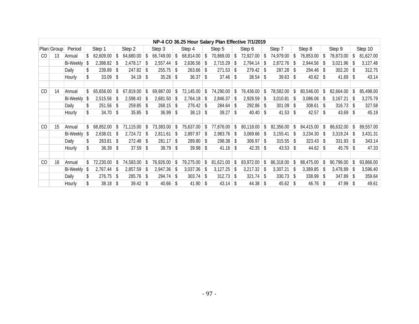|     |            |              |              |     |              |     |           |               |                  | NP-4 CO 36.25 Hour Salary Plan Effective 7/1/2019 |      |               |      |            |     |             |    |           |               |           |
|-----|------------|--------------|--------------|-----|--------------|-----|-----------|---------------|------------------|---------------------------------------------------|------|---------------|------|------------|-----|-------------|----|-----------|---------------|-----------|
|     | Plan Group | Period       | Step 1       |     | Step 2       |     | Step 3    |               | Step 4           | Step 5                                            |      | Step 6        |      | Step 7     |     | Step 8      |    | Step 9    |               | Step 10   |
| CO. | 13         | Annual       | 62,609.00    |     | 64,680.00    |     | 66,749.00 | S.            | $68,814.00$ \ \$ | 70,869.00                                         | S.   | 72,927.00     | -\$  | 74,979.00  |     | 76,853.00   | -S | 78,873.00 | \$            | 81,627.00 |
|     |            | Bi-Weekly \$ | 2,398.82     | -S  | 2,478.17     | -S  | 2,557.44  | S             | $2,636.56$ \$    | 2,715.29                                          | S    | $2,794.14$ \$ |      | 2,872.76   |     | 2,944.56    | -S | 3,021.96  |               | 3,127.48  |
|     |            | Daily        | \$<br>239.89 | \$  | $247.82$ \$  |     | 255.75    | Ŝ.            | $263.66$ \$      | 271.53                                            | S.   | $279.42$ \$   |      | 287.28     |     | 294.46      | -S | 302.20    | \$            | 312.75    |
|     |            | Hourly       | 33.09        | \$  | $34.19$ \$   |     | 35.28     | \$            | $36.37$ \$       | 37.46                                             | -S   | $38.54$ \$    |      | $39.63$ \$ |     | 40.62       |    | 41.69     | -S            | 43.14     |
|     |            |              |              |     |              |     |           |               |                  |                                                   |      |               |      |            |     |             |    |           |               |           |
| CO  | 14         | Annual       | 65,656.00    | -S  | 67,819.00    |     | 69,987.00 | \$            | 72,145.00        | 74,290.00                                         | \$.  | 76,436.00     | -S   | 78,582.00  |     | 80,546.00   | -S | 82,664.00 |               | 85,498.00 |
|     |            | Bi-Weekly    | 2,515.56     | S   | 2,598.43     |     | 2,681.50  | S             | 2,764.18         | 2,846.37                                          | -S   | 2,928.59      | - \$ | 3,010.81   |     | 3,086.06    | -S | 3,167.21  | \$            | 3,275.79  |
|     |            | Daily        | \$<br>251.56 | -\$ | $259.85$ \$  |     | 268.15    | \$            | $276.42$ \ \$    | 284.64                                            | -S   | $292.86$ \$   |      | 301.09     | -S  | 308.61      | -S | 316.73    | S.            | 327.58    |
|     |            | Hourly       | 34.70        | -\$ | $35.85$ \$   |     | 36.99     | \$            | $38.13$ \$       | 39.27                                             | Ŝ.   | $40.40$ \ \$  |      | 41.53      | \$  | 42.57       | -S | 43.69     | S.            | 45.19     |
|     |            |              |              |     |              |     |           |               |                  |                                                   |      |               |      |            |     |             |    |           |               |           |
| CO  | 15         | Annual       | 68,852.00    | S   | 71,115.00    | S   | 73,383.00 | \$            | 75,637.00        | 77,876.00                                         | \$   | 80,118.00     | S    | 82,356.00  | \$  | 84,415.00   | \$ | 86,632.00 | \$            | 89,557.00 |
|     |            | Bi-Weekly \$ | 2,638.01     | S   | 2,724.72     | - S | 2,811.61  | S             | 2,897.97         | 2,983.76                                          | -S   | $3,069.66$ \$ |      | 3,155.41   | \$. | 3,234.30    | -S | 3,319.24  | \$.           | 3,431.31  |
|     |            | Daily        | \$<br>263.81 | \$  | $272.48$ \$  |     | 281.17    | \$            | $289.80$ \$      | 298.38                                            | Ŝ.   | $306.97$ \$   |      | 315.55     | -S  | $323.43$ \$ |    | 331.93    | -S            | 343.14    |
|     |            | Hourly       | 36.39        | -S  | $37.59$ \$   |     | 38.79     | <sup>\$</sup> | $39.98$ \$       | 41.16                                             | -S   | $42.35$ \$    |      | 43.53      | -S  |             |    | 45.79     | <sup>\$</sup> | 47.33     |
|     |            |              |              |     |              |     |           |               |                  |                                                   |      |               |      |            |     |             |    |           |               |           |
| CO  | 16         | Annual       | 72,230.00    | S   | 74,583.00    | S   | 76,926.00 | S             | 79,275.00        | 81,621.00                                         | S    | 83,972.00     | Ŝ.   | 86,318.00  | \$  | 88,475.00   | \$ | 90,799.00 | S             | 93,866.00 |
|     |            | Bi-Weekly \$ | 2,767.44     | -S  | 2,857.59     | -S  | 2,947.36  | s.            | $3,037.36$ \$    | 3,127.25                                          | -S   | 3,217.32      | S    | 3,307.21   | S   | 3,389.85    | -S | 3,478.89  | S             | 3,596.40  |
|     |            | Daily        | \$<br>276.75 | -S  | $285.76$ \$  |     | 294.74    | -S            | $303.74$ \$      | 312.73                                            | -S   | $321.74$ \ \$ |      | 330.73     | -S  | 338.99      | -S | 347.89    | <sup>\$</sup> | 359.64    |
|     |            | Hourly       | 38.18        | -\$ | $39.42$ \ \$ |     | 40.66     | \$            | $41.90$ \$       | 43.14                                             | - \$ | $44.38$ \$    |      | $45.62$ \$ |     | $46.76$ \\$ |    | 47.99     | -\$           | 49.61     |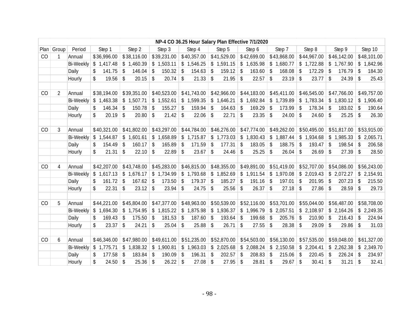|    |                |                  |              |              |              |              |              | NP-4 CO 36.25 Hour Salary Plan Effective 7/1/2020 |              |               |                          |              |
|----|----------------|------------------|--------------|--------------|--------------|--------------|--------------|---------------------------------------------------|--------------|---------------|--------------------------|--------------|
|    | Plan Group     | Period           | Step 1       | Step 2       | Step 3       | Step 4       | Step 5       | Step 6                                            | Step 7       | Step 8        | Step 9                   | Step 10      |
| CO | 1              | Annual           | \$36,996.00  | \$38,116.00  | \$39,231.00  | \$40,357.00  | \$41,529.00  | \$42,699.00                                       | \$43,868.00  | \$44,967.00   | \$46,142.00              | \$48,101.00  |
|    |                | <b>Bi-Weekly</b> | \$1,417.48   | \$1,460.39   | \$1,503.11   | \$1,546.25   | \$1,591.15   | \$1,635.98                                        | \$1,680.77   | \$1,722.88    | \$1,767.90               | \$1,842.96   |
|    |                | Daily            | 141.75<br>\$ | 146.04<br>\$ | \$<br>150.32 | \$<br>154.63 | 159.12<br>\$ | \$<br>163.60                                      | \$<br>168.08 | 172.29<br>\$  | \$<br>176.79             | 184.30<br>\$ |
|    |                | Hourly           | 19.56<br>\$  | \$<br>20.15  | \$<br>20.74  | \$<br>21.33  | 21.95<br>\$  | \$<br>22.57                                       | \$<br>23.19  | 23.77<br>\$   | \$<br>24.39              | \$<br>25.43  |
|    |                |                  |              |              |              |              |              |                                                   |              |               |                          |              |
| CO | $\overline{2}$ | Annual           | \$38,194.00  | \$39,351.00  | \$40,523.00  | \$41,743.00  | \$42,966.00  | \$44,183.00                                       | \$45,411.00  | \$46,545.00   | \$47,766.00              | \$49,757.00  |
|    |                | <b>Bi-Weekly</b> | \$1,463.38   | \$1,507.71   | \$1,552.61   | \$1,599.35   | \$1,646.21   | \$1,692.84                                        | \$1,739.89   | \$1,783.34    | \$1,830.12               | \$1,906.40   |
|    |                | Daily            | 146.34<br>\$ | 150.78<br>\$ | 155.27<br>\$ | \$<br>159.94 | 164.63<br>\$ | 169.29<br>\$                                      | \$<br>173.99 | 178.34<br>\$  | 183.02<br>\$             | 190.64<br>\$ |
|    |                | Hourly           | \$<br>20.19  | 20.80<br>\$  | \$<br>21.42  | \$<br>22.06  | 22.71<br>\$  | $\sqrt[6]{\frac{1}{2}}$<br>23.35                  | \$<br>24.00  | 24.60<br>\$   | \$<br>25.25              | \$<br>26.30  |
|    |                |                  |              |              |              |              |              |                                                   |              |               |                          |              |
| CO | 3              | Annual           | \$40,321.00  | \$41,802.00  | \$43,297.00  | \$44,784.00  | \$46,276.00  | \$47,774.00                                       | \$49,262.00  | \$50,495.00   | \$51,817.00              | \$53,915.00  |
|    |                | <b>Bi-Weekly</b> | \$1,544.87   | \$1,601.61   | \$1,658.89   | \$1,715.87   | \$1,773.03   | \$1,830.43                                        | \$1,887.44   | \$1,934.68    | \$1,985.33               | \$2,065.71   |
|    |                | Daily            | 154.49<br>\$ | 160.17<br>\$ | \$<br>165.89 | \$<br>171.59 | 177.31<br>\$ | 183.05<br>\$                                      | \$<br>188.75 | 193.47<br>-\$ | \$<br>198.54             | \$<br>206.58 |
|    |                | Hourly           | 21.31<br>\$  | \$<br>22.10  | \$<br>22.89  | \$<br>23.67  | 24.46<br>\$  | \$<br>25.25                                       | \$<br>26.04  | \$<br>26.69   | \$<br>27.39              | \$<br>28.50  |
|    |                |                  |              |              |              |              |              |                                                   |              |               |                          |              |
| CO | 4              | Annual           | \$42,207.00  | \$43,748.00  | \$45,283.00  | \$46,815.00  | \$48,355.00  | \$49,891.00                                       | \$51,419.00  | \$52,707.00   | \$54,086.00              | \$56,243.00  |
|    |                | <b>Bi-Weekly</b> | \$1,617.13   | \$1,676.17   | \$1,734.99   | \$1,793.68   | \$1,852.69   | \$1,911.54                                        | \$1,970.08   | \$2,019.43    | \$2,072.27               | \$2,154.91   |
|    |                | Daily            | \$<br>161.72 | 167.62<br>\$ | \$<br>173.50 | \$<br>179.37 | 185.27<br>\$ | \$<br>191.16                                      | \$<br>197.01 | \$<br>201.95  | \$<br>207.23             | 215.50<br>\$ |
|    |                | Hourly           | 22.31<br>\$  | \$<br>23.12  | \$<br>23.94  | \$<br>24.75  | \$<br>25.56  | \$<br>26.37                                       | \$<br>27.18  | \$<br>27.86   | \$<br>28.59              | \$<br>29.73  |
|    |                |                  |              |              |              |              |              |                                                   |              |               |                          |              |
| CO | 5              | Annual           | \$44,221.00  | \$45,804.00  | \$47,377.00  | \$48,963.00  | \$50,539.00  | \$52,116.00                                       | \$53,701.00  | \$55,044.00   | \$56,487.00              | \$58,708.00  |
|    |                | <b>Bi-Weekly</b> | \$1,694.30   | \$1,754.95   | \$1,815.22   | \$1,875.98   | \$1,936.37   | \$1,996.79                                        | \$2,057.51   | \$2,108.97    | \$2,164.26               | \$2,249.35   |
|    |                | Daily            | \$<br>169.43 | \$<br>175.50 | \$<br>181.53 | \$<br>187.60 | 193.64<br>\$ | 199.68<br>\$                                      | \$<br>205.76 | \$<br>210.90  | 216.43<br>\$             | 224.94<br>\$ |
|    |                | Hourly           | \$<br>23.37  | 24.21<br>\$  | \$<br>25.04  | \$<br>25.88  | 26.71<br>\$  | \$<br>27.55                                       | \$<br>28.38  | \$<br>29.09   | \$<br>29.86              | \$<br>31.03  |
|    |                |                  |              |              |              |              |              |                                                   |              |               |                          |              |
| CO | 6              | Annual           | \$46,346.00  | \$47,980.00  | \$49,611.00  | \$51,235.00  | \$52,870.00  | \$54,503.00                                       | \$56,130.00  | \$57,535.00   | \$59,048.00              | \$61,327.00  |
|    |                | <b>Bi-Weekly</b> | \$1,775.71   | \$1,838.32   | \$1,900.81   | \$1,963.03   | \$2,025.68   | \$2,088.24                                        | \$2,150.58   | \$2,204.41    | \$2,262.38               | \$2,349.70   |
|    |                | Daily            | 177.58<br>\$ | \$<br>183.84 | \$<br>190.09 | \$<br>196.31 | 202.57<br>\$ | 208.83<br>\$                                      | \$<br>215.06 | \$<br>220.45  | $\mathfrak{L}$<br>226.24 | \$<br>234.97 |
|    |                | Hourly           | \$<br>24.50  | 25.36<br>\$  | \$<br>26.22  | \$<br>27.08  | 27.95<br>\$  | 28.81<br>\$                                       | \$<br>29.67  | 30.41<br>\$   | \$<br>31.21              | \$<br>32.41  |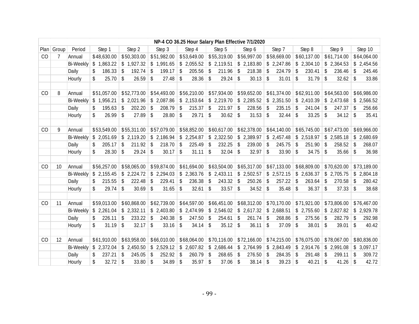|      |       |                  |              |              |              |              |              | NP-4 CO 36.25 Hour Salary Plan Effective 7/1/2020 |              |              |                                  |              |
|------|-------|------------------|--------------|--------------|--------------|--------------|--------------|---------------------------------------------------|--------------|--------------|----------------------------------|--------------|
| Plan | Group | Period           | Step 1       | Step 2       | Step 3       | Step 4       | Step 5       | Step 6                                            | Step 7       | Step 8       | Step 9                           | Step 10      |
| CO   | 7     | Annual           | \$48,630.00  | \$50,303.00  | \$51,982.00  | \$53,649.00  | \$55,319.00  | \$56,997.00                                       | \$58,669.00  | \$60,137.00  | \$61,714.00                      | \$64,064.00  |
|      |       | <b>Bi-Weekly</b> | \$1,863.22   | \$1,927.32   | \$1,991.65   | \$2,055.52   | \$2,119.51   | \$2,183.80                                        | \$2,247.86   | \$2,304.10   | \$2,364.53                       | \$2,454.56   |
|      |       | Daily            | 186.33<br>\$ | 192.74<br>\$ | \$<br>199.17 | \$<br>205.56 | 211.96<br>\$ | 218.38<br>\$                                      | 224.79<br>\$ | 230.41<br>\$ | 236.46<br>\$                     | 245.46<br>\$ |
|      |       | Hourly           | \$<br>25.70  | \$<br>26.59  | \$<br>27.48  | \$<br>28.36  | \$<br>29.24  | $\sqrt[6]{\frac{1}{2}}$<br>30.13                  | \$<br>31.01  | \$<br>31.79  | $\sqrt[6]{\frac{1}{2}}$<br>32.62 | \$<br>33.86  |
|      |       |                  |              |              |              |              |              |                                                   |              |              |                                  |              |
| CO   | 8     | Annual           | \$51,057.00  | \$52,773.00  | \$54,493.00  | \$56,210.00  | \$57,934.00  | \$59,652.00                                       | \$61,374.00  | \$62,911.00  | \$64,563.00                      | \$66,986.00  |
|      |       | <b>Bi-Weekly</b> | \$1,956.21   | \$2,021.96   | \$2,087.86   | \$2,153.64   | \$2,219.70   | \$2,285.52                                        | \$2,351.50   | \$2,410.39   | \$2,473.68                       | \$2,566.52   |
|      |       | Daily            | 195.63<br>\$ | \$<br>202.20 | \$<br>208.79 | \$<br>215.37 | 221.97<br>\$ | \$<br>228.56                                      | \$<br>235.15 | \$<br>241.04 | \$<br>247.37                     | \$<br>256.66 |
|      |       | Hourly           | 26.99<br>\$  | \$<br>27.89  | \$<br>28.80  | \$<br>29.71  | \$<br>30.62  | 31.53<br>\$                                       | \$<br>32.44  | \$<br>33.25  | \$<br>34.12                      | \$<br>35.41  |
|      |       |                  |              |              |              |              |              |                                                   |              |              |                                  |              |
| CO   | 9     | Annual           | \$53,549.00  | \$55,311.00  | \$57,079.00  | \$58,852.00  | \$60,617.00  | \$62,378.00                                       | \$64,140.00  | \$65,745.00  | \$67,473.00                      | \$69,966.00  |
|      |       | <b>Bi-Weekly</b> | \$2,051.69   | \$2,119.20   | \$2,186.94   | \$2,254.87   | \$2,322.50   | \$2,389.97                                        | \$2,457.48   | \$2,518.97   | \$2,585.18                       | \$2,680.69   |
|      |       | Daily            | 205.17<br>\$ | 211.92<br>\$ | \$<br>218.70 | \$<br>225.49 | 232.25<br>\$ | 239.00<br>\$                                      | 245.75<br>\$ | 251.90<br>\$ | 258.52<br>\$                     | 268.07<br>\$ |
|      |       | Hourly           | \$<br>28.30  | \$<br>29.24  | \$<br>30.17  | \$<br>31.11  | \$<br>32.04  | $\sqrt[6]{\frac{1}{2}}$<br>32.97                  | \$<br>33.90  | \$<br>34.75  | \$<br>35.66                      | \$<br>36.98  |
|      |       |                  |              |              |              |              |              |                                                   |              |              |                                  |              |
| CO   | 10    | Annual           | \$56,257.00  | \$58,065.00  | \$59,874.00  | \$61,694.00  | \$63,504.00  | \$65,317.00                                       | \$67,133.00  | \$68,809.00  | \$70,620.00                      | \$73,189.00  |
|      |       | <b>Bi-Weekly</b> | \$2,155.45   | \$2,224.72   | \$2,294.03   | \$2,363.76   | \$2,433.11   | \$2,502.57                                        | \$2,572.15   | \$2,636.37   | \$2,705.75                       | \$2,804.18   |
|      |       | Daily            | 215.55<br>\$ | \$<br>222.48 | \$<br>229.41 | \$<br>236.38 | 243.32<br>\$ | \$<br>250.26                                      | \$<br>257.22 | \$<br>263.64 | \$<br>270.58                     | \$<br>280.42 |
|      |       | Hourly           | 29.74<br>\$  | \$<br>30.69  | \$<br>31.65  | \$<br>32.61  | 33.57<br>\$  | \$<br>34.52                                       | \$<br>35.48  | \$<br>36.37  | \$<br>37.33                      | \$<br>38.68  |
|      |       |                  |              |              |              |              |              |                                                   |              |              |                                  |              |
| CO   | 11    | Annual           | \$59,013.00  | \$60,868.00  | \$62,739.00  | \$64,597.00  | \$66,451.00  | \$68,312.00                                       | \$70,170.00  | \$71,921.00  | \$73,806.00                      | \$76,467.00  |
|      |       | <b>Bi-Weekly</b> | \$2,261.04   | \$2,332.11   | \$2,403.80   | \$2,474.99   | \$2,546.02   | \$2,617.32                                        | \$2,688.51   | \$2,755.60   | \$2,827.82                       | \$2,929.78   |
|      |       | Daily            | 226.11<br>\$ | 233.22<br>\$ | \$<br>240.38 | \$<br>247.50 | 254.61<br>\$ | 261.74<br>\$                                      | \$<br>268.86 | 275.56<br>\$ | 282.79<br>\$                     | \$<br>292.98 |
|      |       | Hourly           | 31.19<br>\$  | \$<br>32.17  | \$<br>33.16  | \$<br>34.14  | 35.12<br>\$  | \$<br>36.11                                       | \$<br>37.09  | \$<br>38.01  | \$<br>39.01                      | \$<br>40.42  |
|      |       |                  |              |              |              |              |              |                                                   |              |              |                                  |              |
| CO   | 12    | Annual           | \$61,910.00  | \$63,958.00  | \$66,010.00  | \$68,064.00  | \$70,116.00  | \$72,166.00                                       | \$74,215.00  | \$76,075.00  | \$78,067.00                      | \$80,836.00  |
|      |       | <b>Bi-Weekly</b> | \$2,372.04   | \$2,450.50   | \$2,529.12   | \$2,607.82   | \$2,686.44   | \$2,764.99                                        | \$2,843.49   | \$2,914.76   | \$2,991.08                       | \$3,097.17   |
|      |       | Daily            | \$<br>237.21 | \$<br>245.05 | \$<br>252.92 | \$<br>260.79 | 268.65<br>\$ | \$<br>276.50                                      | \$<br>284.35 | \$<br>291.48 | \$<br>299.11                     | \$<br>309.72 |
|      |       | Hourly           | \$<br>32.72  | \$<br>33.80  | 34.89<br>\$  | \$<br>35.97  | 37.06<br>\$  | $\sqrt[6]{\frac{1}{2}}$<br>38.14                  | \$<br>39.23  | \$<br>40.21  | \$<br>41.26                      | \$<br>42.72  |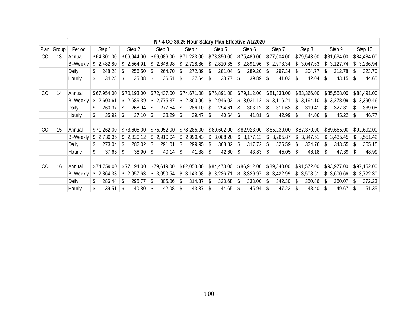|    |              |                  |              |                         |                        |              | NP-4 CO 36.25 Hour Salary Plan Effective 7/1/2020 |                         |                          |               |              |                |
|----|--------------|------------------|--------------|-------------------------|------------------------|--------------|---------------------------------------------------|-------------------------|--------------------------|---------------|--------------|----------------|
|    | $Plan$ Group | Period           | Step 1       | Step 2                  | Step 3                 | Step 4       | Step 5                                            | Step 6                  | Step 7                   | Step 8        | Step 9       | Step 10        |
| CO | 13           | Annual           | \$64,801.00  | \$66,944.00             | \$69,086.00            | \$71,223.00  | \$73,350.00                                       | \$75,480.00             | \$77,604.00              | \$79,543.00   | \$81,634.00  | \$84,484.00    |
|    |              | <b>Bi-Weekly</b> | \$2,482.80   | \$2,564.91              | \$2,646.98             | \$2,728.86   | 2,810.35<br>\$                                    | 2,891.96<br>\$          | \$2,973.34               | 3,047.63      | 3,127.74     | 3,236.94<br>S  |
|    |              | Daily            | 248.28<br>\$ | \$<br>256.50            | 264.70                 | 272.89<br>\$ | 281.04<br>\$                                      | 289.20<br>\$.           | 297.34<br>\$             | 304.77        | 312.78<br>\$ | 323.70<br>\$   |
|    |              | Hourly           | \$<br>34.25  | 35.38<br>S              | 36.51<br>S.            | 37.64<br>\$  | 38.77<br>-\$                                      | 39.89<br>\$             | 41.02<br>\$              | 42.04<br>S    | 43.15<br>S.  | 44.65          |
|    |              |                  |              |                         |                        |              |                                                   |                         |                          |               |              |                |
| CO | 14           | Annual           | \$67,954.00  | \$70,193.00             | \$72,437.00            | \$74,671.00  | \$76,891.00                                       | \$79,112.00             | \$81,333.00              | \$83,366.00   | \$85,558.00  | \$88,491.00    |
|    |              | <b>Bi-Weekly</b> | \$2,603.61   | \$2,689.39              | \$2,775.37             | \$2,860.96   | \$2,946.02                                        | \$3,031.12              | \$3,116.21               | \$3,194.10    | \$3,278.09   | \$3,390.46     |
|    |              | Daily            | 260.37       | 268.94<br>\$.           | 277.54<br>\$.          | 286.10<br>\$ | 294.61<br>-\$                                     | 303.12<br><sup>\$</sup> | 311.63<br>$\mathfrak{L}$ | 319.41        | 327.81<br>\$ | 339.05<br>\$.  |
|    |              | Hourly           | \$<br>35.92  | 37.10<br>\$             | 38.29<br>\$            | \$<br>39.47  | 40.64<br>\$                                       | 41.81<br>\$             | 42.99<br>\$              | 44.06<br>\$   | 45.22<br>\$  | 46.77<br>S     |
|    |              |                  |              |                         |                        |              |                                                   |                         |                          |               |              |                |
| CO | 15           | Annual           | \$71,262.00  | \$73,605.00             | \$75,952.00            | \$78,285.00  | \$80,602.00                                       | \$82,923.00             | \$85,239.00              | \$87,370.00   | \$89,665.00  | \$92,692.00    |
|    |              | Bi-Weekly        | \$2,730.35   | \$2,820.12              | \$2,910.04             | \$2,999.43   | \$3,088.20                                        | \$3,177.13              | \$3,265.87               | \$3,347.51    | \$3,435.45   | \$3,551.42     |
|    |              | Daily            | 273.04       | 282.02<br>-S            | 291.01<br>-S           | 299.95<br>\$ | 308.82<br>\$                                      | 317.72<br>\$            | 326.59<br>S.             | 334.76        | 343.55<br>S. | 355.15<br>S    |
|    |              | Hourly           | \$<br>37.66  | 38.90<br>\$             | 40.14<br>\$            | \$<br>41.38  | 42.60<br>\$                                       | 43.83<br>\$             | 45.05<br>\$              | 46.18<br>S    | 47.39<br>S.  | 48.99<br>\$.   |
|    |              |                  |              |                         |                        |              |                                                   |                         |                          |               |              |                |
| CO | 16           | Annual           | \$74,759.00  | \$77,194.00             | \$79,619.00            | \$82,050.00  | \$84,478.00                                       | \$86,912.00             | \$89,340.00              | \$91,572.00   | \$93,977.00  | \$97,152.00    |
|    |              | <b>Bi-Weekly</b> | \$2,864.33   | \$2,957.63              | \$3,050.54             | \$3,143.68   | \$3,236.71                                        | \$3,329.97              | \$3,422.99               | \$3,508.51    | \$3,600.66   | 3,722.30<br>S. |
|    |              | Daily            | 286.44<br>\$ | 295.77<br>\$            | 305.06<br>\$.          | 314.37<br>\$ | 323.68<br>\$                                      | 333.00<br>\$            | 342.30<br>\$             | 350.86<br>\$. | 360.07<br>\$ | 372.23<br>\$   |
|    |              | Hourly           | \$<br>39.51  | $\mathfrak{L}$<br>40.80 | 42.08<br>$\mathcal{S}$ | 43.37<br>\$  | 44.65<br>-\$                                      | 45.94<br>$\mathcal{S}$  | 47.22<br>$\mathfrak{L}$  | 48.40         | 49.67<br>-\$ | 51.35          |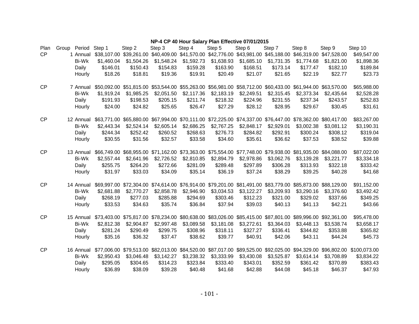#### **NP-4 CP 40 Hour Salary Plan Effective 07/01/2015**

| Plan      | Group Period Step 1 |            | Step 2                  | Step 3                                                                                                      | Step 4     | Step 5     | Step 6     | Step 7                                          | Step 8      | Step 9      | Step 10                                                                                                                  |
|-----------|---------------------|------------|-------------------------|-------------------------------------------------------------------------------------------------------------|------------|------------|------------|-------------------------------------------------|-------------|-------------|--------------------------------------------------------------------------------------------------------------------------|
| CP        | 1 Annual            |            | \$38,107.00 \$39,261.00 | \$40,409.00                                                                                                 |            |            |            | \$41,570.00 \$42,776.00 \$43,981.00 \$45,188.00 | \$46,319.00 | \$47,528.00 | \$49,547.00                                                                                                              |
|           | Bi-Wk               | \$1,460.04 | \$1,504.26              | \$1,548.24                                                                                                  | \$1,592.73 | \$1,638.93 | \$1,685.10 | \$1,731.35                                      | \$1,774.68  | \$1,821.00  | \$1,898.36                                                                                                               |
|           | Daily               | \$146.01   | \$150.43                | \$154.83                                                                                                    | \$159.28   | \$163.90   | \$168.51   | \$173.14                                        | \$177.47    | \$182.10    | \$189.84                                                                                                                 |
|           | Hourly              | \$18.26    | \$18.81                 | \$19.36                                                                                                     | \$19.91    | \$20.49    | \$21.07    | \$21.65                                         | \$22.19     | \$22.77     | \$23.73                                                                                                                  |
|           |                     |            |                         |                                                                                                             |            |            |            |                                                 |             |             |                                                                                                                          |
| CP        | 7 Annual            |            |                         | \$50,092.00 \$51,815.00 \$53,544.00 \$55,263.00 \$56,981.00 \$58,712.00 \$60,433.00 \$61,944.00 \$63,570.00 |            |            |            |                                                 |             |             | \$65,988.00                                                                                                              |
|           | Bi-Wk               | \$1,919.24 | \$1,985.25              | \$2,051.50                                                                                                  | \$2,117.36 | \$2,183.19 | \$2,249.51 | \$2,315.45                                      | \$2,373.34  | \$2,435.64  | \$2,528.28                                                                                                               |
|           | Daily               | \$191.93   | \$198.53                | \$205.15                                                                                                    | \$211.74   | \$218.32   | \$224.96   | \$231.55                                        | \$237.34    | \$243.57    | \$252.83                                                                                                                 |
|           | Hourly              | \$24.00    | \$24.82                 | \$25.65                                                                                                     | \$26.47    | \$27.29    | \$28.12    | \$28.95                                         | \$29.67     | \$30.45     | \$31.61                                                                                                                  |
| CP        | 12 Annual           |            |                         | \$63,771.00 \$65,880.00 \$67,994.00 \$70,111.00 \$72,225.00 \$74,337.00 \$76,447.00 \$78,362.00 \$80,417.00 |            |            |            |                                                 |             |             | \$83,267.00                                                                                                              |
|           | <b>Bi-Wk</b>        | \$2,443.34 | \$2,524.14              | \$2,605.14                                                                                                  | \$2,686.25 | \$2,767.25 | \$2,848.17 | \$2,929.01                                      | \$3,002.38  | \$3,081.12  | \$3,190.31                                                                                                               |
|           | Daily               | \$244.34   | \$252.42                | \$260.52                                                                                                    | \$268.63   | \$276.73   | \$284.82   | \$292.91                                        | \$300.24    | \$308.12    | \$319.04                                                                                                                 |
|           | Hourly              | \$30.55    | \$31.56                 | \$32.57                                                                                                     | \$33.58    | \$34.60    | \$35.61    | \$36.62                                         | \$37.53     | \$38.52     | \$39.88                                                                                                                  |
|           |                     |            |                         |                                                                                                             |            |            |            |                                                 |             |             |                                                                                                                          |
| CP        | 13 Annual           |            |                         | \$66,749.00 \$68,955.00 \$71,162.00 \$73,363.00 \$75,554.00 \$77,748.00 \$79,938.00 \$81,935.00 \$84,088.00 |            |            |            |                                                 |             |             | \$87,022.00                                                                                                              |
|           | Bi-Wk               | \$2,557.44 | \$2,641.96              | \$2,726.52                                                                                                  | \$2,810.85 | \$2,894.79 | \$2,978.86 | \$3,062.76                                      | \$3,139.28  | \$3,221.77  | \$3,334.18                                                                                                               |
|           | Daily               | \$255.75   | \$264.20                | \$272.66                                                                                                    | \$281.09   | \$289.48   | \$297.89   | \$306.28                                        | \$313.93    | \$322.18    | \$333.42                                                                                                                 |
|           | Hourly              | \$31.97    | \$33.03                 | \$34.09                                                                                                     | \$35.14    | \$36.19    | \$37.24    | \$38.29                                         | \$39.25     | \$40.28     | \$41.68                                                                                                                  |
|           |                     |            |                         |                                                                                                             |            |            |            |                                                 |             |             |                                                                                                                          |
| <b>CP</b> | 14 Annual           |            |                         | \$69,997.00 \$72,304.00 \$74,614.00 \$76,914.00 \$79,201.00 \$81,491.00 \$83,779.00 \$85,873.00 \$88,129.00 |            |            |            |                                                 |             |             | \$91,152.00                                                                                                              |
|           | <b>Bi-Wk</b>        | \$2,681.88 | \$2,770.27              | \$2,858.78                                                                                                  | \$2,946.90 | \$3,034.53 | \$3,122.27 | \$3,209.93                                      | \$3,290.16  | \$3,376.60  | \$3,492.42                                                                                                               |
|           | Daily               | \$268.19   | \$277.03                | \$285.88                                                                                                    | \$294.69   | \$303.46   | \$312.23   | \$321.00                                        | \$329.02    | \$337.66    | \$349.25                                                                                                                 |
|           | Hourly              | \$33.53    | \$34.63                 | \$35.74                                                                                                     | \$36.84    | \$37.94    | \$39.03    | \$40.13                                         | \$41.13     | \$42.21     | \$43.66                                                                                                                  |
| CP        | 15 Annual           |            |                         | \$73,403.00 \$75,817.00 \$78,234.00 \$80,638.00 \$83,026.00 \$85,415.00 \$87,801.00 \$89,996.00 \$92,361.00 |            |            |            |                                                 |             |             | \$95,478.00                                                                                                              |
|           | <b>Bi-Wk</b>        | \$2,812.38 | \$2,904.87              | \$2,997.48                                                                                                  | \$3,089.58 | \$3,181.08 | \$3,272.61 | \$3,364.03                                      | \$3,448.13  | \$3,538.74  | \$3,658.17                                                                                                               |
|           | Daily               | \$281.24   | \$290.49                | \$299.75                                                                                                    | \$308.96   | \$318.11   | \$327.27   | \$336.41                                        | \$344.82    | \$353.88    | \$365.82                                                                                                                 |
|           | Hourly              | \$35.16    | \$36.32                 | \$37.47                                                                                                     | \$38.62    | \$39.77    | \$40.91    | \$42.06                                         | \$43.11     | \$44.24     | \$45.73                                                                                                                  |
|           |                     |            |                         |                                                                                                             |            |            |            |                                                 |             |             |                                                                                                                          |
| CP        | 16 Annual           |            |                         |                                                                                                             |            |            |            |                                                 |             |             | \$77,006.00 \$79,513.00 \$82,013.00 \$84,520.00 \$87,017.00 \$89,525.00 \$92,025.00 \$94,329.00 \$96,802.00 \$100,073.00 |
|           | <b>Bi-Wk</b>        | \$2,950.43 | \$3,046.48              | \$3,142.27                                                                                                  | \$3,238.32 | \$3,333.99 | \$3,430.08 | \$3,525.87                                      | \$3,614.14  | \$3,708.89  | \$3,834.22                                                                                                               |
|           | Daily               | \$295.05   | \$304.65                | \$314.23                                                                                                    | \$323.84   | \$333.40   | \$343.01   | \$352.59                                        | \$361.42    | \$370.89    | \$383.43                                                                                                                 |
|           | Hourly              | \$36.89    | \$38.09                 | \$39.28                                                                                                     | \$40.48    | \$41.68    | \$42.88    | \$44.08                                         | \$45.18     | \$46.37     | \$47.93                                                                                                                  |
|           |                     |            |                         |                                                                                                             |            |            |            |                                                 |             |             |                                                                                                                          |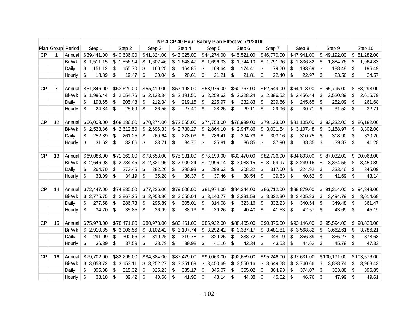| NP-4 CP 40 Hour Salary Plan Effective 7/1/2019 |                |                   |                                    |              |              |              |              |              |              |              |                        |                |
|------------------------------------------------|----------------|-------------------|------------------------------------|--------------|--------------|--------------|--------------|--------------|--------------|--------------|------------------------|----------------|
|                                                |                | Plan Group Period | Step 1                             | Step 2       | Step 3       | Step 4       | Step 5       | Step 6       | Step 7       | Step 8       | Step 9                 | Step 10        |
| CP                                             | 1              | Annual            | \$39,441.00                        | \$40,636.00  | \$41,824.00  | \$43,025.00  | \$44,274.00  | \$45,521.00  | \$46,770.00  | \$47,941.00  | \$49,192.00            | \$51,282.00    |
|                                                |                | Bi-Wk             | \$1,511.15                         | \$1,556.94   | \$1,602.46   | \$1,648.47   | \$1,696.33   | \$1,744.10   | \$1,791.96   | \$1,836.82   | \$<br>1,884.76         | 1,964.83<br>\$ |
|                                                |                | Daily             | \$<br>151.12                       | \$<br>155.70 | \$<br>160.25 | \$<br>164.85 | \$<br>169.64 | \$<br>174.41 | 179.20<br>\$ | \$<br>183.69 | \$<br>188.48           | \$<br>196.49   |
|                                                |                | Hourly            | \$<br>18.89                        | \$<br>19.47  | \$<br>20.04  | \$<br>20.61  | \$<br>21.21  | \$<br>21.81  | \$<br>22.40  | \$<br>22.97  | \$<br>23.56            | \$<br>24.57    |
|                                                |                |                   |                                    |              |              |              |              |              |              |              |                        |                |
| CP                                             | $\overline{7}$ | Annual            | \$51,846.00                        | \$53,629.00  | \$55,419.00  | \$57,198.00  | \$58,976.00  | \$60,767.00  | \$62,549.00  | \$64,113.00  | \$65,795.00            | \$68,298.00    |
|                                                |                | Bi-Wk             | \$1,986.44                         | \$2,054.76   | \$2,123.34   | \$2,191.50   | \$2,259.62   | \$2,328.24   | \$2,396.52   | \$2,456.44   | \$<br>2,520.89         | 2,616.79<br>\$ |
|                                                |                | Daily             | \$<br>198.65                       | \$<br>205.48 | \$<br>212.34 | \$<br>219.15 | \$<br>225.97 | \$<br>232.83 | \$<br>239.66 | \$<br>245.65 | \$<br>252.09           | \$<br>261.68   |
|                                                |                | Hourly            | \$<br>24.84                        | \$<br>25.69  | \$<br>26.55  | \$<br>27.40  | \$<br>28.25  | \$<br>29.11  | \$<br>29.96  | \$<br>30.71  | \$<br>31.52            | \$<br>32.71    |
|                                                |                |                   |                                    |              |              |              |              |              |              |              |                        |                |
| CP                                             | 12             | Annual            | \$66,003.00                        | \$68,186.00  | \$70,374.00  | \$72,565.00  | \$74,753.00  | \$76,939.00  | \$79,123.00  | \$81,105.00  | \$83,232.00            | \$86,182.00    |
|                                                |                | <b>Bi-Wk</b>      | \$2,528.86                         | \$2,612.50   | \$2,696.33   | \$2,780.27   | \$2,864.10   | \$2,947.86   | \$3,031.54   | \$3,107.48   | \$<br>3,188.97         | \$<br>3,302.00 |
|                                                |                | Daily             | \$<br>252.89                       | \$<br>261.25 | \$<br>269.64 | \$<br>278.03 | \$<br>286.41 | \$<br>294.79 | \$<br>303.16 | \$<br>310.75 | \$<br>318.90           | \$<br>330.20   |
|                                                |                | Hourly            | \$<br>31.62                        | \$<br>32.66  | \$<br>33.71  | \$<br>34.76  | \$<br>35.81  | \$<br>36.85  | \$<br>37.90  | \$<br>38.85  | \$<br>39.87            | \$<br>41.28    |
|                                                |                |                   |                                    |              |              |              |              |              |              |              |                        |                |
| <b>CP</b>                                      | 13             | Annual            | \$69,086.00                        | \$71,369.00  | \$73,653.00  | \$75,931.00  | \$78,199.00  | \$80,470.00  | \$82,736.00  | \$84,803.00  | \$87,032.00            | \$90,068.00    |
|                                                |                | <b>Bi-Wk</b>      | \$2,646.98                         | \$2,734.45   | \$2,821.96   | \$2,909.24   | \$2,996.14   | \$3,083.15   | \$3,169.97   | \$3,249.16   | \$<br>3,334.56         | \$<br>3,450.89 |
|                                                |                | Daily             | \$<br>264.70                       | \$<br>273.45 | \$<br>282.20 | \$<br>290.93 | \$<br>299.62 | \$<br>308.32 | \$<br>317.00 | \$<br>324.92 | \$<br>333.46           | \$<br>345.09   |
|                                                |                | Hourly            | $\frac{1}{2}$<br>33.09             | \$<br>34.19  | \$<br>35.28  | \$<br>36.37  | \$<br>37.46  | \$<br>38.54  | \$<br>39.63  | \$<br>40.62  | \$<br>41.69            | \$<br>43.14    |
|                                                |                |                   |                                    |              |              |              |              |              |              |              |                        |                |
| <b>CP</b>                                      | 14             | Annual            | \$72,447.00                        | \$74,835.00  | \$77,226.00  | \$79,606.00  | \$81,974.00  | \$84,344.00  | \$86,712.00  | \$88,879.00  | \$91,214.00            | \$94,343.00    |
|                                                |                | Bi-Wk             | \$2,775.75                         | \$2,867.25   | \$2,958.86   | \$3,050.04   | \$3,140.77   | \$3,231.58   | \$3,322.30   | \$3,405.33   | \$<br>3,494.79         | \$<br>3,614.68 |
|                                                |                | Daily             | \$<br>277.58                       | \$<br>286.73 | \$<br>295.89 | \$<br>305.01 | \$<br>314.08 | \$<br>323.16 | \$<br>332.23 | \$<br>340.54 | \$<br>349.48           | \$<br>361.47   |
|                                                |                | Hourly            | \$<br>34.70                        | \$<br>35.85  | \$<br>36.99  | \$<br>38.13  | \$<br>39.26  | \$<br>40.40  | \$<br>41.53  | \$<br>42.57  | \$<br>43.69            | \$<br>45.19    |
| <b>CP</b>                                      | 15             | Annual            | \$75,973.00                        | \$78,471.00  | \$80,973.00  | \$83,461.00  | \$85,932.00  | \$88,405.00  | \$90,875.00  | \$93,146.00  | \$95,594.00            | \$98,820.00    |
|                                                |                | Bi-Wk             | \$2,910.85                         | \$3,006.56   | \$3,102.42   | \$3,197.74   | \$3,292.42   | \$3,387.17   | \$3,481.81   | \$3,568.82   | \$<br>3,662.61         | 3,786.21<br>\$ |
|                                                |                | Daily             | \$<br>291.09                       | \$<br>300.66 | \$<br>310.25 | \$<br>319.78 | S.<br>329.25 | \$<br>338.72 | \$<br>348.19 | \$<br>356.89 | \$<br>366.27           | \$<br>378.63   |
|                                                |                | Hourly            | \$<br>36.39                        | \$<br>37.59  | \$<br>38.79  | \$<br>39.98  | \$<br>41.16  | \$<br>42.34  | \$<br>43.53  | \$<br>44.62  | $\sqrt[6]{2}$<br>45.79 | \$<br>47.33    |
|                                                |                |                   |                                    |              |              |              |              |              |              |              |                        |                |
| <b>CP</b>                                      | 16             | Annual            | \$79,702.00                        | \$82,296.00  | \$84,884.00  | \$87,479.00  | \$90,063.00  | \$92,659.00  | \$95,246.00  | \$97,631.00  | \$100,191.00           | \$103,576.00   |
|                                                |                | Bi-Wk             | \$3,053.72                         | \$3,153.11   | \$3,252.27   | \$3,351.69   | \$3,450.69   | \$3,550.16   | \$3,649.28   | \$3,740.66   | \$<br>3,838.74         | 3,968.43<br>\$ |
|                                                |                | Daily             | \$<br>305.38                       | \$<br>315.32 | \$<br>325.23 | \$<br>335.17 | \$<br>345.07 | \$<br>355.02 | \$<br>364.93 | \$<br>374.07 | \$<br>383.88           | \$<br>396.85   |
|                                                |                | Hourly            | $\boldsymbol{\mathsf{S}}$<br>38.18 | \$<br>39.42  | \$<br>40.66  | \$<br>41.90  | \$<br>43.14  | \$<br>44.38  | \$<br>45.62  | \$<br>46.76  | \$<br>47.99            | \$<br>49.61    |